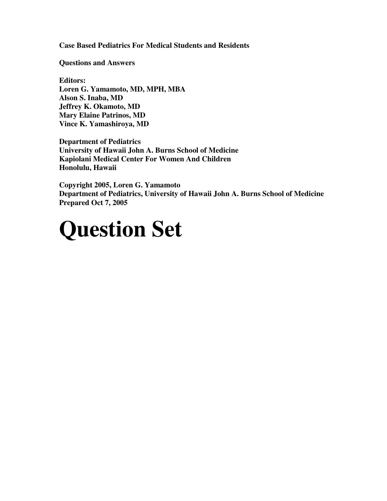**Case Based Pediatrics For Medical Students and Residents**

**Questions and Answers**

**Editors: Loren G. Yamamoto, MD, MPH, MBA Alson S. Inaba, MD Jeffrey K. Okamoto, MD Mary Elaine Patrinos, MD Vince K. Yamashiroya, MD**

**Department of Pediatrics University of Hawaii John A. Burns School of Medicine Kapiolani Medical Center For Women And Children Honolulu, Hawaii**

**Copyright 2005, Loren G. Yamamoto Department of Pediatrics, University of Hawaii John A. Burns School of Medicine Prepared Oct 7, 2005**

# **Question Set**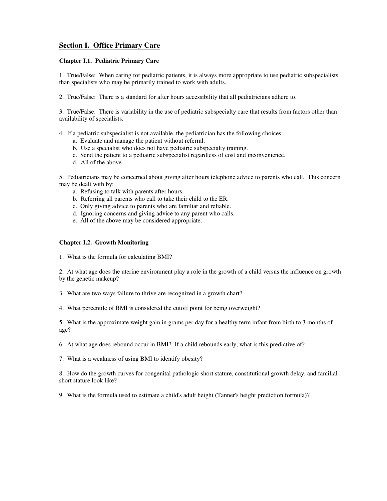# **Section I. Office Primary Care**

# **Chapter I.1. Pediatric Primary Care**

1. True/False: When caring for pediatric patients, it is always more appropriate to use pediatric subspecialists than specialists who may be primarily trained to work with adults.

2. True/False: There is a standard for after hours accessibility that all pediatricians adhere to.

3. True/False: There is variability in the use of pediatric subspecialty care that results from factors other than availability of specialists.

- 4. If a pediatric subspecialist is not available, the pediatrician has the following choices:
	- a. Evaluate and manage the patient without referral.
	- b. Use a specialist who does not have pediatric subspecialty training.
	- c. Send the patient to a pediatric subspecialist regardless of cost and inconvenience.
	- d. All of the above.

5. Pediatricians may be concerned about giving after hours telephone advice to parents who call. This concern may be dealt with by:

- a. Refusing to talk with parents after hours.
- b. Referring all parents who call to take their child to the ER.
- c. Only giving advice to parents who are familiar and reliable.
- d. Ignoring concerns and giving advice to any parent who calls.
- e. All of the above may be considered appropriate.

## **Chapter I.2. Growth Monitoring**

1. What is the formula for calculating BMI?

2. At what age does the uterine environment play a role in the growth of a child versus the influence on growth by the genetic makeup?

- 3. What are two ways failure to thrive are recognized in a growth chart?
- 4. What percentile of BMI is considered the cutoff point for being overweight?

5. What is the approximate weight gain in grams per day for a healthy term infant from birth to 3 months of age?

6. At what age does rebound occur in BMI? If a child rebounds early, what is this predictive of?

7. What is a weakness of using BMI to identify obesity?

8. How do the growth curves for congenital pathologic short stature, constitutional growth delay, and familial short stature look like?

9. What is the formula used to estimate a child's adult height (Tanner's height prediction formula)?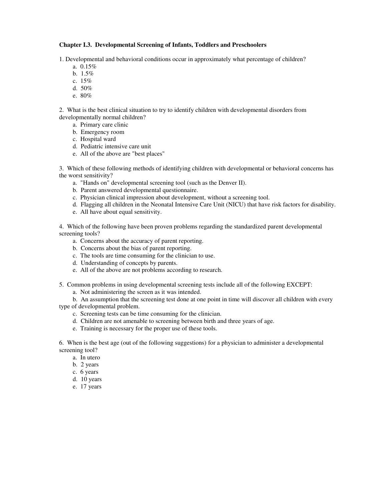## **Chapter I.3. Developmental Screening of Infants, Toddlers and Preschoolers**

1. Developmental and behavioral conditions occur in approximately what percentage of children?

- a. 0.15%
- b. 1.5%
- c. 15%
- d. 50%
- e. 80%

2. What is the best clinical situation to try to identify children with developmental disorders from developmentally normal children?

- a. Primary care clinic
- b. Emergency room
- c. Hospital ward
- d. Pediatric intensive care unit
- e. All of the above are "best places"

3. Which of these following methods of identifying children with developmental or behavioral concerns has the worst sensitivity?

- a. "Hands on" developmental screening tool (such as the Denver II).
- b. Parent answered developmental questionnaire.
- c. Physician clinical impression about development, without a screening tool.
- d. Flagging all children in the Neonatal Intensive Care Unit (NICU) that have risk factors for disability.
- e. All have about equal sensitivity.

4. Which of the following have been proven problems regarding the standardized parent developmental screening tools?

- a. Concerns about the accuracy of parent reporting.
- b. Concerns about the bias of parent reporting.
- c. The tools are time consuming for the clinician to use.
- d. Understanding of concepts by parents.
- e. All of the above are not problems according to research.
- 5. Common problems in using developmental screening tests include all of the following EXCEPT:
	- a. Not administering the screen as it was intended.

b. An assumption that the screening test done at one point in time will discover all children with every type of developmental problem.

- c. Screening tests can be time consuming for the clinician.
- d. Children are not amenable to screening between birth and three years of age.
- e. Training is necessary for the proper use of these tools.

6. When is the best age (out of the following suggestions) for a physician to administer a developmental screening tool?

- a. In utero
- b. 2 years
- c. 6 years
- d. 10 years
- e. 17 years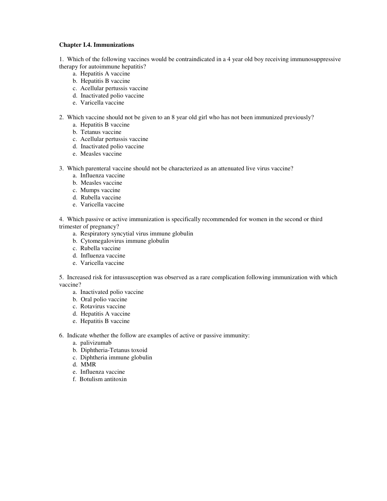## **Chapter I.4. Immunizations**

1. Which of the following vaccines would be contraindicated in a 4 year old boy receiving immunosuppressive therapy for autoimmune hepatitis?

- a. Hepatitis A vaccine
- b. Hepatitis B vaccine
- c. Acellular pertussis vaccine
- d. Inactivated polio vaccine
- e. Varicella vaccine
- 2. Which vaccine should not be given to an 8 year old girl who has not been immunized previously?
	- a. Hepatitis B vaccine
	- b. Tetanus vaccine
	- c. Acellular pertussis vaccine
	- d. Inactivated polio vaccine
	- e. Measles vaccine
- 3. Which parenteral vaccine should not be characterized as an attenuated live virus vaccine?
	- a. Influenza vaccine
	- b. Measles vaccine
	- c. Mumps vaccine
	- d. Rubella vaccine
	- e. Varicella vaccine

4. Which passive or active immunization is specifically recommended for women in the second or third trimester of pregnancy?

- a. Respiratory syncytial virus immune globulin
- b. Cytomegalovirus immune globulin
- c. Rubella vaccine
- d. Influenza vaccine
- e. Varicella vaccine

5. Increased risk for intussusception was observed as a rare complication following immunization with which vaccine?

- a. Inactivated polio vaccine
- b. Oral polio vaccine
- c. Rotavirus vaccine
- d. Hepatitis A vaccine
- e. Hepatitis B vaccine
- 6. Indicate whether the follow are examples of active or passive immunity:
	- a. palivizumab
	- b. Diphtheria-Tetanus toxoid
	- c. Diphtheria immune globulin
	- d. MMR
	- e. Influenza vaccine
	- f. Botulism antitoxin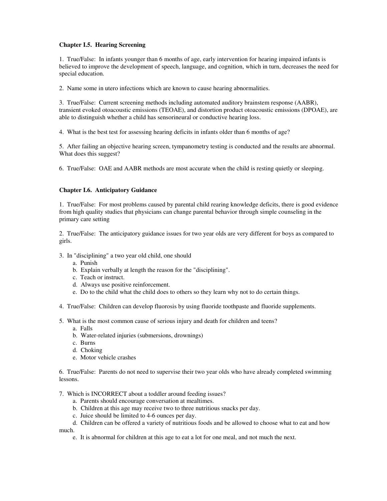# **Chapter I.5. Hearing Screening**

1. True/False: In infants younger than 6 months of age, early intervention for hearing impaired infants is believed to improve the development of speech, language, and cognition, which in turn, decreases the need for special education.

2. Name some in utero infections which are known to cause hearing abnormalities.

3. True/False: Current screening methods including automated auditory brainstem response (AABR), transient evoked otoacoustic emissions (TEOAE), and distortion product otoacoustic emissions (DPOAE), are able to distinguish whether a child has sensorineural or conductive hearing loss.

4. What is the best test for assessing hearing deficits in infants older than 6 months of age?

5. After failing an objective hearing screen, tympanometry testing is conducted and the results are abnormal. What does this suggest?

6. True/False: OAE and AABR methods are most accurate when the child is resting quietly or sleeping.

# **Chapter I.6. Anticipatory Guidance**

1. True/False: For most problems caused by parental child rearing knowledge deficits, there is good evidence from high quality studies that physicians can change parental behavior through simple counseling in the primary care setting

2. True/False: The anticipatory guidance issues for two year olds are very different for boys as compared to girls.

- 3. In "disciplining" a two year old child, one should
	- a. Punish
	- b. Explain verbally at length the reason for the "disciplining".
	- c. Teach or instruct.
	- d. Always use positive reinforcement.
	- e. Do to the child what the child does to others so they learn why not to do certain things.
- 4. True/False: Children can develop fluorosis by using fluoride toothpaste and fluoride supplements.
- 5. What is the most common cause of serious injury and death for children and teens?
	- a. Falls
	- b. Water-related injuries (submersions, drownings)
	- c. Burns
	- d. Choking
	- e. Motor vehicle crashes

6. True/False: Parents do not need to supervise their two year olds who have already completed swimming lessons.

7. Which is INCORRECT about a toddler around feeding issues?

- a. Parents should encourage conversation at mealtimes.
- b. Children at this age may receive two to three nutritious snacks per day.
- c. Juice should be limited to 4-6 ounces per day.

d. Children can be offered a variety of nutritious foods and be allowed to choose what to eat and how much.

e. It is abnormal for children at this age to eat a lot for one meal, and not much the next.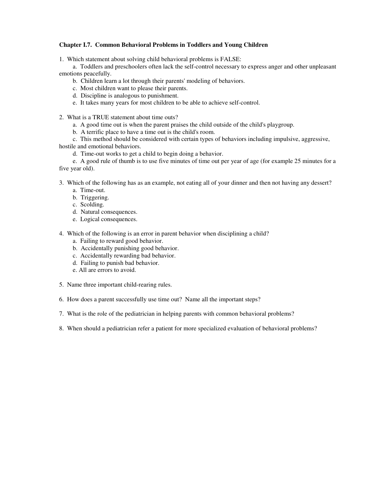# **Chapter I.7. Common Behavioral Problems in Toddlers and Young Children**

1. Which statement about solving child behavioral problems is FALSE:

a. Toddlers and preschoolers often lack the self-control necessary to express anger and other unpleasant emotions peacefully.

- b. Children learn a lot through their parents' modeling of behaviors.
- c. Most children want to please their parents.
- d. Discipline is analogous to punishment.
- e. It takes many years for most children to be able to achieve self-control.
- 2. What is a TRUE statement about time outs?
	- a. A good time out is when the parent praises the child outside of the child's playgroup.
	- b. A terrific place to have a time out is the child's room.

c. This method should be considered with certain types of behaviors including impulsive, aggressive, hostile and emotional behaviors.

d. Time-out works to get a child to begin doing a behavior.

e. A good rule of thumb is to use five minutes of time out per year of age (for example 25 minutes for a five year old).

- 3. Which of the following has as an example, not eating all of your dinner and then not having any dessert?
	- a. Time-out.
	- b. Triggering.
	- c. Scolding.
	- d. Natural consequences.
	- e. Logical consequences.
- 4. Which of the following is an error in parent behavior when disciplining a child?
	- a. Failing to reward good behavior.
	- b. Accidentally punishing good behavior.
	- c. Accidentally rewarding bad behavior.
	- d. Failing to punish bad behavior.
	- e. All are errors to avoid.
- 5. Name three important child-rearing rules.
- 6. How does a parent successfully use time out? Name all the important steps?
- 7. What is the role of the pediatrician in helping parents with common behavioral problems?
- 8. When should a pediatrician refer a patient for more specialized evaluation of behavioral problems?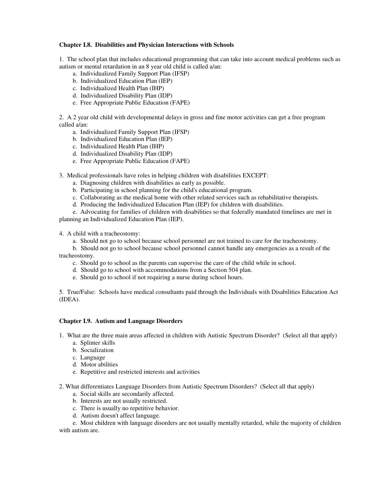# **Chapter I.8. Disabilities and Physician Interactions with Schools**

1. The school plan that includes educational programming that can take into account medical problems such as autism or mental retardation in an 8 year old child is called a/an:

- a. Individualized Family Support Plan (IFSP)
- b. Individualized Education Plan (IEP)
- c. Individualized Health Plan (IHP)
- d. Individualized Disability Plan (IDP)
- e. Free Appropriate Public Education (FAPE)

2. A 2 year old child with developmental delays in gross and fine motor activities can get a free program called a/an:

- a. Individualized Family Support Plan (IFSP)
- b. Individualized Education Plan (IEP)
- c. Individualized Health Plan (IHP)
- d. Individualized Disability Plan (IDP)
- e. Free Appropriate Public Education (FAPE)
- 3. Medical professionals have roles in helping children with disabilities EXCEPT:
	- a. Diagnosing children with disabilities as early as possible.
	- b. Participating in school planning for the child's educational program.
	- c. Collaborating as the medical home with other related services such as rehabilitative therapists.
	- d. Producing the Individualized Education Plan (IEP) for children with disabilities.

e. Advocating for families of children with disabilities so that federally mandated timelines are met in planning an Individualized Education Plan (IEP).

4. A child with a tracheostomy:

a. Should not go to school because school personnel are not trained to care for the tracheostomy.

b. Should not go to school because school personnel cannot handle any emergencies as a result of the tracheostomy.

- c. Should go to school as the parents can supervise the care of the child while in school.
- d. Should go to school with accommodations from a Section 504 plan.
- e. Should go to school if not requiring a nurse during school hours.

5. True/False: Schools have medical consultants paid through the Individuals with Disabilities Education Act (IDEA).

## **Chapter I.9. Autism and Language Disorders**

- 1. What are the three main areas affected in children with Autistic Spectrum Disorder? (Select all that apply)
	- a. Splinter skills
	- b. Socialization
	- c. Language
	- d. Motor abilities
	- e. Repetitive and restricted interests and activities
- 2. What differentiates Language Disorders from Autistic Spectrum Disorders? (Select all that apply)
	- a. Social skills are secondarily affected.
	- b. Interests are not usually restricted.
	- c. There is usually no repetitive behavior.
	- d. Autism doesn't affect language.

e. Most children with language disorders are not usually mentally retarded, while the majority of children with autism are.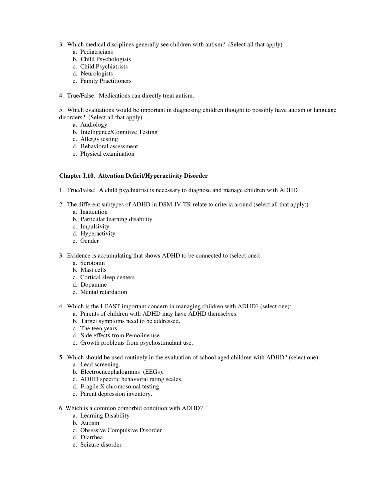- 3. Which medical disciplines generally see children with autism? (Select all that apply)
	- a. Pediatricians
	- b. Child Psychologists
	- c. Child Psychiatrists
	- d. Neurologists
	- e. Family Practitioners
- 4. True/False: Medications can directly treat autism.

5. Which evaluations would be important in diagnosing children thought to possibly have autism or language disorders? (Select all that apply)

- a. Audiology
- b. Intelligence/Cognitive Testing
- c. Allergy testing
- d. Behavioral assessment
- e. Physical examination

## **Chapter I.10. Attention Deficit/Hyperactivity Disorder**

- 1. True/False: A child psychiatrist is necessary to diagnose and manage children with ADHD
- 2. The different subtypes of ADHD in DSM-IV-TR relate to criteria around (select all that apply:)
	- a. Inattention
	- b. Particular learning disability
	- c. Impulsivity
	- d. Hyperactivity
	- e. Gender
- 3. Evidence is accumulating that shows ADHD to be connected to (select one):
	- a. Serotonin
	- b. Mast cells
	- c. Cortical sleep centers
	- d. Dopamine
	- e. Mental retardation
- 4. Which is the LEAST important concern in managing children with ADHD? (select one):
	- a. Parents of children with ADHD may have ADHD themselves.
	- b. Target symptoms need to be addressed.
	- c. The teen years.
	- d. Side effects from Pemoline use.
	- e. Growth problems from psychostimulant use.
- 5. Which should be used routinely in the evaluation of school aged children with ADHD? (select one):
	- a. Lead screening.
	- b. Electroencephalograms (EEGs).
	- c. ADHD specific behavioral rating scales.
	- d. Fragile X chromosomal testing.
	- e. Parent depression inventory.
- 6. Which is a common comorbid condition with ADHD?
	- a. Learning Disability
	- b. Autism
	- c. Obsessive Compulsive Disorder
	- d. Diarrhea
	- e. Seizure disorder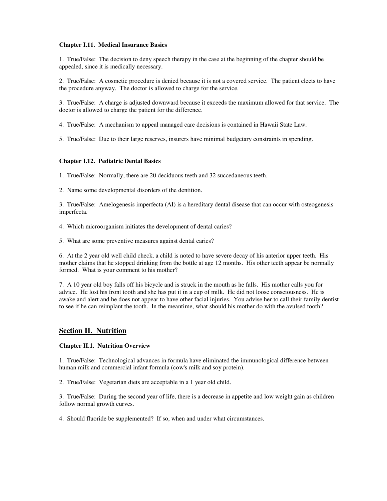## **Chapter I.11. Medical Insurance Basics**

1. True/False: The decision to deny speech therapy in the case at the beginning of the chapter should be appealed, since it is medically necessary.

2. True/False: A cosmetic procedure is denied because it is not a covered service. The patient elects to have the procedure anyway. The doctor is allowed to charge for the service.

3. True/False: A charge is adjusted downward because it exceeds the maximum allowed for that service. The doctor is allowed to charge the patient for the difference.

4. True/False: A mechanism to appeal managed care decisions is contained in Hawaii State Law.

5. True/False: Due to their large reserves, insurers have minimal budgetary constraints in spending.

## **Chapter I.12. Pediatric Dental Basics**

1. True/False: Normally, there are 20 deciduous teeth and 32 succedaneous teeth.

2. Name some developmental disorders of the dentition.

3. True/False: Amelogenesis imperfecta (AI) is a hereditary dental disease that can occur with osteogenesis imperfecta.

- 4. Which microorganism initiates the development of dental caries?
- 5. What are some preventive measures against dental caries?

6. At the 2 year old well child check, a child is noted to have severe decay of his anterior upper teeth. His mother claims that he stopped drinking from the bottle at age 12 months. His other teeth appear be normally formed. What is your comment to his mother?

7. A 10 year old boy falls off his bicycle and is struck in the mouth as he falls. His mother calls you for advice. He lost his front tooth and she has put it in a cup of milk. He did not loose consciousness. He is awake and alert and he does not appear to have other facial injuries. You advise her to call their family dentist to see if he can reimplant the tooth. In the meantime, what should his mother do with the avulsed tooth?

# **Section II. Nutrition**

## **Chapter II.1. Nutrition Overview**

1. True/False: Technological advances in formula have eliminated the immunological difference between human milk and commercial infant formula (cow's milk and soy protein).

2. True/False: Vegetarian diets are acceptable in a 1 year old child.

3. True/False: During the second year of life, there is a decrease in appetite and low weight gain as children follow normal growth curves.

4. Should fluoride be supplemented? If so, when and under what circumstances.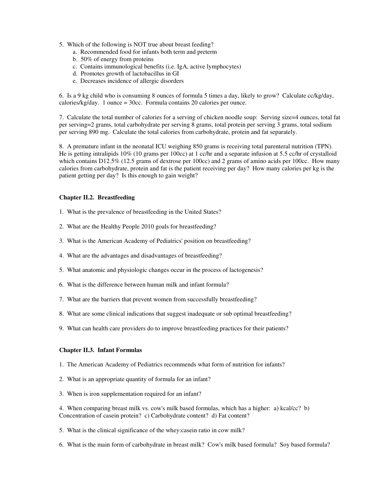- 5. Which of the following is NOT true about breast feeding?
	- a. Recommended food for infants both term and preterm
	- b. 50% of energy from proteins
	- c. Contains immunological benefits (i.e. IgA, active lymphocytes)
	- d. Promotes growth of lactobacillus in GI
	- e. Decreases incidence of allergic disorders

6. Is a 9 kg child who is consuming 8 ounces of formula 5 times a day, likely to grow? Calculate cc/kg/day, calories/kg/day. 1 ounce = 30cc. Formula contains 20 calories per ounce.

7. Calculate the total number of calories for a serving of chicken noodle soup: Serving size=4 ounces, total fat per serving=2 grams, total carbohydrate per serving 8 grams, total protein per serving 3 grams, total sodium per serving 890 mg. Calculate the total calories from carbohydrate, protein and fat separately.

8. A premature infant in the neonatal ICU weighing 850 grams is receiving total parenteral nutrition (TPN). He is getting intralipids 10% (10 grams per 100cc) at 1 cc/hr and a separate infusion at 5.5 cc/hr of crystalloid which contains D12.5% (12.5 grams of dextrose per 100cc) and 2 grams of amino acids per 100cc. How many calories from carbohydrate, protein and fat is the patient receiving per day? How many calories per kg is the patient getting per day? Is this enough to gain weight?

# **Chapter II.2. Breastfeeding**

- 1. What is the prevalence of breastfeeding in the United States?
- 2. What are the Healthy People 2010 goals for breastfeeding?
- 3. What is the American Academy of Pediatrics' position on breastfeeding?
- 4. What are the advantages and disadvantages of breastfeeding?
- 5. What anatomic and physiologic changes occur in the process of lactogenesis?
- 6. What is the difference between human milk and infant formula?
- 7. What are the barriers that prevent women from successfully breastfeeding?
- 8. What are some clinical indications that suggest inadequate or sub optimal breastfeeding?
- 9. What can health care providers do to improve breastfeeding practices for their patients?

## **Chapter II.3. Infant Formulas**

- 1. The American Academy of Pediatrics recommends what form of nutrition for infants?
- 2. What is an appropriate quantity of formula for an infant?
- 3. When is iron supplementation required for an infant?

4. When comparing breast milk vs. cow's milk based formulas, which has a higher: a) kcal/cc? b) Concentration of casein protein? c) Carbohydrate content? d) Fat content?

- 5. What is the clinical significance of the whey:casein ratio in cow milk?
- 6. What is the main form of carbohydrate in breast milk? Cow's milk based formula? Soy based formula?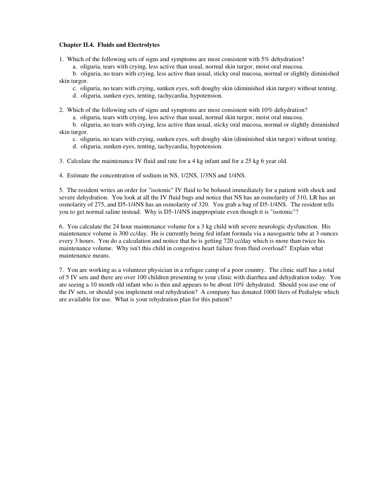## **Chapter II.4. Fluids and Electrolytes**

1. Which of the following sets of signs and symptoms are most consistent with 5% dehydration?

a. oliguria, tears with crying, less active than usual, normal skin turgor, moist oral mucosa.

b. oliguria, no tears with crying, less active than usual, sticky oral mucosa, normal or slightly diminished skin turgor.

c. oliguria, no tears with crying, sunken eyes, soft doughy skin (diminished skin turgor) without tenting.

d. oliguria, sunken eyes, tenting, tachycardia, hypotension.

2. Which of the following sets of signs and symptoms are most consistent with 10% dehydration?

a. oliguria, tears with crying, less active than usual, normal skin turgor, moist oral mucosa.

b. oliguria, no tears with crying, less active than usual, sticky oral mucosa, normal or slightly diminished skin turgor.

c. oliguria, no tears with crying, sunken eyes, soft doughy skin (diminished skin turgor) without tenting.

d. oliguria, sunken eyes, tenting, tachycardia, hypotension.

3. Calculate the maintenance IV fluid and rate for a 4 kg infant and for a 25 kg 6 year old.

4. Estimate the concentration of sodium in NS, 1/2NS, 1/3NS and 1/4NS.

5. The resident writes an order for "isotonic" IV fluid to be bolused immediately for a patient with shock and severe dehydration. You look at all the IV fluid bags and notice that NS has an osmolarity of 310, LR has an osmolarity of 275, and D5-1/4NS has an osmolarity of 320. You grab a bag of D5-1/4NS. The resident tells you to get normal saline instead. Why is D5-1/4NS inappropriate even though it is "isotonic"?

6. You calculate the 24 hour maintenance volume for a 3 kg child with severe neurologic dysfunction. His maintenance volume is 300 cc/day. He is currently being fed infant formula via a nasogastric tube at 3 ounces every 3 hours. You do a calculation and notice that he is getting 720 cc/day which is more than twice his maintenance volume. Why isn't this child in congestive heart failure from fluid overload? Explain what maintenance means.

7. You are working as a volunteer physician in a refugee camp of a poor country. The clinic staff has a total of 5 IV sets and there are over 100 children presenting to your clinic with diarrhea and dehydration today. You are seeing a 10 month old infant who is thin and appears to be about 10% dehydrated. Should you use one of the IV sets, or should you implement oral rehydration? A company has donated 1000 liters of Pedialyte which are available for use. What is your rehydration plan for this patient?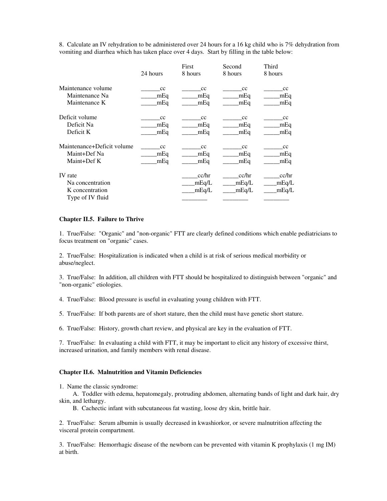8. Calculate an IV rehydration to be administered over 24 hours for a 16 kg child who is 7% dehydration from vomiting and diarrhea which has taken place over 4 days. Start by filling in the table below:

|                                                                           | 24 hours | First<br>8 hours        | Second<br>8 hours       | Third<br>8 hours        |
|---------------------------------------------------------------------------|----------|-------------------------|-------------------------|-------------------------|
| Maintenance volume                                                        | cc       | cc                      | cc                      | cc                      |
| Maintenance Na                                                            | mEq      | mEq                     | mEq                     | mEq                     |
| Maintenance K                                                             | mEq      | mEq                     | mEq                     | mEq                     |
| Deficit volume                                                            | cc       | cc                      | cc                      | cc                      |
| Deficit Na                                                                | mEq      | mEq                     | mEq                     | mEq                     |
| Deficit K                                                                 | mEq      | mEq                     | mEq                     | mEq                     |
| Maintenance+Deficit volume                                                | cc       | cc                      | cc                      | cc                      |
| Maint+Def Na                                                              | mEq      | mEq                     | mEq                     | mEq                     |
| Maint+Def K                                                               | mEq      | mEq                     | mEq                     | mEq                     |
| <b>IV</b> rate<br>Na concentration<br>K concentration<br>Type of IV fluid |          | cc/hr<br>mEq/L<br>mEq/L | cc/hr<br>mEq/L<br>mEq/L | cc/hr<br>mEq/L<br>mEq/L |

## **Chapter II.5. Failure to Thrive**

1. True/False: "Organic" and "non-organic" FTT are clearly defined conditions which enable pediatricians to focus treatment on "organic" cases.

2. True/False: Hospitalization is indicated when a child is at risk of serious medical morbidity or abuse/neglect.

3. True/False: In addition, all children with FTT should be hospitalized to distinguish between "organic" and "non-organic" etiologies.

4. True/False: Blood pressure is useful in evaluating young children with FTT.

5. True/False: If both parents are of short stature, then the child must have genetic short stature.

6. True/False: History, growth chart review, and physical are key in the evaluation of FTT.

7. True/False: In evaluating a child with FTT, it may be important to elicit any history of excessive thirst, increased urination, and family members with renal disease.

## **Chapter II.6. Malnutrition and Vitamin Deficiencies**

1. Name the classic syndrome:

A. Toddler with edema, hepatomegaly, protruding abdomen, alternating bands of light and dark hair, dry skin, and lethargy.

B. Cachectic infant with subcutaneous fat wasting, loose dry skin, brittle hair.

2. True/False: Serum albumin is usually decreased in kwashiorkor, or severe malnutrition affecting the visceral protein compartment.

3. True/False: Hemorrhagic disease of the newborn can be prevented with vitamin K prophylaxis (1 mg IM) at birth.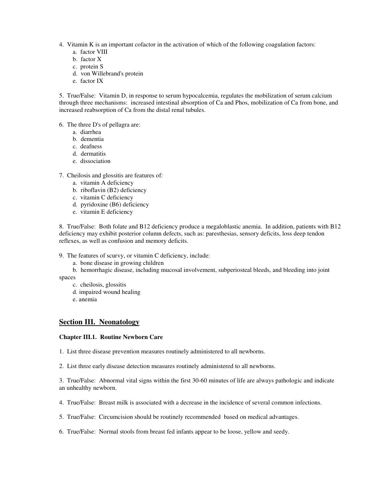- 4. Vitamin K is an important cofactor in the activation of which of the following coagulation factors:
	- a. factor VIII
	- b. factor X
	- c. protein S
	- d. von Willebrand's protein
	- e. factor IX

5. True/False: Vitamin D, in response to serum hypocalcemia, regulates the mobilization of serum calcium through three mechanisms: increased intestinal absorption of Ca and Phos, mobilization of Ca from bone, and increased reabsorption of Ca from the distal renal tubules.

6. The three D's of pellagra are:

- a. diarrhea
- b. dementia
- c. deafness
- d. dermatitis
- e. dissociation
- 7. Cheilosis and glossitis are features of:
	- a. vitamin A deficiency
	- b. riboflavin (B2) deficiency
	- c. vitamin C deficiency
	- d. pyridoxine (B6) deficiency
	- e. vitamin E deficiency

8. True/False: Both folate and B12 deficiency produce a megaloblastic anemia. In addition, patients with B12 deficiency may exhibit posterior column defects, such as: paresthesias, sensory deficits, loss deep tendon reflexes, as well as confusion and memory deficits.

9. The features of scurvy, or vitamin C deficiency, include:

a. bone disease in growing children

b. hemorrhagic disease, including mucosal involvement, subperiosteal bleeds, and bleeding into joint

spaces

- c. cheilosis, glossitis
- d. impaired wound healing
- e. anemia

# **Section III. Neonatology**

## **Chapter III.1. Routine Newborn Care**

- 1. List three disease prevention measures routinely administered to all newborns.
- 2. List three early disease detection measures routinely administered to all newborns.

3. True/False: Abnormal vital signs within the first 30-60 minutes of life are always pathologic and indicate an unhealthy newborn.

4. True/False: Breast milk is associated with a decrease in the incidence of several common infections.

5. True/False: Circumcision should be routinely recommended based on medical advantages.

6. True/False: Normal stools from breast fed infants appear to be loose, yellow and seedy.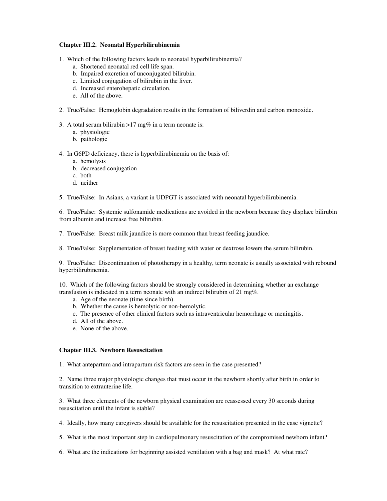## **Chapter III.2. Neonatal Hyperbilirubinemia**

- 1. Which of the following factors leads to neonatal hyperbilirubinemia?
	- a. Shortened neonatal red cell life span.
	- b. Impaired excretion of unconjugated bilirubin.
	- c. Limited conjugation of bilirubin in the liver.
	- d. Increased enterohepatic circulation.
	- e. All of the above.
- 2. True/False: Hemoglobin degradation results in the formation of biliverdin and carbon monoxide.

3. A total serum bilirubin  $>17$  mg% in a term neonate is:

- a. physiologic
- b. pathologic

4. In G6PD deficiency, there is hyperbilirubinemia on the basis of:

- a. hemolysis
- b. decreased conjugation
- c. both
- d. neither

5. True/False: In Asians, a variant in UDPGT is associated with neonatal hyperbilirubinemia.

6. True/False: Systemic sulfonamide medications are avoided in the newborn because they displace bilirubin from albumin and increase free bilirubin.

7. True/False: Breast milk jaundice is more common than breast feeding jaundice.

8. True/False: Supplementation of breast feeding with water or dextrose lowers the serum bilirubin.

9. True/False: Discontinuation of phototherapy in a healthy, term neonate is usually associated with rebound hyperbilirubinemia.

10. Which of the following factors should be strongly considered in determining whether an exchange transfusion is indicated in a term neonate with an indirect bilirubin of 21 mg%.

- a. Age of the neonate (time since birth).
- b. Whether the cause is hemolytic or non-hemolytic.
- c. The presence of other clinical factors such as intraventricular hemorrhage or meningitis.
- d. All of the above.
- e. None of the above.

## **Chapter III.3. Newborn Resuscitation**

1. What antepartum and intrapartum risk factors are seen in the case presented?

2. Name three major physiologic changes that must occur in the newborn shortly after birth in order to transition to extrauterine life.

3. What three elements of the newborn physical examination are reassessed every 30 seconds during resuscitation until the infant is stable?

- 4. Ideally, how many caregivers should be available for the resuscitation presented in the case vignette?
- 5. What is the most important step in cardiopulmonary resuscitation of the compromised newborn infant?
- 6. What are the indications for beginning assisted ventilation with a bag and mask? At what rate?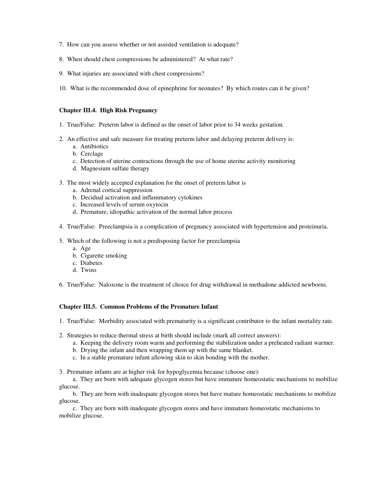- 7. How can you assess whether or not assisted ventilation is adequate?
- 8. When should chest compressions be administered? At what rate?
- 9. What injuries are associated with chest compressions?
- 10. What is the recommended dose of epinephrine for neonates? By which routes can it be given?

## **Chapter III.4. High Risk Pregnancy**

- 1. True/False: Preterm labor is defined as the onset of labor prior to 34 weeks gestation.
- 2. An effective and safe measure for treating preterm labor and delaying preterm delivery is:
	- a. Antibiotics
	- b. Cerclage
	- c. Detection of uterine contractions through the use of home uterine activity monitoring
	- d. Magnesium sulfate therapy
- 3. The most widely accepted explanation for the onset of preterm labor is
	- a. Adrenal cortical suppression
	- b. Decidual activation and inflammatory cytokines
	- c. Increased levels of serum oxytocin
	- d. Premature, idiopathic activation of the normal labor process
- 4. True/False: Preeclampsia is a complication of pregnancy associated with hypertension and proteinuria.
- 5. Which of the following is not a predisposing factor for preeclampsia
	- a. Age
	- b. Cigarette smoking
	- c. Diabetes
	- d. Twins
- 6. True/False: Naloxone is the treatment of choice for drug withdrawal in methadone addicted newborns.

## **Chapter III.5. Common Problems of the Premature Infant**

- 1. True/False: Morbidity associated with prematurity is a significant contributor to the infant mortality rate.
- 2. Strategies to reduce thermal stress at birth should include (mark all correct answers):
	- a. Keeping the delivery room warm and performing the stabilization under a preheated radiant warmer.
	- b. Drying the infant and then wrapping them up with the same blanket.
	- c. In a stable premature infant allowing skin to skin bonding with the mother.
- 3. Premature infants are at higher risk for hypoglycemia because (choose one):

a. They are born with adequate glycogen stores but have immature homeostatic mechanisms to mobilize glucose.

b. They are born with inadequate glycogen stores but have mature homeostatic mechanisms to mobilize glucose.

c. They are born with inadequate glycogen stores and have immature homeostatic mechanisms to mobilize glucose.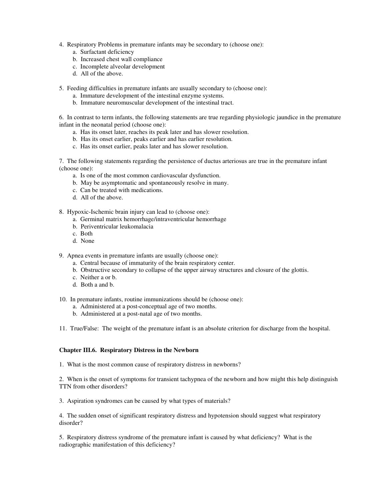- 4. Respiratory Problems in premature infants may be secondary to (choose one):
	- a. Surfactant deficiency
	- b. Increased chest wall compliance
	- c. Incomplete alveolar development
	- d. All of the above.
- 5. Feeding difficulties in premature infants are usually secondary to (choose one):
	- a. Immature development of the intestinal enzyme systems.
	- b. Immature neuromuscular development of the intestinal tract.

6. In contrast to term infants, the following statements are true regarding physiologic jaundice in the premature infant in the neonatal period (choose one):

- a. Has its onset later, reaches its peak later and has slower resolution.
- b. Has its onset earlier, peaks earlier and has earlier resolution.
- c. Has its onset earlier, peaks later and has slower resolution.

7. The following statements regarding the persistence of ductus arteriosus are true in the premature infant (choose one):

- a. Is one of the most common cardiovascular dysfunction.
- b. May be asymptomatic and spontaneously resolve in many.
- c. Can be treated with medications.
- d. All of the above.

8. Hypoxic-Ischemic brain injury can lead to (choose one):

- a. Germinal matrix hemorrhage/intraventricular hemorrhage
- b. Periventricular leukomalacia
- c. Both
- d. None

9. Apnea events in premature infants are usually (choose one):

- a. Central because of immaturity of the brain respiratory center.
- b. Obstructive secondary to collapse of the upper airway structures and closure of the glottis.
- c. Neither a or b.
- d. Both a and b.
- 10. In premature infants, routine immunizations should be (choose one):
	- a. Administered at a post-conceptual age of two months.
	- b. Administered at a post-natal age of two months.

11. True/False: The weight of the premature infant is an absolute criterion for discharge from the hospital.

## **Chapter III.6. Respiratory Distress in the Newborn**

1. What is the most common cause of respiratory distress in newborns?

2. When is the onset of symptoms for transient tachypnea of the newborn and how might this help distinguish TTN from other disorders?

3. Aspiration syndromes can be caused by what types of materials?

4. The sudden onset of significant respiratory distress and hypotension should suggest what respiratory disorder?

5. Respiratory distress syndrome of the premature infant is caused by what deficiency? What is the radiographic manifestation of this deficiency?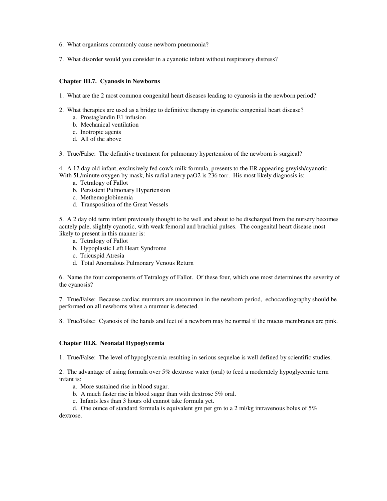- 6. What organisms commonly cause newborn pneumonia?
- 7. What disorder would you consider in a cyanotic infant without respiratory distress?

## **Chapter III.7. Cyanosis in Newborns**

- 1. What are the 2 most common congenital heart diseases leading to cyanosis in the newborn period?
- 2. What therapies are used as a bridge to definitive therapy in cyanotic congenital heart disease?
	- a. Prostaglandin E1 infusion
	- b. Mechanical ventilation
	- c. Inotropic agents
	- d. All of the above
- 3. True/False: The definitive treatment for pulmonary hypertension of the newborn is surgical?

4. A 12 day old infant, exclusively fed cow's milk formula, presents to the ER appearing greyish/cyanotic. With 5L/minute oxygen by mask, his radial artery paO2 is 236 torr. His most likely diagnosis is:

- a. Tetralogy of Fallot
- b. Persistent Pulmonary Hypertension
- c. Methemoglobinemia
- d. Transposition of the Great Vessels

5. A 2 day old term infant previously thought to be well and about to be discharged from the nursery becomes acutely pale, slightly cyanotic, with weak femoral and brachial pulses. The congenital heart disease most likely to present in this manner is:

- a. Tetralogy of Fallot
- b. Hypoplastic Left Heart Syndrome
- c. Tricuspid Atresia
- d. Total Anomalous Pulmonary Venous Return

6. Name the four components of Tetralogy of Fallot. Of these four, which one most determines the severity of the cyanosis?

7. True/False: Because cardiac murmurs are uncommon in the newborn period, echocardiography should be performed on all newborns when a murmur is detected.

8. True/False: Cyanosis of the hands and feet of a newborn may be normal if the mucus membranes are pink.

# **Chapter III.8. Neonatal Hypoglycemia**

1. True/False: The level of hypoglycemia resulting in serious sequelae is well defined by scientific studies.

2. The advantage of using formula over 5% dextrose water (oral) to feed a moderately hypoglycemic term infant is:

- a. More sustained rise in blood sugar.
- b. A much faster rise in blood sugar than with dextrose 5% oral.
- c. Infants less than 3 hours old cannot take formula yet.

d. One ounce of standard formula is equivalent gm per gm to a 2 ml/kg intravenous bolus of 5% dextrose.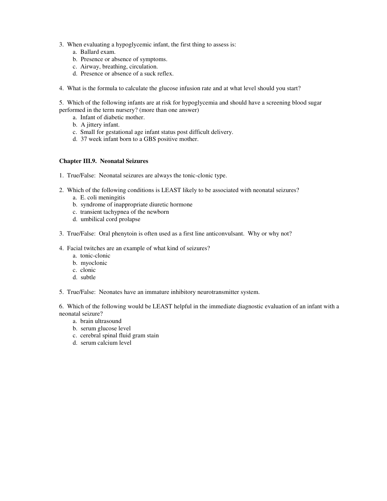- 3. When evaluating a hypoglycemic infant, the first thing to assess is:
	- a. Ballard exam.
	- b. Presence or absence of symptoms.
	- c. Airway, breathing, circulation.
	- d. Presence or absence of a suck reflex.
- 4. What is the formula to calculate the glucose infusion rate and at what level should you start?

5. Which of the following infants are at risk for hypoglycemia and should have a screening blood sugar performed in the term nursery? (more than one answer)

- a. Infant of diabetic mother.
- b. A jittery infant.
- c. Small for gestational age infant status post difficult delivery.
- d. 37 week infant born to a GBS positive mother.

## **Chapter III.9. Neonatal Seizures**

- 1. True/False: Neonatal seizures are always the tonic-clonic type.
- 2. Which of the following conditions is LEAST likely to be associated with neonatal seizures?
	- a. E. coli meningitis
	- b. syndrome of inappropriate diuretic hormone
	- c. transient tachypnea of the newborn
	- d. umbilical cord prolapse
- 3. True/False: Oral phenytoin is often used as a first line anticonvulsant. Why or why not?
- 4. Facial twitches are an example of what kind of seizures?
	- a. tonic-clonic
	- b. myoclonic
	- c. clonic
	- d. subtle
- 5. True/False: Neonates have an immature inhibitory neurotransmitter system.

6. Which of the following would be LEAST helpful in the immediate diagnostic evaluation of an infant with a neonatal seizure?

- a. brain ultrasound
- b. serum glucose level
- c. cerebral spinal fluid gram stain
- d. serum calcium level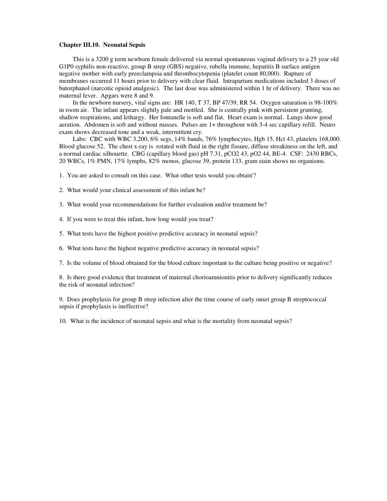## **Chapter III.10. Neonatal Sepsis**

This is a 3200 g term newborn female delivered via normal spontaneous vaginal delivery to a 25 year old G1P0 syphilis non-reactive, group B strep (GBS) negative, rubella immune, hepatitis B surface antigen negative mother with early preeclampsia and thrombocytopenia (platelet count 80,000). Rupture of membranes occurred 11 hours prior to delivery with clear fluid. Intrapartum medications included 3 doses of butorphanol (narcotic opioid analgesic). The last dose was administered within 1 hr of delivery. There was no maternal fever. Apgars were 8 and 9.

In the newborn nursery, vital signs are: HR 140, T 37, BP 47/39, RR 54. Oxygen saturation is 98-100% in room air. The infant appears slightly pale and mottled. She is centrally pink with persistent grunting, shallow respirations, and lethargy. Her fontanelle is soft and flat. Heart exam is normal. Lungs show good aeration. Abdomen is soft and without masses. Pulses are 1+ throughout with 3-4 sec capillary refill. Neuro exam shows decreased tone and a weak, intermittent cry.

Labs: CBC with WBC 3,200, 6% segs, 14% bands, 76% lymphocytes, Hgb 15, Hct 43, platelets 168,000. Blood glucose 52. The chest x-ray is rotated with fluid in the right fissure, diffuse streakiness on the left, and a normal cardiac silhouette. CBG (capillary blood gas) pH 7.31, pCO2 43, pO2 44, BE-4. CSF: 2430 RBCs, 20 WBCs, 1% PMN, 17% lymphs, 82% monos, glucose 39, protein 133, gram stain shows no organisms.

1. You are asked to consult on this case. What other tests would you obtain'?

- 2. What would your clinical assessment of this infant be?
- 3. What would your recommendations for further evaluation and/or treatment be?
- 4. If you were to treat this infant, how long would you treat?
- 5. What tests have the highest positive predictive accuracy in neonatal sepsis?
- 6. What tests have the highest negative predictive accuracy in neonatal sepsis?
- 7. Is the volume of blood obtained for the blood culture important to the culture being positive or negative?

8. Is there good evidence that treatment of maternal chorioamnionitis prior to delivery significantly reduces the risk of neonatal infection?

9. Does prophylaxis for group B strep infection alter the time course of early onset group B streptococcal sepsis if prophylaxis is ineffective?

10. What is the incidence of neonatal sepsis and what is the mortality from neonatal sepsis?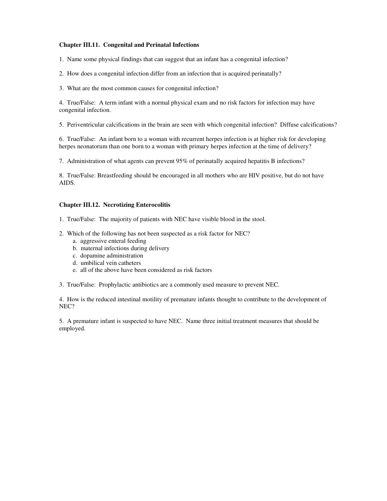## **Chapter III.11. Congenital and Perinatal Infections**

1. Name some physical findings that can suggest that an infant has a congenital infection?

- 2. How does a congenital infection differ from an infection that is acquired perinatally?
- 3. What are the most common causes for congenital infection?

4. True/False: A term infant with a normal physical exam and no risk factors for infection may have congenital infection.

5. Periventricular calcifications in the brain are seen with which congenital infection? Diffuse calcifications?

6. True/False: An infant born to a woman with recurrent herpes infection is at higher risk for developing herpes neonatorum than one born to a woman with primary herpes infection at the time of delivery?

7. Administration of what agents can prevent 95% of perinatally acquired hepatitis B infections?

8. True/False: Breastfeeding should be encouraged in all mothers who are HIV positive, but do not have AIDS.

## **Chapter III.12. Necrotizing Enterocolitis**

- 1. True/False: The majority of patients with NEC have visible blood in the stool.
- 2. Which of the following has not been suspected as a risk factor for NEC?
	- a. aggressive enteral feeding
	- b. maternal infections during delivery
	- c. dopamine administration
	- d. umbilical vein catheters
	- e. all of the above have been considered as risk factors
- 3. True/False: Prophylactic antibiotics are a commonly used measure to prevent NEC.

4. How is the reduced intestinal motility of premature infants thought to contribute to the development of NEC?

5. A premature infant is suspected to have NEC. Name three initial treatment measures that should be employed.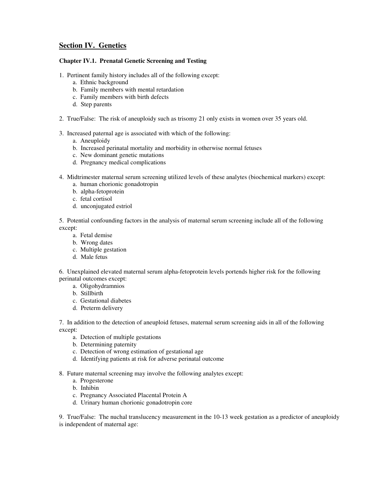# **Section IV. Genetics**

# **Chapter IV.1. Prenatal Genetic Screening and Testing**

- 1. Pertinent family history includes all of the following except:
	- a. Ethnic background
	- b. Family members with mental retardation
	- c. Family members with birth defects
	- d. Step parents
- 2. True/False: The risk of aneuploidy such as trisomy 21 only exists in women over 35 years old.
- 3. Increased paternal age is associated with which of the following:
	- a. Aneuploidy
	- b. Increased perinatal mortality and morbidity in otherwise normal fetuses
	- c. New dominant genetic mutations
	- d. Pregnancy medical complications
- 4. Midtrimester maternal serum screening utilized levels of these analytes (biochemical markers) except:
	- a. human chorionic gonadotropin
	- b. alpha-fetoprotein
	- c. fetal cortisol
	- d. unconjugated estriol

5. Potential confounding factors in the analysis of maternal serum screening include all of the following except:

- a. Fetal demise
- b. Wrong dates
- c. Multiple gestation
- d. Male fetus

6. Unexplained elevated maternal serum alpha-fetoprotein levels portends higher risk for the following perinatal outcomes except:

- a. Oligohydramnios
- b. Stillbirth
- c. Gestational diabetes
- d. Preterm delivery

7. In addition to the detection of aneuploid fetuses, maternal serum screening aids in all of the following except:

- a. Detection of multiple gestations
- b. Determining paternity
- c. Detection of wrong estimation of gestational age
- d. Identifying patients at risk for adverse perinatal outcome
- 8. Future maternal screening may involve the following analytes except:
	- a. Progesterone
	- b. Inhibin
	- c. Pregnancy Associated Placental Protein A
	- d. Urinary human chorionic gonadotropin core

9. True/False: The nuchal translucency measurement in the 10-13 week gestation as a predictor of aneuploidy is independent of maternal age: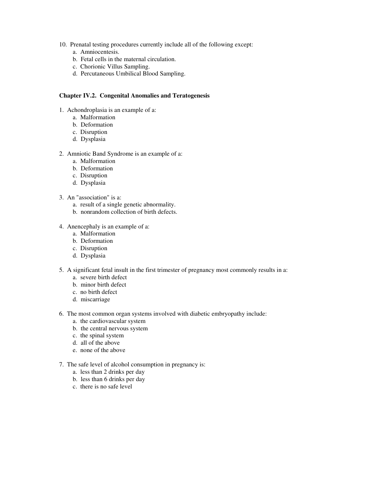- 10. Prenatal testing procedures currently include all of the following except:
	- a. Amniocentesis.
	- b. Fetal cells in the maternal circulation.
	- c. Chorionic Villus Sampling.
	- d. Percutaneous Umbilical Blood Sampling.

## **Chapter IV.2. Congenital Anomalies and Teratogenesis**

- 1. Achondroplasia is an example of a:
	- a. Malformation
	- b. Deformation
	- c. Disruption
	- d. Dysplasia
- 2. Amniotic Band Syndrome is an example of a:
	- a. Malformation
	- b. Deformation
	- c. Disruption
	- d. Dysplasia
- 3. An "association" is a:
	- a. result of a single genetic abnormality.
	- b. nonrandom collection of birth defects.
- 4. Anencephaly is an example of a:
	- a. Malformation
	- b. Deformation
	- c. Disruption
	- d. Dysplasia
- 5. A significant fetal insult in the first trimester of pregnancy most commonly results in a:
	- a. severe birth defect
	- b. minor birth defect
	- c. no birth defect
	- d. miscarriage
- 6. The most common organ systems involved with diabetic embryopathy include:
	- a. the cardiovascular system
	- b. the central nervous system
	- c. the spinal system
	- d. all of the above
	- e. none of the above
- 7. The safe level of alcohol consumption in pregnancy is:
	- a. less than 2 drinks per day
	- b. less than 6 drinks per day
	- c. there is no safe level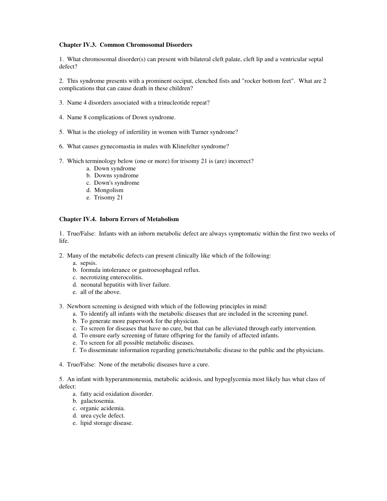## **Chapter IV.3. Common Chromosomal Disorders**

1. What chromosomal disorder(s) can present with bilateral cleft palate, cleft lip and a ventricular septal defect?

2. This syndrome presents with a prominent occiput, clenched fists and "rocker bottom feet". What are 2 complications that can cause death in these children?

- 3. Name 4 disorders associated with a trinucleotide repeat?
- 4. Name 8 complications of Down syndrome.
- 5. What is the etiology of infertility in women with Turner syndrome?
- 6. What causes gynecomastia in males with Klinefelter syndrome?
- 7. Which terminology below (one or more) for trisomy 21 is (are) incorrect?
	- a. Down syndrome
	- b. Downs syndrome
	- c. Down's syndrome
	- d. Mongolism
	- e. Trisomy 21

## **Chapter IV.4. Inborn Errors of Metabolism**

1. True/False: Infants with an inborn metabolic defect are always symptomatic within the first two weeks of life.

- 2. Many of the metabolic defects can present clinically like which of the following:
	- a. sepsis.
	- b. formula intolerance or gastroesophageal reflux.
	- c. necrotizing enterocolitis.
	- d. neonatal hepatitis with liver failure.
	- e. all of the above.
- 3. Newborn screening is designed with which of the following principles in mind:
	- a. To identify all infants with the metabolic diseases that are included in the screening panel.
	- b. To generate more paperwork for the physician.
	- c. To screen for diseases that have no cure, but that can be alleviated through early intervention.
	- d. To ensure early screening of future offspring for the family of affected infants.
	- e. To screen for all possible metabolic diseases.
	- f. To disseminate information regarding genetic/metabolic disease to the public and the physicians.
- 4. True/False: None of the metabolic diseases have a cure.

5. An infant with hyperammonemia, metabolic acidosis, and hypoglycemia most likely has what class of defect:

- a. fatty acid oxidation disorder.
- b. galactosemia.
- c. organic acidemia.
- d. urea cycle defect.
- e. lipid storage disease.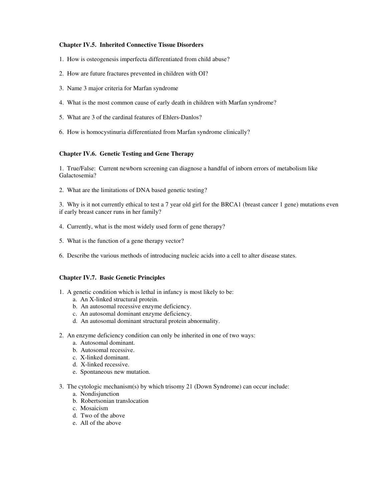## **Chapter IV.5. Inherited Connective Tissue Disorders**

- 1. How is osteogenesis imperfecta differentiated from child abuse?
- 2. How are future fractures prevented in children with OI?
- 3. Name 3 major criteria for Marfan syndrome
- 4. What is the most common cause of early death in children with Marfan syndrome?
- 5. What are 3 of the cardinal features of Ehlers-Danlos?
- 6. How is homocystinuria differentiated from Marfan syndrome clinically?

# **Chapter IV.6. Genetic Testing and Gene Therapy**

1. True/False: Current newborn screening can diagnose a handful of inborn errors of metabolism like Galactosemia?

2. What are the limitations of DNA based genetic testing?

3. Why is it not currently ethical to test a 7 year old girl for the BRCA1 (breast cancer 1 gene) mutations even if early breast cancer runs in her family?

- 4. Currently, what is the most widely used form of gene therapy?
- 5. What is the function of a gene therapy vector?

6. Describe the various methods of introducing nucleic acids into a cell to alter disease states.

## **Chapter IV.7. Basic Genetic Principles**

- 1. A genetic condition which is lethal in infancy is most likely to be:
	- a. An X-linked structural protein.
	- b. An autosomal recessive enzyme deficiency.
	- c. An autosomal dominant enzyme deficiency.
	- d. An autosomal dominant structural protein abnormality.
- 2. An enzyme deficiency condition can only be inherited in one of two ways:
	- a. Autosomal dominant.
	- b. Autosomal recessive.
	- c. X-linked dominant.
	- d. X-linked recessive.
	- e. Spontaneous new mutation.
- 3. The cytologic mechanism(s) by which trisomy 21 (Down Syndrome) can occur include:
	- a. Nondisjunction
	- b. Robertsonian translocation
	- c. Mosaicism
	- d. Two of the above
	- e. All of the above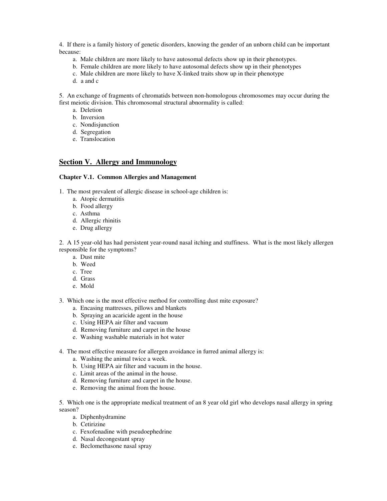4. If there is a family history of genetic disorders, knowing the gender of an unborn child can be important because:

- a. Male children are more likely to have autosomal defects show up in their phenotypes.
- b. Female children are more likely to have autosomal defects show up in their phenotypes
- c. Male children are more likely to have X-linked traits show up in their phenotype
- d. a and c

5. An exchange of fragments of chromatids between non-homologous chromosomes may occur during the first meiotic division. This chromosomal structural abnormality is called:

- a. Deletion
- b. Inversion
- c. Nondisjunction
- d. Segregation
- e. Translocation

# **Section V. Allergy and Immunology**

## **Chapter V.1. Common Allergies and Management**

1. The most prevalent of allergic disease in school-age children is:

- a. Atopic dermatitis
- b. Food allergy
- c. Asthma
- d. Allergic rhinitis
- e. Drug allergy

2. A 15 year-old has had persistent year-round nasal itching and stuffiness. What is the most likely allergen responsible for the symptoms?

- a. Dust mite
- b. Weed
- c. Tree
- d. Grass
- e. Mold
- 3. Which one is the most effective method for controlling dust mite exposure?
	- a. Encasing mattresses, pillows and blankets
	- b. Spraying an acaricide agent in the house
	- c. Using HEPA air filter and vacuum
	- d. Removing furniture and carpet in the house
	- e. Washing washable materials in hot water
- 4. The most effective measure for allergen avoidance in furred animal allergy is:
	- a. Washing the animal twice a week.
	- b. Using HEPA air filter and vacuum in the house.
	- c. Limit areas of the animal in the house.
	- d. Removing furniture and carpet in the house.
	- e. Removing the animal from the house.

5. Which one is the appropriate medical treatment of an 8 year old girl who develops nasal allergy in spring season?

- a. Diphenhydramine
- b. Cetirizine
- c. Fexofenadine with pseudoephedrine
- d. Nasal decongestant spray
- e. Beclomethasone nasal spray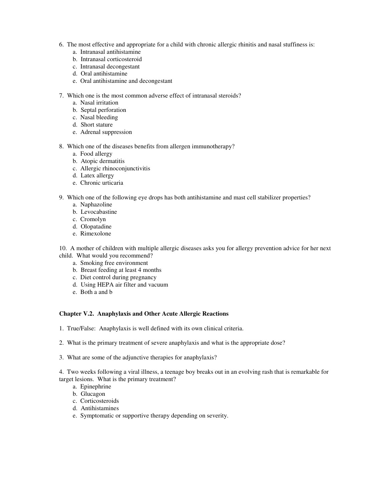- 6. The most effective and appropriate for a child with chronic allergic rhinitis and nasal stuffiness is:
	- a. Intranasal antihistamine
	- b. Intranasal corticosteroid
	- c. Intranasal decongestant
	- d. Oral antihistamine
	- e. Oral antihistamine and decongestant
- 7. Which one is the most common adverse effect of intranasal steroids?
	- a. Nasal irritation
	- b. Septal perforation
	- c. Nasal bleeding
	- d. Short stature
	- e. Adrenal suppression
- 8. Which one of the diseases benefits from allergen immunotherapy?
	- a. Food allergy
	- b. Atopic dermatitis
	- c. Allergic rhinoconjunctivitis
	- d. Latex allergy
	- e. Chronic urticaria
- 9. Which one of the following eye drops has both antihistamine and mast cell stabilizer properties?
	- a. Naphazoline
	- b. Levocabastine
	- c. Cromolyn
	- d. Olopatadine
	- e. Rimexolone

10. A mother of children with multiple allergic diseases asks you for allergy prevention advice for her next child. What would you recommend?

- a. Smoking free environment
- b. Breast feeding at least 4 months
- c. Diet control during pregnancy
- d. Using HEPA air filter and vacuum
- e. Both a and b

## **Chapter V.2. Anaphylaxis and Other Acute Allergic Reactions**

1. True/False: Anaphylaxis is well defined with its own clinical criteria.

- 2. What is the primary treatment of severe anaphylaxis and what is the appropriate dose?
- 3. What are some of the adjunctive therapies for anaphylaxis?

4. Two weeks following a viral illness, a teenage boy breaks out in an evolving rash that is remarkable for target lesions. What is the primary treatment?

- a. Epinephrine
- b. Glucagon
- c. Corticosteroids
- d. Antihistamines
- e. Symptomatic or supportive therapy depending on severity.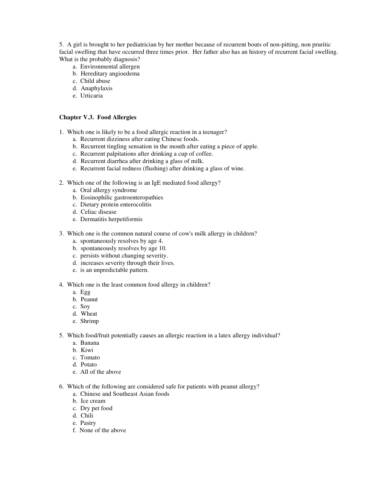5. A girl is brought to her pediatrician by her mother because of recurrent bouts of non-pitting, non pruritic facial swelling that have occurred three times prior. Her father also has an history of recurrent facial swelling. What is the probably diagnosis?

- a. Environmental allergen
- b. Hereditary angioedema
- c. Child abuse
- d. Anaphylaxis
- e. Urticaria

## **Chapter V.3. Food Allergies**

- 1. Which one is likely to be a food allergic reaction in a teenager?
	- a. Recurrent dizziness after eating Chinese foods.
	- b. Recurrent tingling sensation in the mouth after eating a piece of apple.
	- c. Recurrent palpitations after drinking a cup of coffee.
	- d. Recurrent diarrhea after drinking a glass of milk.
	- e. Recurrent facial redness (flushing) after drinking a glass of wine.
- 2. Which one of the following is an IgE mediated food allergy?
	- a. Oral allergy syndrome
	- b. Eosinophilic gastroenteropathies
	- c. Dietary protein enterocolitis
	- d. Celiac disease
	- e. Dermatitis herpetiformis
- 3. Which one is the common natural course of cow's milk allergy in children?
	- a. spontaneously resolves by age 4.
	- b. spontaneously resolves by age 10.
	- c. persists without changing severity.
	- d. increases severity through their lives.
	- e. is an unpredictable pattern.
- 4. Which one is the least common food allergy in children?
	- a. Egg
	- b. Peanut
	- c. Soy
	- d. Wheat
	- e. Shrimp
- 5. Which food/fruit potentially causes an allergic reaction in a latex allergy individual?
	- a. Banana
	- b. Kiwi
	- c. Tomato
	- d. Potato
	- e. All of the above
- 6. Which of the following are considered safe for patients with peanut allergy?
	- a. Chinese and Southeast Asian foods
	- b. Ice cream
	- c. Dry pet food
	- d. Chili
	- e. Pastry
	- f. None of the above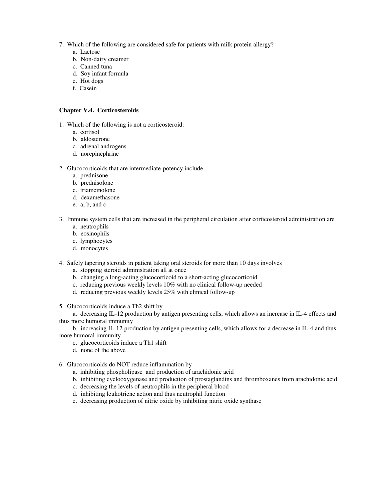- 7. Which of the following are considered safe for patients with milk protein allergy?
	- a. Lactose
	- b. Non-dairy creamer
	- c. Canned tuna
	- d. Soy infant formula
	- e. Hot dogs
	- f. Casein

## **Chapter V.4. Corticosteroids**

- 1. Which of the following is not a corticosteroid:
	- a. cortisol
	- b. aldosterone
	- c. adrenal androgens
	- d. norepinephrine

## 2. Glucocorticoids that are intermediate-potency include

- a. prednisone
- b. prednisolone
- c. triamcinolone
- d. dexamethasone
- e. a, b, and c
- 3. Immune system cells that are increased in the peripheral circulation after corticosteroid administration are
	- a. neutrophils
	- b. eosinophils
	- c. lymphocytes
	- d. monocytes
- 4. Safely tapering steroids in patient taking oral steroids for more than 10 days involves
	- a. stopping steroid administration all at once
	- b. changing a long-acting glucocorticoid to a short-acting glucocorticoid
	- c. reducing previous weekly levels 10% with no clinical follow-up needed
	- d. reducing previous weekly levels 25% with clinical follow-up

5. Glucocorticoids induce a Th2 shift by

a. decreasing IL-12 production by antigen presenting cells, which allows an increase in IL-4 effects and thus more humoral immunity

b. increasing IL-12 production by antigen presenting cells, which allows for a decrease in IL-4 and thus more humoral immunity

- c. glucocorticoids induce a Th1 shift
- d. none of the above
- 6. Glucocorticoids do NOT reduce inflammation by
	- a. inhibiting phospholipase and production of arachidonic acid
	- b. inhibiting cyclooxygenase and production of prostaglandins and thromboxanes from arachidonic acid
	- c. decreasing the levels of neutrophils in the peripheral blood
	- d. inhibiting leukotriene action and thus neutrophil function
	- e. decreasing production of nitric oxide by inhibiting nitric oxide synthase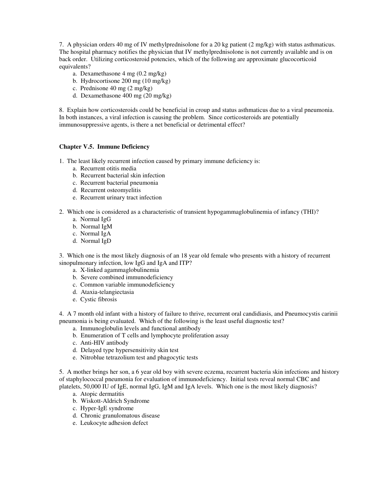7. A physician orders 40 mg of IV methylprednisolone for a 20 kg patient (2 mg/kg) with status asthmaticus. The hospital pharmacy notifies the physician that IV methylprednisolone is not currently available and is on back order. Utilizing corticosteroid potencies, which of the following are approximate glucocorticoid equivalents?

- a. Dexamethasone 4 mg (0.2 mg/kg)
- b. Hydrocortisone 200 mg (10 mg/kg)
- c. Prednisone 40 mg (2 mg/kg)
- d. Dexamethasone 400 mg (20 mg/kg)

8. Explain how corticosteroids could be beneficial in croup and status asthmaticus due to a viral pneumonia. In both instances, a viral infection is causing the problem. Since corticosteroids are potentially immunosuppressive agents, is there a net beneficial or detrimental effect?

## **Chapter V.5. Immune Deficiency**

- 1. The least likely recurrent infection caused by primary immune deficiency is:
	- a. Recurrent otitis media
	- b. Recurrent bacterial skin infection
	- c. Recurrent bacterial pneumonia
	- d. Recurrent osteomyelitis
	- e. Recurrent urinary tract infection
- 2. Which one is considered as a characteristic of transient hypogammaglobulinemia of infancy (THI)?
	- a. Normal IgG
	- b. Normal IgM
	- c. Normal IgA
	- d. Normal IgD

3. Which one is the most likely diagnosis of an 18 year old female who presents with a history of recurrent sinopulmonary infection, low IgG and IgA and ITP?

- a. X-linked agammaglobulinemia
- b. Severe combined immunodeficiency
- c. Common variable immunodeficiency
- d. Ataxia-telangiectasia
- e. Cystic fibrosis

4. A 7 month old infant with a history of failure to thrive, recurrent oral candidiasis, and Pneumocystis carinii pneumonia is being evaluated. Which of the following is the least useful diagnostic test?

- a. Immunoglobulin levels and functional antibody
- b. Enumeration of T cells and lymphocyte proliferation assay
- c. Anti-HIV antibody
- d. Delayed type hypersensitivity skin test
- e. Nitroblue tetrazolium test and phagocytic tests

5. A mother brings her son, a 6 year old boy with severe eczema, recurrent bacteria skin infections and history of staphylococcal pneumonia for evaluation of immunodeficiency. Initial tests reveal normal CBC and platelets, 50,000 IU of IgE, normal IgG, IgM and IgA levels. Which one is the most likely diagnosis?

- a. Atopic dermatitis
- b. Wiskott-Aldrich Syndrome
- c. Hyper-IgE syndrome
- d. Chronic granulomatous disease
- e. Leukocyte adhesion defect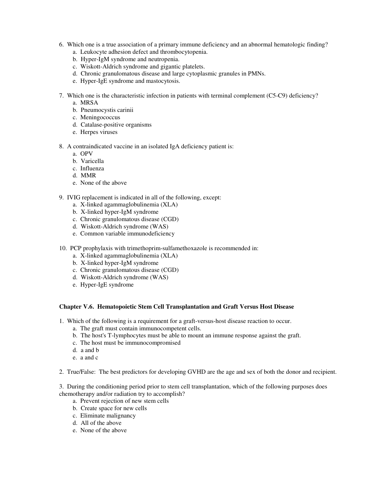- 6. Which one is a true association of a primary immune deficiency and an abnormal hematologic finding?
	- a. Leukocyte adhesion defect and thrombocytopenia.
	- b. Hyper-IgM syndrome and neutropenia.
	- c. Wiskott-Aldrich syndrome and gigantic platelets.
	- d. Chronic granulomatous disease and large cytoplasmic granules in PMNs.
	- e. Hyper-IgE syndrome and mastocytosis.
- 7. Which one is the characteristic infection in patients with terminal complement (C5-C9) deficiency?
	- a. MRSA
	- b. Pneumocystis carinii
	- c. Meningococcus
	- d. Catalase-positive organisms
	- e. Herpes viruses
- 8. A contraindicated vaccine in an isolated IgA deficiency patient is:
	- a. OPV
	- b. Varicella
	- c. Influenza
	- d. MMR
	- e. None of the above
- 9. IVIG replacement is indicated in all of the following, except:
	- a. X-linked agammaglobulinemia (XLA)
	- b. X-linked hyper-IgM syndrome
	- c. Chronic granulomatous disease (CGD)
	- d. Wiskott-Aldrich syndrome (WAS)
	- e. Common variable immunodeficiency
- 10. PCP prophylaxis with trimethoprim-sulfamethoxazole is recommended in:
	- a. X-linked agammaglobulinemia (XLA)
	- b. X-linked hyper-IgM syndrome
	- c. Chronic granulomatous disease (CGD)
	- d. Wiskott-Aldrich syndrome (WAS)
	- e. Hyper-IgE syndrome

## **Chapter V.6. Hematopoietic Stem Cell Transplantation and Graft Versus Host Disease**

- 1. Which of the following is a requirement for a graft-versus-host disease reaction to occur.
	- a. The graft must contain immunocompetent cells.
	- b. The host's T-lymphocytes must be able to mount an immune response against the graft.
	- c. The host must be immunocompromised
	- d. a and b
	- e. a and c
- 2. True/False: The best predictors for developing GVHD are the age and sex of both the donor and recipient.

3. During the conditioning period prior to stem cell transplantation, which of the following purposes does chemotherapy and/or radiation try to accomplish?

- a. Prevent rejection of new stem cells
- b. Create space for new cells
- c. Eliminate malignancy
- d. All of the above
- e. None of the above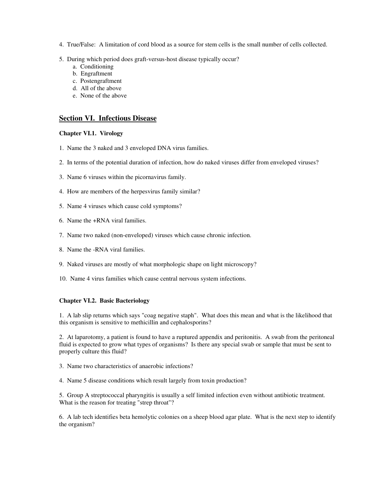- 4. True/False: A limitation of cord blood as a source for stem cells is the small number of cells collected.
- 5. During which period does graft-versus-host disease typically occur?
	- a. Conditioning
	- b. Engraftment
	- c. Postengraftment
	- d. All of the above
	- e. None of the above

# **Section VI. Infectious Disease**

## **Chapter VI.1. Virology**

- 1. Name the 3 naked and 3 enveloped DNA virus families.
- 2. In terms of the potential duration of infection, how do naked viruses differ from enveloped viruses?
- 3. Name 6 viruses within the picornavirus family.
- 4. How are members of the herpesvirus family similar?
- 5. Name 4 viruses which cause cold symptoms?
- 6. Name the +RNA viral families.
- 7. Name two naked (non-enveloped) viruses which cause chronic infection.
- 8. Name the -RNA viral families.
- 9. Naked viruses are mostly of what morphologic shape on light microscopy?
- 10. Name 4 virus families which cause central nervous system infections.

## **Chapter VI.2. Basic Bacteriology**

1. A lab slip returns which says "coag negative staph". What does this mean and what is the likelihood that this organism is sensitive to methicillin and cephalosporins?

2. At laparotomy, a patient is found to have a ruptured appendix and peritonitis. A swab from the peritoneal fluid is expected to grow what types of organisms? Is there any special swab or sample that must be sent to properly culture this fluid?

- 3. Name two characteristics of anaerobic infections?
- 4. Name 5 disease conditions which result largely from toxin production?

5. Group A streptococcal pharyngitis is usually a self limited infection even without antibiotic treatment. What is the reason for treating "strep throat"?

6. A lab tech identifies beta hemolytic colonies on a sheep blood agar plate. What is the next step to identify the organism?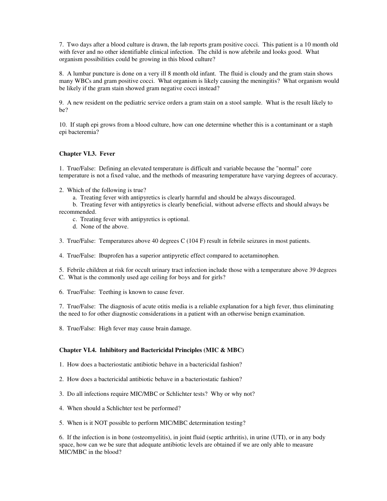7. Two days after a blood culture is drawn, the lab reports gram positive cocci. This patient is a 10 month old with fever and no other identifiable clinical infection. The child is now afebrile and looks good. What organism possibilities could be growing in this blood culture?

8. A lumbar puncture is done on a very ill 8 month old infant. The fluid is cloudy and the gram stain shows many WBCs and gram positive cocci. What organism is likely causing the meningitis? What organism would be likely if the gram stain showed gram negative cocci instead?

9. A new resident on the pediatric service orders a gram stain on a stool sample. What is the result likely to be?

10. If staph epi grows from a blood culture, how can one determine whether this is a contaminant or a staph epi bacteremia?

## **Chapter VI.3. Fever**

1. True/False: Defining an elevated temperature is difficult and variable because the "normal" core temperature is not a fixed value, and the methods of measuring temperature have varying degrees of accuracy.

- 2. Which of the following is true?
	- a. Treating fever with antipyretics is clearly harmful and should be always discouraged.

b. Treating fever with antipyretics is clearly beneficial, without adverse effects and should always be recommended.

- c. Treating fever with antipyretics is optional.
- d. None of the above.
- 3. True/False: Temperatures above 40 degrees C (104 F) result in febrile seizures in most patients.
- 4. True/False: Ibuprofen has a superior antipyretic effect compared to acetaminophen.
- 5. Febrile children at risk for occult urinary tract infection include those with a temperature above 39 degrees
- C. What is the commonly used age ceiling for boys and for girls?
- 6. True/False: Teething is known to cause fever.

7. True/False: The diagnosis of acute otitis media is a reliable explanation for a high fever, thus eliminating the need to for other diagnostic considerations in a patient with an otherwise benign examination.

8. True/False: High fever may cause brain damage.

## **Chapter VI.4. Inhibitory and Bactericidal Principles (MIC & MBC)**

- 1. How does a bacteriostatic antibiotic behave in a bactericidal fashion?
- 2. How does a bactericidal antibiotic behave in a bacteriostatic fashion?
- 3. Do all infections require MIC/MBC or Schlichter tests? Why or why not?
- 4. When should a Schlichter test be performed?
- 5. When is it NOT possible to perform MIC/MBC determination testing?

6. If the infection is in bone (osteomyelitis), in joint fluid (septic arthritis), in urine (UTI), or in any body space, how can we be sure that adequate antibiotic levels are obtained if we are only able to measure MIC/MBC in the blood?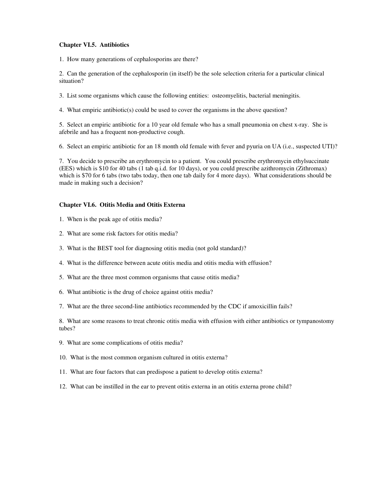## **Chapter VI.5. Antibiotics**

1. How many generations of cephalosporins are there?

2. Can the generation of the cephalosporin (in itself) be the sole selection criteria for a particular clinical situation?

3. List some organisms which cause the following entities: osteomyelitis, bacterial meningitis.

4. What empiric antibiotic(s) could be used to cover the organisms in the above question?

5. Select an empiric antibiotic for a 10 year old female who has a small pneumonia on chest x-ray. She is afebrile and has a frequent non-productive cough.

6. Select an empiric antibiotic for an 18 month old female with fever and pyuria on UA (i.e., suspected UTI)?

7. You decide to prescribe an erythromycin to a patient. You could prescribe erythromycin ethylsuccinate (EES) which is \$10 for 40 tabs (1 tab q.i.d. for 10 days), or you could prescribe azithromycin (Zithromax) which is \$70 for 6 tabs (two tabs today, then one tab daily for 4 more days). What considerations should be made in making such a decision?

## **Chapter VI.6. Otitis Media and Otitis Externa**

- 1. When is the peak age of otitis media?
- 2. What are some risk factors for otitis media?
- 3. What is the BEST tool for diagnosing otitis media (not gold standard)?
- 4. What is the difference between acute otitis media and otitis media with effusion?
- 5. What are the three most common organisms that cause otitis media?
- 6. What antibiotic is the drug of choice against otitis media?
- 7. What are the three second-line antibiotics recommended by the CDC if amoxicillin fails?

8. What are some reasons to treat chronic otitis media with effusion with either antibiotics or tympanostomy tubes?

- 9. What are some complications of otitis media?
- 10. What is the most common organism cultured in otitis externa?
- 11. What are four factors that can predispose a patient to develop otitis externa?
- 12. What can be instilled in the ear to prevent otitis externa in an otitis externa prone child?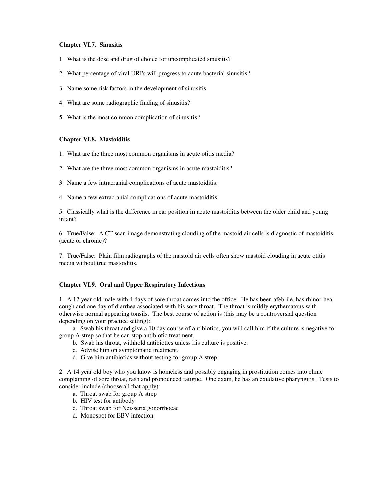## **Chapter VI.7. Sinusitis**

- 1. What is the dose and drug of choice for uncomplicated sinusitis?
- 2. What percentage of viral URI's will progress to acute bacterial sinusitis?
- 3. Name some risk factors in the development of sinusitis.
- 4. What are some radiographic finding of sinusitis?
- 5. What is the most common complication of sinusitis?

## **Chapter VI.8. Mastoiditis**

- 1. What are the three most common organisms in acute otitis media?
- 2. What are the three most common organisms in acute mastoiditis?
- 3. Name a few intracranial complications of acute mastoiditis.
- 4. Name a few extracranial complications of acute mastoiditis.

5. Classically what is the difference in ear position in acute mastoiditis between the older child and young infant?

6. True/False: A CT scan image demonstrating clouding of the mastoid air cells is diagnostic of mastoiditis (acute or chronic)?

7. True/False: Plain film radiographs of the mastoid air cells often show mastoid clouding in acute otitis media without true mastoiditis.

## **Chapter VI.9. Oral and Upper Respiratory Infections**

1. A 12 year old male with 4 days of sore throat comes into the office. He has been afebrile, has rhinorrhea, cough and one day of diarrhea associated with his sore throat. The throat is mildly erythematous with otherwise normal appearing tonsils. The best course of action is (this may be a controversial question depending on your practice setting):

a. Swab his throat and give a 10 day course of antibiotics, you will call him if the culture is negative for group A strep so that he can stop antibiotic treatment.

- b. Swab his throat, withhold antibiotics unless his culture is positive.
- c. Advise him on symptomatic treatment.
- d. Give him antibiotics without testing for group A strep.

2. A 14 year old boy who you know is homeless and possibly engaging in prostitution comes into clinic complaining of sore throat, rash and pronounced fatigue. One exam, he has an exudative pharyngitis. Tests to consider include (choose all that apply):

- a. Throat swab for group A strep
- b. HIV test for antibody
- c. Throat swab for Neisseria gonorrhoeae
- d. Monospot for EBV infection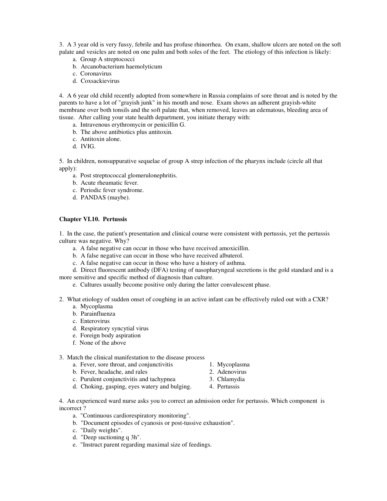3. A 3 year old is very fussy, febrile and has profuse rhinorrhea. On exam, shallow ulcers are noted on the soft palate and vesicles are noted on one palm and both soles of the feet. The etiology of this infection is likely:

- a. Group A streptococci
- b. Arcanobacterium haemolyticum
- c. Coronavirus
- d. Coxsackievirus

4. A 6 year old child recently adopted from somewhere in Russia complains of sore throat and is noted by the parents to have a lot of "grayish junk" in his mouth and nose. Exam shows an adherent grayish-white membrane over both tonsils and the soft palate that, when removed, leaves an edematous, bleeding area of tissue. After calling your state health department, you initiate therapy with:

- a. Intravenous erythromycin or penicillin G.
- b. The above antibiotics plus antitoxin.
- c. Antitoxin alone.
- d. IVIG.

5. In children, nonsuppurative sequelae of group A strep infection of the pharynx include (circle all that apply):

- a. Post streptococcal glomerulonephritis.
- b. Acute rheumatic fever.
- c. Periodic fever syndrome.
- d. PANDAS (maybe).

## **Chapter VI.10. Pertussis**

1. In the case, the patient's presentation and clinical course were consistent with pertussis, yet the pertussis culture was negative. Why?

- a. A false negative can occur in those who have received amoxicillin.
- b. A false negative can occur in those who have received albuterol.
- c. A false negative can occur in those who have a history of asthma.

d. Direct fluorescent antibody (DFA) testing of nasopharyngeal secretions is the gold standard and is a more sensitive and specific method of diagnosis than culture.

- e. Cultures usually become positive only during the latter convalescent phase.
- 2. What etiology of sudden onset of coughing in an active infant can be effectively ruled out with a CXR?
	- a. Mycoplasma
	- b. Parainfluenza
	- c. Enterovirus
	- d. Respiratory syncytial virus
	- e. Foreign body aspiration
	- f. None of the above

## 3. Match the clinical manifestation to the disease process

- a. Fever, sore throat, and conjunctivitis 1. Mycoplasma<br>b. Fever, headache, and rales 2. Adenovirus
- b. Fever, headache, and rales
- c. Purulent conjunctivitis and tachypnea 3. Chlamydia
- 
- 
- d. Choking, gasping, eyes watery and bulging. 4. Pertussis
- 4. An experienced ward nurse asks you to correct an admission order for pertussis. Which component is incorrect ?
	- a. "Continuous cardiorespiratory monitoring".
	- b. "Document episodes of cyanosis or post-tussive exhaustion".
	- c. "Daily weights".
	- d. "Deep suctioning q 3h".
	- e. "Instruct parent regarding maximal size of feedings.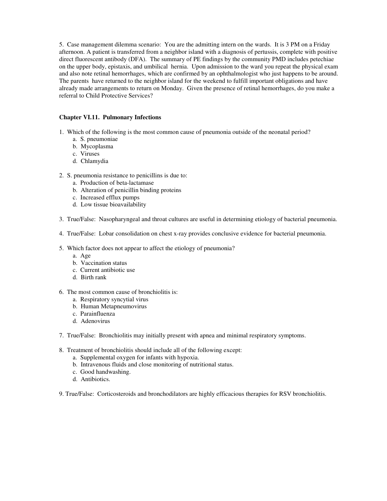5. Case management dilemma scenario: You are the admitting intern on the wards. It is 3 PM on a Friday afternoon. A patient is transferred from a neighbor island with a diagnosis of pertussis, complete with positive direct fluorescent antibody (DFA). The summary of PE findings by the community PMD includes petechiae on the upper body, epistaxis, and umbilical hernia. Upon admission to the ward you repeat the physical exam and also note retinal hemorrhages, which are confirmed by an ophthalmologist who just happens to be around. The parents have returned to the neighbor island for the weekend to fulfill important obligations and have already made arrangements to return on Monday. Given the presence of retinal hemorrhages, do you make a referral to Child Protective Services?

## **Chapter VI.11. Pulmonary Infections**

- 1. Which of the following is the most common cause of pneumonia outside of the neonatal period?
	- a. S. pneumoniae
	- b. Mycoplasma
	- c. Viruses
	- d. Chlamydia
- 2. S. pneumonia resistance to penicillins is due to:
	- a. Production of beta-lactamase
	- b. Alteration of penicillin binding proteins
	- c. Increased efflux pumps
	- d. Low tissue bioavailability
- 3. True/False: Nasopharyngeal and throat cultures are useful in determining etiology of bacterial pneumonia.
- 4. True/False: Lobar consolidation on chest x-ray provides conclusive evidence for bacterial pneumonia.
- 5. Which factor does not appear to affect the etiology of pneumonia?
	- a. Age
	- b. Vaccination status
	- c. Current antibiotic use
	- d. Birth rank
- 6. The most common cause of bronchiolitis is:
	- a. Respiratory syncytial virus
	- b. Human Metapneumovirus
	- c. Parainfluenza
	- d. Adenovirus
- 7. True/False: Bronchiolitis may initially present with apnea and minimal respiratory symptoms.
- 8. Treatment of bronchiolitis should include all of the following except:
	- a. Supplemental oxygen for infants with hypoxia.
	- b. Intravenous fluids and close monitoring of nutritional status.
	- c. Good handwashing.
	- d. Antibiotics.

9. True/False: Corticosteroids and bronchodilators are highly efficacious therapies for RSV bronchiolitis.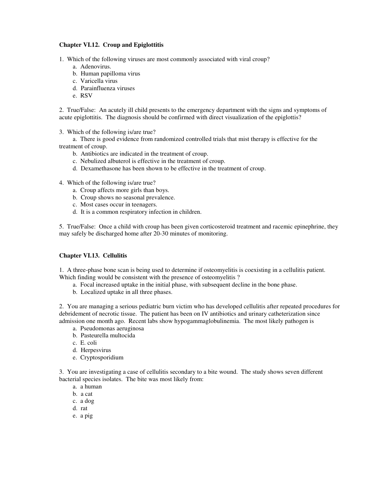### **Chapter VI.12. Croup and Epiglottitis**

1. Which of the following viruses are most commonly associated with viral croup?

- a. Adenovirus.
- b. Human papilloma virus
- c. Varicella virus
- d. Parainfluenza viruses
- e. RSV

2. True/False: An acutely ill child presents to the emergency department with the signs and symptoms of acute epiglottitis. The diagnosis should be confirmed with direct visualization of the epiglottis?

3. Which of the following is/are true?

a. There is good evidence from randomized controlled trials that mist therapy is effective for the treatment of croup.

- b. Antibiotics are indicated in the treatment of croup.
- c. Nebulized albuterol is effective in the treatment of croup.
- d. Dexamethasone has been shown to be effective in the treatment of croup.
- 4. Which of the following is/are true?
	- a. Croup affects more girls than boys.
	- b. Croup shows no seasonal prevalence.
	- c. Most cases occur in teenagers.
	- d. It is a common respiratory infection in children.

5. True/False: Once a child with croup has been given corticosteroid treatment and racemic epinephrine, they may safely be discharged home after 20-30 minutes of monitoring.

# **Chapter VI.13. Cellulitis**

1. A three-phase bone scan is being used to determine if osteomyelitis is coexisting in a cellulitis patient. Which finding would be consistent with the presence of osteomyelitis ?

- a. Focal increased uptake in the initial phase, with subsequent decline in the bone phase.
- b. Localized uptake in all three phases.

2. You are managing a serious pediatric burn victim who has developed cellulitis after repeated procedures for debridement of necrotic tissue. The patient has been on IV antibiotics and urinary catheterization since admission one month ago. Recent labs show hypogammaglobulinemia. The most likely pathogen is

- a. Pseudomonas aeruginosa
- b. Pasteurella multocida
- c. E. coli
- d. Herpesvirus
- e. Cryptosporidium

3. You are investigating a case of cellulitis secondary to a bite wound. The study shows seven different bacterial species isolates. The bite was most likely from:

- a. a human
- b. a cat
- c. a dog
- d. rat
- e. a pig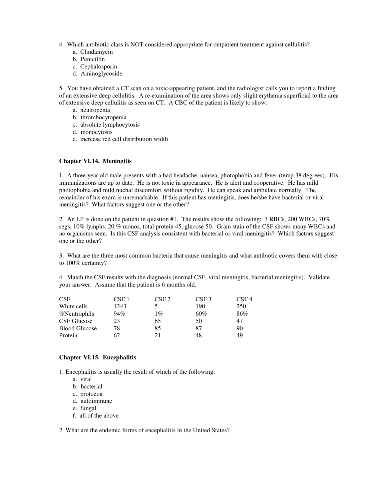- 4. Which antibiotic class is NOT considered appropriate for outpatient treatment against cellulitis?
	- a. Clindamycin
	- b. Penicillin
	- c. Cephalosporin
	- d. Aminoglycoside

5. You have obtained a CT scan on a toxic-appearing patient, and the radiologist calls you to report a finding of an extensive deep cellulitis. A re-examination of the area shows only slight erythema superficial to the area of extensive deep cellulitis as seen on CT. A CBC of the patient is likely to show:

- a. neutropenia
- b. thrombocytopenia
- c. absolute lymphocytosis
- d. monocytosis
- e. increase red cell distribution width

#### **Chapter VI.14. Meningitis**

1. A three year old male presents with a bad headache, nausea, photophobia and fever (temp 38 degrees). His immunizations are up to date. He is not toxic in appearance. He is alert and cooperative. He has mild photophobia and mild nuchal discomfort without rigidity. He can speak and ambulate normally. The remainder of his exam is unremarkable. If this patient has meningitis, does he/she have bacterial or viral meningitis? What factors suggest one or the other?

2. An LP is done on the patient in question #1. The results show the following: 3 RBCs, 200 WBCs, 70% segs, 10% lymphs, 20 % monos, total protein 45, glucose 50. Gram stain of the CSF shows many WBCs and no organisms seen. Is this CSF analysis consistent with bacterial or viral meningitis? Which factors suggest one or the other?

3. What are the three most common bacteria that cause meningitis and what antibiotic covers them with close to 100% certainty?

4. Match the CSF results with the diagnosis (normal CSF, viral meningitis, bacterial meningitis). Validate your answer. Assume that the patient is 6 months old.

| <b>CSF</b>           | CSF <sub>1</sub> | CSF 2 | CSF <sub>3</sub> | CSF <sub>4</sub> |
|----------------------|------------------|-------|------------------|------------------|
| White cells          | 1243             |       | 190              | 250              |
| %Neutrophils         | 94%              | $1\%$ | 60%              | 86%              |
| CSF Glucose          | 23               | 65    | 50               | 47               |
| <b>Blood Glucose</b> | 78               | 85    | 87               | 90               |
| Protein              | 62               | 21    | 48               | 49               |

# **Chapter VI.15. Encephalitis**

1. Encephalitis is usually the result of which of the following:

- a. viral
- b. bacterial
- c. protozoa
- d. autoimmune
- e. fungal
- f. all of the above

2. What are the endemic forms of encephalitis in the United States?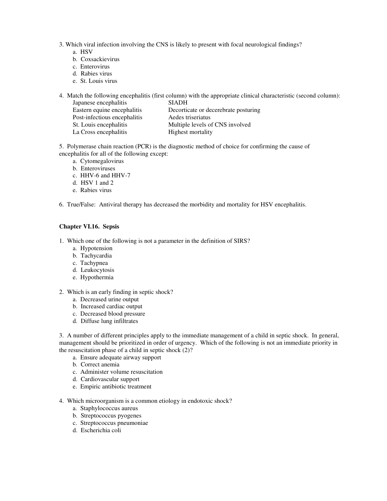- 3. Which viral infection involving the CNS is likely to present with focal neurological findings?
	- a. HSV
	- b. Coxsackievirus
	- c. Enterovirus
	- d. Rabies virus
	- e. St. Louis virus

4. Match the following encephalitis (first column) with the appropriate clinical characteristic (second column):

| Japanese encephalitis        | <b>SIADH</b>                         |  |  |
|------------------------------|--------------------------------------|--|--|
| Eastern equine encephalitis  | Decorticate or decerebrate posturing |  |  |
| Post-infectious encephalitis | Aedes triseriatus                    |  |  |
| St. Louis encephalitis       | Multiple levels of CNS involved      |  |  |
| La Cross encephalitis        | Highest mortality                    |  |  |

5. Polymerase chain reaction (PCR) is the diagnostic method of choice for confirming the cause of encephalitis for all of the following except:

- a. Cytomegalovirus
- b. Enteroviruses
- c. HHV-6 and HHV-7
- d. HSV 1 and 2
- e. Rabies virus

6. True/False: Antiviral therapy has decreased the morbidity and mortality for HSV encephalitis.

### **Chapter VI.16. Sepsis**

- 1. Which one of the following is not a parameter in the definition of SIRS?
	- a. Hypotension
	- b. Tachycardia
	- c. Tachypnea
	- d. Leukocytosis
	- e. Hypothermia
- 2. Which is an early finding in septic shock?
	- a. Decreased urine output
	- b. Increased cardiac output
	- c. Decreased blood pressure
	- d. Diffuse lung infiltrates

3. A number of different principles apply to the immediate management of a child in septic shock. In general, management should be prioritized in order of urgency. Which of the following is not an immediate priority in the resuscitation phase of a child in septic shock (2)?

- a. Ensure adequate airway support
- b. Correct anemia
- c. Administer volume resuscitation
- d. Cardiovascular support
- e. Empiric antibiotic treatment
- 4. Which microorganism is a common etiology in endotoxic shock?
	- a. Staphylococcus aureus
	- b. Streptococcus pyogenes
	- c. Streptococcus pneumoniae
	- d. Escherichia coli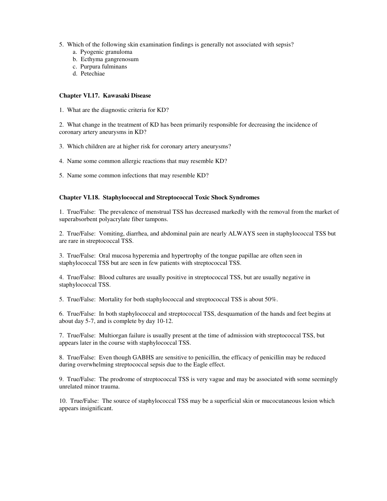- 5. Which of the following skin examination findings is generally not associated with sepsis?
	- a. Pyogenic granuloma
	- b. Ecthyma gangrenosum
	- c. Purpura fulminans
	- d. Petechiae

### **Chapter VI.17. Kawasaki Disease**

1. What are the diagnostic criteria for KD?

2. What change in the treatment of KD has been primarily responsible for decreasing the incidence of coronary artery aneurysms in KD?

- 3. Which children are at higher risk for coronary artery aneurysms?
- 4. Name some common allergic reactions that may resemble KD?
- 5. Name some common infections that may resemble KD?

### **Chapter VI.18. Staphylococcal and Streptococcal Toxic Shock Syndromes**

1. True/False: The prevalence of menstrual TSS has decreased markedly with the removal from the market of superabsorbent polyacrylate fiber tampons.

2. True/False: Vomiting, diarrhea, and abdominal pain are nearly ALWAYS seen in staphylococcal TSS but are rare in streptococcal TSS.

3. True/False: Oral mucosa hyperemia and hypertrophy of the tongue papillae are often seen in staphylococcal TSS but are seen in few patients with streptococcal TSS.

4. True/False: Blood cultures are usually positive in streptococcal TSS, but are usually negative in staphylococcal TSS.

5. True/False: Mortality for both staphylococcal and streptococcal TSS is about 50%.

6. True/False: In both staphylococcal and streptococcal TSS, desquamation of the hands and feet begins at about day 5-7, and is complete by day 10-12.

7. True/False: Multiorgan failure is usually present at the time of admission with streptococcal TSS, but appears later in the course with staphylococcal TSS.

8. True/False: Even though GABHS are sensitive to penicillin, the efficacy of penicillin may be reduced during overwhelming streptococcal sepsis due to the Eagle effect.

9. True/False: The prodrome of streptococcal TSS is very vague and may be associated with some seemingly unrelated minor trauma.

10. True/False: The source of staphylococcal TSS may be a superficial skin or mucocutaneous lesion which appears insignificant.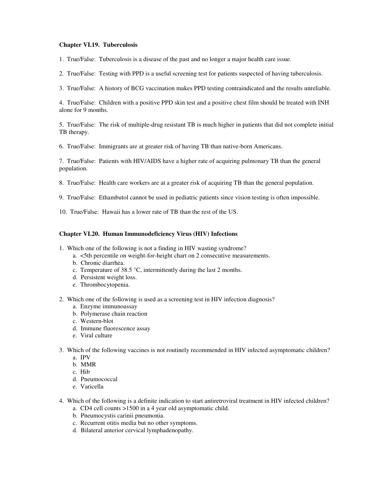### **Chapter VI.19. Tuberculosis**

1. True/False: Tuberculosis is a disease of the past and no longer a major health care issue.

2. True/False: Testing with PPD is a useful screening test for patients suspected of having tuberculosis.

3. True/False: A history of BCG vaccination makes PPD testing contraindicated and the results unreliable.

4. True/False: Children with a positive PPD skin test and a positive chest film should be treated with INH alone for 9 months.

5. True/False: The risk of multiple-drug resistant TB is much higher in patients that did not complete initial TB therapy.

6. True/False: Immigrants are at greater risk of having TB than native-born Americans.

7. True/False: Patients with HIV/AIDS have a higher rate of acquiring pulmonary TB than the general population.

8. True/False: Health care workers are at a greater risk of acquiring TB than the general population.

- 9. True/False: Ethambutol cannot be used in pediatric patients since vision testing is often impossible.
- 10. True/False: Hawaii has a lower rate of TB than the rest of the US.

#### **Chapter VI.20. Human Immunodeficiency Virus (HIV) Infections**

- 1. Which one of the following is not a finding in HIV wasting syndrome?
	- a. <5th percentile on weight-for-height chart on 2 consecutive measurements.
	- b. Chronic diarrhea.
	- c. Temperature of 38.5 °C, intermittently during the last 2 months.
	- d. Persistent weight loss.
	- e. Thrombocytopenia.
- 2. Which one of the following is used as a screening test in HIV infection diagnosis?
	- a. Enzyme immunoassay
	- b. Polymerase chain reaction
	- c. Western-blot
	- d. Immune fluorescence assay
	- e. Viral culture
- 3. Which of the following vaccines is not routinely recommended in HIV infected asymptomatic children?
	- a. IPV
	- b. MMR
	- c. Hib
	- d. Pneumococcal
	- e. Varicella
- 4. Which of the following is a definite indication to start antiretroviral treatment in HIV infected children?
	- a. CD4 cell counts >1500 in a 4 year old asymptomatic child.
	- b. Pneumocystis carinii pneumonia.
	- c. Recurrent otitis media but no other symptoms.
	- d. Bilateral anterior cervical lymphadenopathy.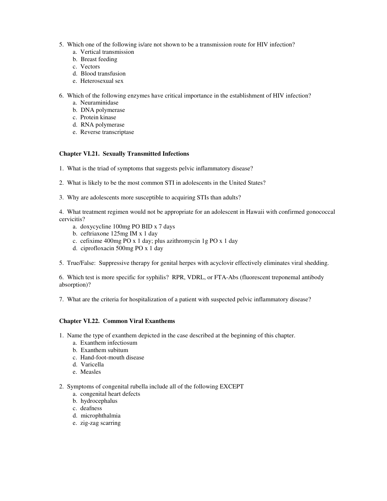- 5. Which one of the following is/are not shown to be a transmission route for HIV infection?
	- a. Vertical transmission
	- b. Breast feeding
	- c. Vectors
	- d. Blood transfusion
	- e. Heterosexual sex
- 6. Which of the following enzymes have critical importance in the establishment of HIV infection?
	- a. Neuraminidase
	- b. DNA polymerase
	- c. Protein kinase
	- d. RNA polymerase
	- e. Reverse transcriptase

### **Chapter VI.21. Sexually Transmitted Infections**

- 1. What is the triad of symptoms that suggests pelvic inflammatory disease?
- 2. What is likely to be the most common STI in adolescents in the United States?
- 3. Why are adolescents more susceptible to acquiring STIs than adults?

4. What treatment regimen would not be appropriate for an adolescent in Hawaii with confirmed gonococcal cervicitis?

- a. doxycycline 100mg PO BID x 7 days
- b. ceftriaxone 125mg IM x 1 day
- c. cefixime 400mg PO x 1 day; plus azithromycin 1g PO x 1 day
- d. ciprofloxacin 500mg PO x 1 day

5. True/False: Suppressive therapy for genital herpes with acyclovir effectively eliminates viral shedding.

6. Which test is more specific for syphilis? RPR, VDRL, or FTA-Abs (fluorescent treponemal antibody absorption)?

7. What are the criteria for hospitalization of a patient with suspected pelvic inflammatory disease?

### **Chapter VI.22. Common Viral Exanthems**

- 1. Name the type of exanthem depicted in the case described at the beginning of this chapter.
	- a. Exanthem infectiosum
	- b. Exanthem subitum
	- c. Hand-foot-mouth disease
	- d. Varicella
	- e. Measles
- 2. Symptoms of congenital rubella include all of the following EXCEPT
	- a. congenital heart defects
	- b. hydrocephalus
	- c. deafness
	- d. microphthalmia
	- e. zig-zag scarring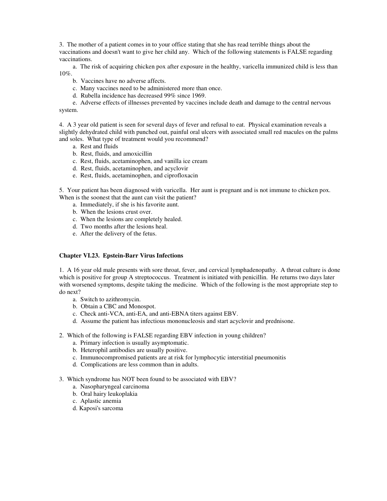3. The mother of a patient comes in to your office stating that she has read terrible things about the vaccinations and doesn't want to give her child any. Which of the following statements is FALSE regarding vaccinations.

a. The risk of acquiring chicken pox after exposure in the healthy, varicella immunized child is less than 10%.

- b. Vaccines have no adverse affects.
- c. Many vaccines need to be administered more than once.
- d. Rubella incidence has decreased 99% since 1969.

e. Adverse effects of illnesses prevented by vaccines include death and damage to the central nervous system.

4. A 3 year old patient is seen for several days of fever and refusal to eat. Physical examination reveals a slightly dehydrated child with punched out, painful oral ulcers with associated small red macules on the palms and soles. What type of treatment would you recommend?

- a. Rest and fluids
- b. Rest, fluids, and amoxicillin
- c. Rest, fluids, acetaminophen, and vanilla ice cream
- d. Rest, fluids, acetaminophen, and acyclovir
- e. Rest, fluids, acetaminophen, and ciprofloxacin

5. Your patient has been diagnosed with varicella. Her aunt is pregnant and is not immune to chicken pox. When is the soonest that the aunt can visit the patient?

- a. Immediately, if she is his favorite aunt.
- b. When the lesions crust over.
- c. When the lesions are completely healed.
- d. Two months after the lesions heal.
- e. After the delivery of the fetus.

#### **Chapter VI.23. Epstein-Barr Virus Infections**

1. A 16 year old male presents with sore throat, fever, and cervical lymphadenopathy. A throat culture is done which is positive for group A streptococcus. Treatment is initiated with penicillin. He returns two days later with worsened symptoms, despite taking the medicine. Which of the following is the most appropriate step to do next?

- a. Switch to azithromycin.
- b. Obtain a CBC and Monospot.
- c. Check anti-VCA, anti-EA, and anti-EBNA titers against EBV.
- d. Assume the patient has infectious mononucleosis and start acyclovir and prednisone.
- 2. Which of the following is FALSE regarding EBV infection in young children?
	- a. Primary infection is usually asymptomatic.
	- b. Heterophil antibodies are usually positive.
	- c. Immunocompromised patients are at risk for lymphocytic interstitial pneumonitis
	- d. Complications are less common than in adults.
- 3. Which syndrome has NOT been found to be associated with EBV?
	- a. Nasopharyngeal carcinoma
	- b. Oral hairy leukoplakia
	- c. Aplastic anemia
	- d. Kaposi's sarcoma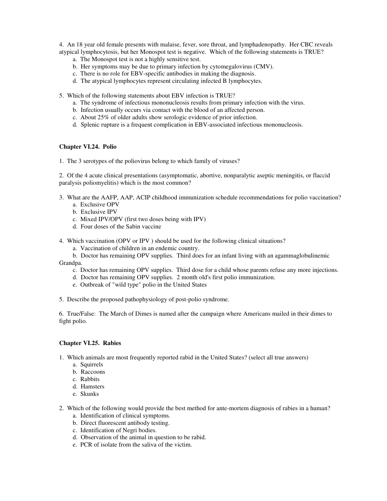4. An 18 year old female presents with malaise, fever, sore throat, and lymphadenopathy. Her CBC reveals atypical lymphocytosis, but her Monospot test is negative. Which of the following statements is TRUE?

- a. The Monospot test is not a highly sensitive test.
- b. Her symptoms may be due to primary infection by cytomegalovirus (CMV).
- c. There is no role for EBV-specific antibodies in making the diagnosis.
- d. The atypical lymphocytes represent circulating infected B lymphocytes.
- 5. Which of the following statements about EBV infection is TRUE?
	- a. The syndrome of infectious mononucleosis results from primary infection with the virus.
	- b. Infection usually occurs via contact with the blood of an affected person.
	- c. About 25% of older adults show serologic evidence of prior infection.
	- d. Splenic rupture is a frequent complication in EBV-associated infectious mononucleosis.

### **Chapter VI.24. Polio**

1. The 3 serotypes of the poliovirus belong to which family of viruses?

2. Of the 4 acute clinical presentations (asymptomatic, abortive, nonparalytic aseptic meningitis, or flaccid paralysis poliomyelitis) which is the most common?

- 3. What are the AAFP, AAP, ACIP childhood immunization schedule recommendations for polio vaccination? a. Exclusive OPV
	- b. Exclusive IPV
	- c. Mixed IPV/OPV (first two doses being with IPV)
	- d. Four doses of the Sabin vaccine
- 4. Which vaccination (OPV or IPV ) should be used for the following clinical situations?
	- a. Vaccination of children in an endemic country.
- b. Doctor has remaining OPV supplies. Third does for an infant living with an agammaglobulinemic Grandpa.
	- c. Doctor has remaining OPV supplies. Third dose for a child whose parents refuse any more injections.
	- d. Doctor has remaining OPV supplies. 2 month old's first polio immunization.
	- e. Outbreak of "wild type" polio in the United States
- 5. Describe the proposed pathophysiology of post-polio syndrome.

6. True/False: The March of Dimes is named after the campaign where Americans mailed in their dimes to fight polio.

#### **Chapter VI.25. Rabies**

- 1. Which animals are most frequently reported rabid in the United States? (select all true answers)
	- a. Squirrels
	- b. Raccoons
	- c. Rabbits
	- d. Hamsters
	- e. Skunks
- 2. Which of the following would provide the best method for ante-mortem diagnosis of rabies in a human? a. Identification of clinical symptoms.
	- b. Direct fluorescent antibody testing.
	- c. Identification of Negri bodies.
	- d. Observation of the animal in question to be rabid.
	- e. PCR of isolate from the saliva of the victim.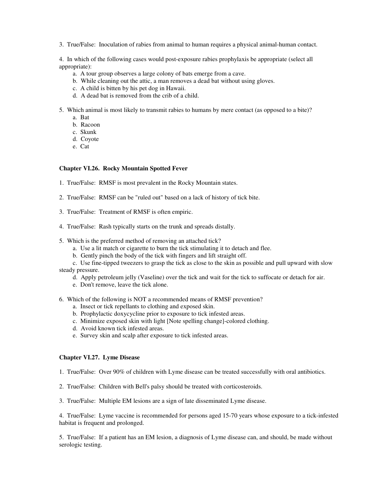3. True/False: Inoculation of rabies from animal to human requires a physical animal-human contact.

4. In which of the following cases would post-exposure rabies prophylaxis be appropriate (select all appropriate):

- a. A tour group observes a large colony of bats emerge from a cave.
- b. While cleaning out the attic, a man removes a dead bat without using gloves.
- c. A child is bitten by his pet dog in Hawaii.
- d. A dead bat is removed from the crib of a child.
- 5. Which animal is most likely to transmit rabies to humans by mere contact (as opposed to a bite)?
	- a. Bat
	- b. Racoon
	- c. Skunk
	- d. Coyote
	- e. Cat

#### **Chapter VI.26. Rocky Mountain Spotted Fever**

- 1. True/False: RMSF is most prevalent in the Rocky Mountain states.
- 2. True/False: RMSF can be "ruled out" based on a lack of history of tick bite.
- 3. True/False: Treatment of RMSF is often empiric.
- 4. True/False: Rash typically starts on the trunk and spreads distally.
- 5. Which is the preferred method of removing an attached tick?
	- a. Use a lit match or cigarette to burn the tick stimulating it to detach and flee.
	- b. Gently pinch the body of the tick with fingers and lift straight off.

c. Use fine-tipped tweezers to grasp the tick as close to the skin as possible and pull upward with slow steady pressure.

- d. Apply petroleum jelly (Vaseline) over the tick and wait for the tick to suffocate or detach for air.
- e. Don't remove, leave the tick alone.

6. Which of the following is NOT a recommended means of RMSF prevention?

- a. Insect or tick repellants to clothing and exposed skin.
- b. Prophylactic doxycycline prior to exposure to tick infested areas.
- c. Minimize exposed skin with light [Note spelling change]-colored clothing.
- d. Avoid known tick infested areas.
- e. Survey skin and scalp after exposure to tick infested areas.

#### **Chapter VI.27. Lyme Disease**

- 1. True/False: Over 90% of children with Lyme disease can be treated successfully with oral antibiotics.
- 2. True/False: Children with Bell's palsy should be treated with corticosteroids.
- 3. True/False: Multiple EM lesions are a sign of late disseminated Lyme disease.

4. True/False: Lyme vaccine is recommended for persons aged 15-70 years whose exposure to a tick-infested habitat is frequent and prolonged.

5. True/False: If a patient has an EM lesion, a diagnosis of Lyme disease can, and should, be made without serologic testing.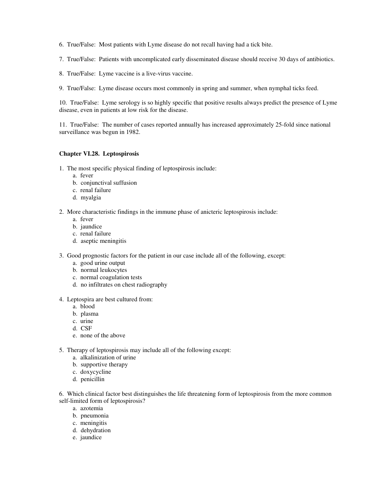- 6. True/False: Most patients with Lyme disease do not recall having had a tick bite.
- 7. True/False: Patients with uncomplicated early disseminated disease should receive 30 days of antibiotics.
- 8. True/False: Lyme vaccine is a live-virus vaccine.
- 9. True/False: Lyme disease occurs most commonly in spring and summer, when nymphal ticks feed.

10. True/False: Lyme serology is so highly specific that positive results always predict the presence of Lyme disease, even in patients at low risk for the disease.

11. True/False: The number of cases reported annually has increased approximately 25-fold since national surveillance was begun in 1982.

## **Chapter VI.28. Leptospirosis**

- 1. The most specific physical finding of leptospirosis include:
	- a. fever
	- b. conjunctival suffusion
	- c. renal failure
	- d. myalgia
- 2. More characteristic findings in the immune phase of anicteric leptospirosis include:
	- a. fever
	- b. jaundice
	- c. renal failure
	- d. aseptic meningitis
- 3. Good prognostic factors for the patient in our case include all of the following, except:
	- a. good urine output
	- b. normal leukocytes
	- c. normal coagulation tests
	- d. no infiltrates on chest radiography
- 4. Leptospira are best cultured from:
	- a. blood
	- b. plasma
	- c. urine
	- d. CSF
	- e. none of the above
- 5. Therapy of leptospirosis may include all of the following except:
	- a. alkalinization of urine
	- b. supportive therapy
	- c. doxycycline
	- d. penicillin

6. Which clinical factor best distinguishes the life threatening form of leptospirosis from the more common self-limited form of leptospirosis?

- a. azotemia
- b. pneumonia
- c. meningitis
- d. dehydration
- e. jaundice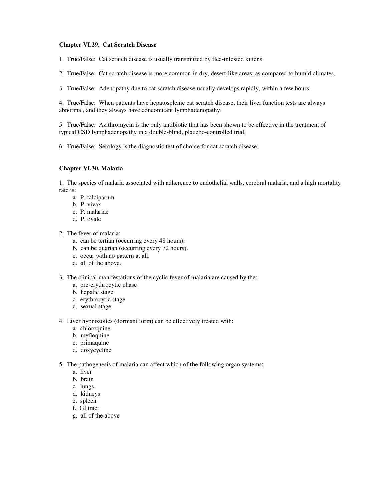### **Chapter VI.29. Cat Scratch Disease**

1. True/False: Cat scratch disease is usually transmitted by flea-infested kittens.

2. True/False: Cat scratch disease is more common in dry, desert-like areas, as compared to humid climates.

3. True/False: Adenopathy due to cat scratch disease usually develops rapidly, within a few hours.

4. True/False: When patients have hepatosplenic cat scratch disease, their liver function tests are always abnormal, and they always have concomitant lymphadenopathy.

5. True/False: Azithromycin is the only antibiotic that has been shown to be effective in the treatment of typical CSD lymphadenopathy in a double-blind, placebo-controlled trial.

6. True/False: Serology is the diagnostic test of choice for cat scratch disease.

### **Chapter VI.30. Malaria**

1. The species of malaria associated with adherence to endothelial walls, cerebral malaria, and a high mortality rate is:

- a. P. falciparum
- b. P. vivax
- c. P. malariae
- d. P. ovale

2. The fever of malaria:

- a. can be tertian (occurring every 48 hours).
- b. can be quartan (occurring every 72 hours).
- c. occur with no pattern at all.
- d. all of the above.
- 3. The clinical manifestations of the cyclic fever of malaria are caused by the:
	- a. pre-erythrocytic phase
	- b. hepatic stage
	- c. erythrocytic stage
	- d. sexual stage
- 4. Liver hypnozoites (dormant form) can be effectively treated with:
	- a. chloroquine
	- b. mefloquine
	- c. primaquine
	- d. doxycycline
- 5. The pathogenesis of malaria can affect which of the following organ systems:
	- a. liver
	- b. brain
	- c. lungs
	- d. kidneys
	- e. spleen
	- f. GI tract
	- g. all of the above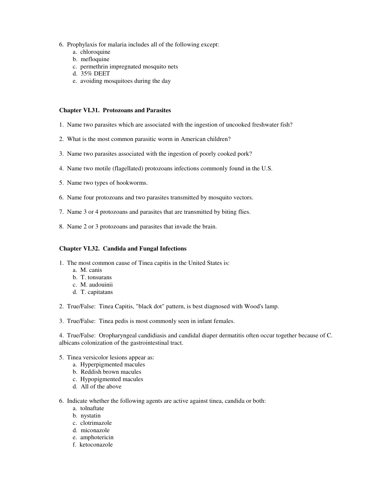- 6. Prophylaxis for malaria includes all of the following except:
	- a. chloroquine
	- b. mefloquine
	- c. permethrin impregnated mosquito nets
	- d. 35% DEET
	- e. avoiding mosquitoes during the day

#### **Chapter VI.31. Protozoans and Parasites**

- 1. Name two parasites which are associated with the ingestion of uncooked freshwater fish?
- 2. What is the most common parasitic worm in American children?
- 3. Name two parasites associated with the ingestion of poorly cooked pork?
- 4. Name two motile (flagellated) protozoans infections commonly found in the U.S.
- 5. Name two types of hookworms.
- 6. Name four protozoans and two parasites transmitted by mosquito vectors.
- 7. Name 3 or 4 protozoans and parasites that are transmitted by biting flies.
- 8. Name 2 or 3 protozoans and parasites that invade the brain.

### **Chapter VI.32. Candida and Fungal Infections**

- 1. The most common cause of Tinea capitis in the United States is:
	- a. M. canis
	- b. T. tonsurans
	- c. M. audouinii
	- d. T. capitatans
- 2. True/False: Tinea Capitis, "black dot" pattern, is best diagnosed with Wood's lamp.
- 3. True/False: Tinea pedis is most commonly seen in infant females.

4. True/False: Oropharyngeal candidiasis and candidal diaper dermatitis often occur together because of C. albicans colonization of the gastrointestinal tract.

- 5. Tinea versicolor lesions appear as:
	- a. Hyperpigmented macules
	- b. Reddish brown macules
	- c. Hypopigmented macules
	- d. All of the above
- 6. Indicate whether the following agents are active against tinea, candida or both:
	- a. tolnaftate
	- b. nystatin
	- c. clotrimazole
	- d. miconazole
	- e. amphotericin
	- f. ketoconazole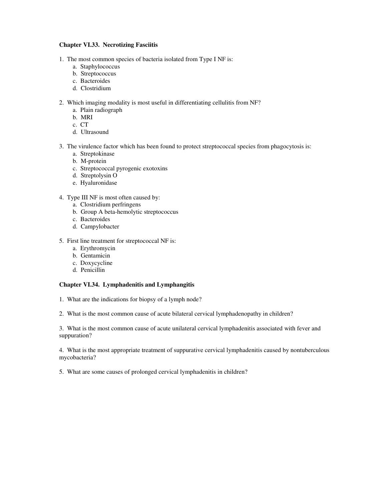## **Chapter VI.33. Necrotizing Fasciitis**

- 1. The most common species of bacteria isolated from Type I NF is:
	- a. Staphylococcus
	- b. Streptococcus
	- c. Bacteroides
	- d. Clostridium
- 2. Which imaging modality is most useful in differentiating cellulitis from NF?
	- a. Plain radiograph
	- b. MRI
	- c. CT
	- d. Ultrasound
- 3. The virulence factor which has been found to protect streptococcal species from phagocytosis is:
	- a. Streptokinase
	- b. M-protein
	- c. Streptococcal pyrogenic exotoxins
	- d. Streptolysin O
	- e. Hyaluronidase
- 4. Type III NF is most often caused by:
	- a. Clostridium perfringens
	- b. Group A beta-hemolytic streptococcus
	- c. Bacteroides
	- d. Campylobacter
- 5. First line treatment for streptococcal NF is:
	- a. Erythromycin
	- b. Gentamicin
	- c. Doxycycline
	- d. Penicillin

# **Chapter VI.34. Lymphadenitis and Lymphangitis**

- 1. What are the indications for biopsy of a lymph node?
- 2. What is the most common cause of acute bilateral cervical lymphadenopathy in children?

3. What is the most common cause of acute unilateral cervical lymphadenitis associated with fever and suppuration?

4. What is the most appropriate treatment of suppurative cervical lymphadenitis caused by nontuberculous mycobacteria?

5. What are some causes of prolonged cervical lymphadenitis in children?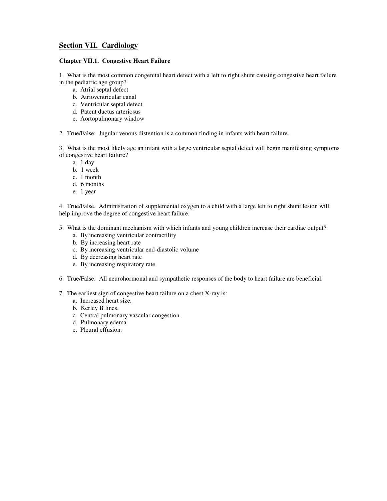# **Section VII. Cardiology**

### **Chapter VII.1. Congestive Heart Failure**

1. What is the most common congenital heart defect with a left to right shunt causing congestive heart failure in the pediatric age group?

- a. Atrial septal defect
- b. Atrioventricular canal
- c. Ventricular septal defect
- d. Patent ductus arteriosus
- e. Aortopulmonary window

2. True/False: Jugular venous distention is a common finding in infants with heart failure.

3. What is the most likely age an infant with a large ventricular septal defect will begin manifesting symptoms of congestive heart failure?

- a. 1 day
- b. 1 week
- c. 1 month
- d. 6 months
- e. 1 year

4. True/False. Administration of supplemental oxygen to a child with a large left to right shunt lesion will help improve the degree of congestive heart failure.

- 5. What is the dominant mechanism with which infants and young children increase their cardiac output?
	- a. By increasing ventricular contractility
	- b. By increasing heart rate
	- c. By increasing ventricular end-diastolic volume
	- d. By decreasing heart rate
	- e. By increasing respiratory rate
- 6. True/False: All neurohormonal and sympathetic responses of the body to heart failure are beneficial.
- 7. The earliest sign of congestive heart failure on a chest X-ray is:
	- a. Increased heart size.
	- b. Kerley B lines.
	- c. Central pulmonary vascular congestion.
	- d. Pulmonary edema.
	- e. Pleural effusion.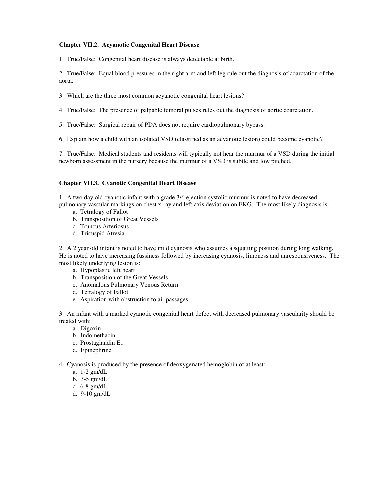#### **Chapter VII.2. Acyanotic Congenital Heart Disease**

1. True/False: Congenital heart disease is always detectable at birth.

2. True/False: Equal blood pressures in the right arm and left leg rule out the diagnosis of coarctation of the aorta.

- 3. Which are the three most common acyanotic congenital heart lesions?
- 4. True/False: The presence of palpable femoral pulses rules out the diagnosis of aortic coarctation.
- 5. True/False: Surgical repair of PDA does not require cardiopulmonary bypass.
- 6. Explain how a child with an isolated VSD (classified as an acyanotic lesion) could become cyanotic?

7. True/False: Medical students and residents will typically not hear the murmur of a VSD during the initial newborn assessment in the nursery because the murmur of a VSD is subtle and low pitched.

#### **Chapter VII.3. Cyanotic Congenital Heart Disease**

1. A two day old cyanotic infant with a grade 3/6 ejection systolic murmur is noted to have decreased pulmonary vascular markings on chest x-ray and left axis deviation on EKG. The most likely diagnosis is:

- a. Tetralogy of Fallot
- b. Transposition of Great Vessels
- c. Truncus Arteriosus
- d. Tricuspid Atresia

2. A 2 year old infant is noted to have mild cyanosis who assumes a squatting position during long walking. He is noted to have increasing fussiness followed by increasing cyanosis, limpness and unresponsiveness. The most likely underlying lesion is:

- a. Hypoplastic left heart
- b. Transposition of the Great Vessels
- c. Anomalous Pulmonary Venous Return
- d. Tetralogy of Fallot
- e. Aspiration with obstruction to air passages

3. An infant with a marked cyanotic congenital heart defect with decreased pulmonary vascularity should be treated with:

- a. Digoxin
- b. Indomethacin
- c. Prostaglandin E1
- d. Epinephrine
- 4. Cyanosis is produced by the presence of deoxygenated hemoglobin of at least:
	- a. 1-2 gm/dL
	- b. 3-5 gm/dL
	- c. 6-8 gm/dL
	- d. 9-10 gm/dL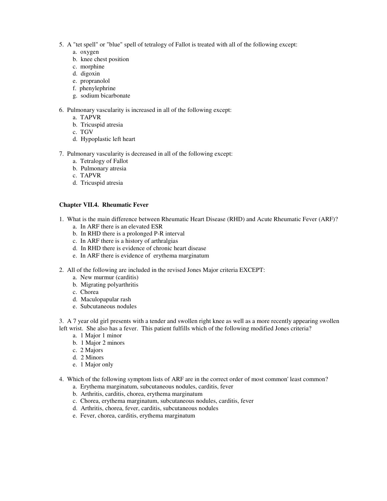- 5. A "tet spell" or "blue" spell of tetralogy of Fallot is treated with all of the following except:
	- a. oxygen
	- b. knee chest position
	- c. morphine
	- d. digoxin
	- e. propranolol
	- f. phenylephrine
	- g. sodium bicarbonate

6. Pulmonary vascularity is increased in all of the following except:

- a. TAPVR
- b. Tricuspid atresia
- c. TGV
- d. Hypoplastic left heart
- 7. Pulmonary vascularity is decreased in all of the following except:
	- a. Tetralogy of Fallot
	- b. Pulmonary atresia
	- c. TAPVR
	- d. Tricuspid atresia

### **Chapter VII.4. Rheumatic Fever**

- 1. What is the main difference between Rheumatic Heart Disease (RHD) and Acute Rheumatic Fever (ARF)?
	- a. In ARF there is an elevated ESR
	- b. In RHD there is a prolonged P-R interval
	- c. In ARF there is a history of arthralgias
	- d. In RHD there is evidence of chronic heart disease
	- e. In ARF there is evidence of erythema marginatum
- 2. All of the following are included in the revised Jones Major criteria EXCEPT:
	- a. New murmur (carditis)
	- b. Migrating polyarthritis
	- c. Chorea
	- d. Maculopapular rash
	- e. Subcutaneous nodules

3. A 7 year old girl presents with a tender and swollen right knee as well as a more recently appearing swollen left wrist. She also has a fever. This patient fulfills which of the following modified Jones criteria?

- a. 1 Major 1 minor
- b. 1 Major 2 minors
- c. 2 Majors
- d. 2 Minors
- e. 1 Major only
- 4. Which of the following symptom lists of ARF are in the correct order of most common' least common?
	- a. Erythema marginatum, subcutaneous nodules, carditis, fever
	- b. Arthritis, carditis, chorea, erythema marginatum
	- c. Chorea, erythema marginatum, subcutaneous nodules, carditis, fever
	- d. Arthritis, chorea, fever, carditis, subcutaneous nodules
	- e. Fever, chorea, carditis, erythema marginatum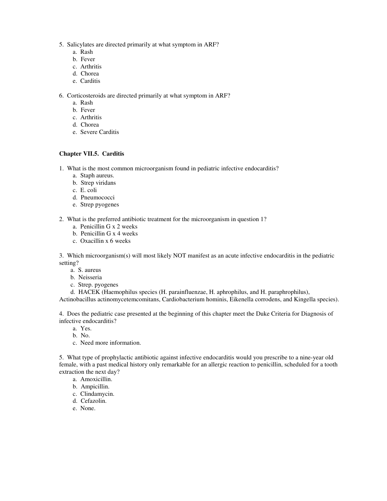- 5. Salicylates are directed primarily at what symptom in ARF?
	- a. Rash
	- b. Fever
	- c. Arthritis
	- d. Chorea
	- e. Carditis

6. Corticosteroids are directed primarily at what symptom in ARF?

- a. Rash
- b. Fever
- c. Arthritis
- d. Chorea
- e. Severe Carditis

# **Chapter VII.5. Carditis**

- 1. What is the most common microorganism found in pediatric infective endocarditis?
	- a. Staph aureus.
	- b. Strep viridans
	- c. E. coli
	- d. Pneumococci
	- e. Strep pyogenes
- 2. What is the preferred antibiotic treatment for the microorganism in question 1?
	- a. Penicillin G x 2 weeks
	- b. Penicillin G x 4 weeks
	- c. Oxacillin x 6 weeks

3. Which microorganism(s) will most likely NOT manifest as an acute infective endocarditis in the pediatric setting?

- a. S. aureus
- b. Neisseria
- c. Strep. pyogenes
- d. HACEK (Haemophilus species (H. parainfluenzae, H. aphrophilus, and H. paraphrophilus),

Actinobacillus actinomycetemcomitans, Cardiobacterium hominis, Eikenella corrodens, and Kingella species).

4. Does the pediatric case presented at the beginning of this chapter meet the Duke Criteria for Diagnosis of infective endocarditis?

- a. Yes.
- b. No.
- c. Need more information.

5. What type of prophylactic antibiotic against infective endocarditis would you prescribe to a nine-year old female, with a past medical history only remarkable for an allergic reaction to penicillin, scheduled for a tooth extraction the next day?

- a. Amoxicillin.
- b. Ampicillin.
- c. Clindamycin.
- d. Cefazolin.
- e. None.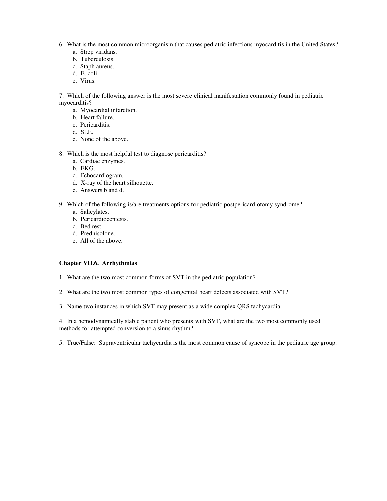- 6. What is the most common microorganism that causes pediatric infectious myocarditis in the United States?
	- a. Strep viridans.
	- b. Tuberculosis.
	- c. Staph aureus.
	- d. E. coli.
	- e. Virus.

7. Which of the following answer is the most severe clinical manifestation commonly found in pediatric myocarditis?

- a. Myocardial infarction.
- b. Heart failure.
- c. Pericarditis.
- d. SLE.
- e. None of the above.
- 8. Which is the most helpful test to diagnose pericarditis?
	- a. Cardiac enzymes.
	- b. EKG.
	- c. Echocardiogram.
	- d. X-ray of the heart silhouette.
	- e. Answers b and d.
- 9. Which of the following is/are treatments options for pediatric postpericardiotomy syndrome?
	- a. Salicylates.
	- b. Pericardiocentesis.
	- c. Bed rest.
	- d. Prednisolone.
	- e. All of the above.

#### **Chapter VII.6. Arrhythmias**

- 1. What are the two most common forms of SVT in the pediatric population?
- 2. What are the two most common types of congenital heart defects associated with SVT?
- 3. Name two instances in which SVT may present as a wide complex QRS tachycardia.

4. In a hemodynamically stable patient who presents with SVT, what are the two most commonly used methods for attempted conversion to a sinus rhythm?

5. True/False: Supraventricular tachycardia is the most common cause of syncope in the pediatric age group.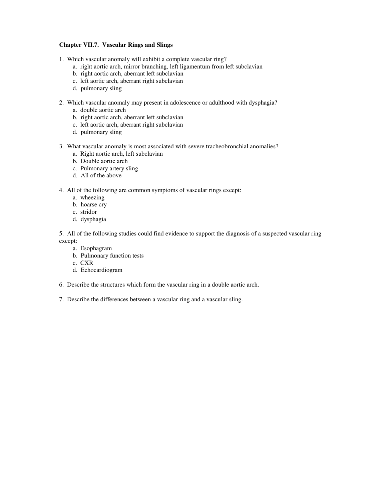### **Chapter VII.7. Vascular Rings and Slings**

- 1. Which vascular anomaly will exhibit a complete vascular ring?
	- a. right aortic arch, mirror branching, left ligamentum from left subclavian
	- b. right aortic arch, aberrant left subclavian
	- c. left aortic arch, aberrant right subclavian
	- d. pulmonary sling
- 2. Which vascular anomaly may present in adolescence or adulthood with dysphagia?
	- a. double aortic arch
	- b. right aortic arch, aberrant left subclavian
	- c. left aortic arch, aberrant right subclavian
	- d. pulmonary sling
- 3. What vascular anomaly is most associated with severe tracheobronchial anomalies?
	- a. Right aortic arch, left subclavian
	- b. Double aortic arch
	- c. Pulmonary artery sling
	- d. All of the above
- 4. All of the following are common symptoms of vascular rings except:
	- a. wheezing
	- b. hoarse cry
	- c. stridor
	- d. dysphagia

5. All of the following studies could find evidence to support the diagnosis of a suspected vascular ring except:

- a. Esophagram
- b. Pulmonary function tests
- c. CXR
- d. Echocardiogram
- 6. Describe the structures which form the vascular ring in a double aortic arch.
- 7. Describe the differences between a vascular ring and a vascular sling.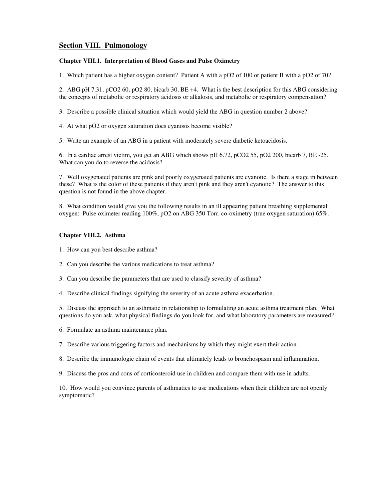# **Section VIII. Pulmonology**

### **Chapter VIII.1. Interpretation of Blood Gases and Pulse Oximetry**

1. Which patient has a higher oxygen content? Patient A with a pO2 of 100 or patient B with a pO2 of 70?

2. ABG pH 7.31, pCO2 60, pO2 80, bicarb 30, BE +4. What is the best description for this ABG considering the concepts of metabolic or respiratory acidosis or alkalosis, and metabolic or respiratory compensation?

3. Describe a possible clinical situation which would yield the ABG in question number 2 above?

4. At what pO2 or oxygen saturation does cyanosis become visible?

5. Write an example of an ABG in a patient with moderately severe diabetic ketoacidosis.

6. In a cardiac arrest victim, you get an ABG which shows pH 6.72, pCO2 55, pO2 200, bicarb 7, BE -25. What can you do to reverse the acidosis?

7. Well oxygenated patients are pink and poorly oxygenated patients are cyanotic. Is there a stage in between these? What is the color of these patients if they aren't pink and they aren't cyanotic? The answer to this question is not found in the above chapter.

8. What condition would give you the following results in an ill appearing patient breathing supplemental oxygen: Pulse oximeter reading 100%, pO2 on ABG 350 Torr, co-oximetry (true oxygen saturation) 65%.

### **Chapter VIII.2. Asthma**

- 1. How can you best describe asthma?
- 2. Can you describe the various medications to treat asthma?
- 3. Can you describe the parameters that are used to classify severity of asthma?
- 4. Describe clinical findings signifying the severity of an acute asthma exacerbation.

5. Discuss the approach to an asthmatic in relationship to formulating an acute asthma treatment plan. What questions do you ask, what physical findings do you look for, and what laboratory parameters are measured?

6. Formulate an asthma maintenance plan.

7. Describe various triggering factors and mechanisms by which they might exert their action.

8. Describe the immunologic chain of events that ultimately leads to bronchospasm and inflammation.

9. Discuss the pros and cons of corticosteroid use in children and compare them with use in adults.

10. How would you convince parents of asthmatics to use medications when their children are not openly symptomatic?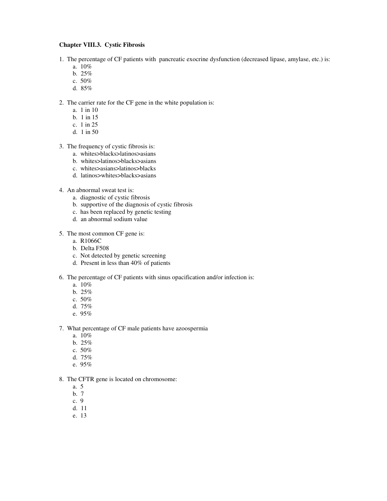### **Chapter VIII.3. Cystic Fibrosis**

- 1. The percentage of CF patients with pancreatic exocrine dysfunction (decreased lipase, amylase, etc.) is:
	- a. 10%
	- b. 25%
	- c. 50%
	- d. 85%
- 2. The carrier rate for the CF gene in the white population is:
	- a. 1 in 10
	- b. 1 in 15
	- c. 1 in 25
	- d. 1 in 50
- 3. The frequency of cystic fibrosis is:
	- a. whites>blacks>latinos>asians
	- b. whites>latinos>blacks>asians
	- c. whites>asians>latinos>blacks
	- d. latinos>whites>blacks>asians
- 4. An abnormal sweat test is:
	- a. diagnostic of cystic fibrosis
	- b. supportive of the diagnosis of cystic fibrosis
	- c. has been replaced by genetic testing
	- d. an abnormal sodium value
- 5. The most common CF gene is:
	- a. R1066C
	- b. Delta F508
	- c. Not detected by genetic screening
	- d. Present in less than 40% of patients
- 6. The percentage of CF patients with sinus opacification and/or infection is:
	- a. 10%
	- b. 25%
	- c. 50%
	- d. 75%
	- e. 95%
- 7. What percentage of CF male patients have azoospermia
	- a. 10%
	- b. 25%
	- c. 50%
	- d. 75%
	- e. 95%
- 8. The CFTR gene is located on chromosome:
	- a. 5
	- b. 7
	- c. 9
	- d. 11
	- e. 13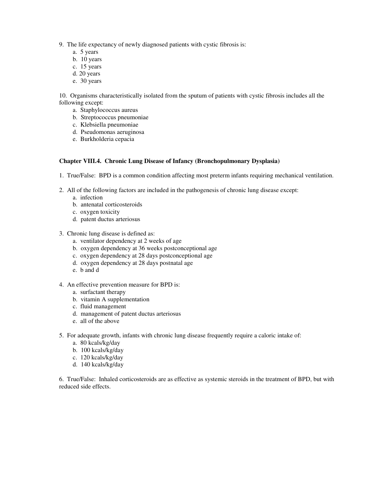9. The life expectancy of newly diagnosed patients with cystic fibrosis is:

- a. 5 years
- b. 10 years
- c. 15 years
- d. 20 years
- e. 30 years

10. Organisms characteristically isolated from the sputum of patients with cystic fibrosis includes all the following except:

- a. Staphylococcus aureus
- b. Streptococcus pneumoniae
- c. Klebsiella pneumoniae
- d. Pseudomonas aeruginosa
- e. Burkholderia cepacia

### **Chapter VIII.4. Chronic Lung Disease of Infancy (Bronchopulmonary Dysplasia)**

- 1. True/False: BPD is a common condition affecting most preterm infants requiring mechanical ventilation.
- 2. All of the following factors are included in the pathogenesis of chronic lung disease except:
	- a. infection
	- b. antenatal corticosteroids
	- c. oxygen toxicity
	- d. patent ductus arteriosus
- 3. Chronic lung disease is defined as:
	- a. ventilator dependency at 2 weeks of age
	- b. oxygen dependency at 36 weeks postconceptional age
	- c. oxygen dependency at 28 days postconceptional age
	- d. oxygen dependency at 28 days postnatal age
	- e. b and d
- 4. An effective prevention measure for BPD is:
	- a. surfactant therapy
	- b. vitamin A supplementation
	- c. fluid management
	- d. management of patent ductus arteriosus
	- e. all of the above
- 5. For adequate growth, infants with chronic lung disease frequently require a caloric intake of:
	- a. 80 kcals/kg/day
	- b. 100 kcals/kg/day
	- c. 120 kcals/kg/day
	- d. 140 kcals/kg/day

6. True/False: Inhaled corticosteroids are as effective as systemic steroids in the treatment of BPD, but with reduced side effects.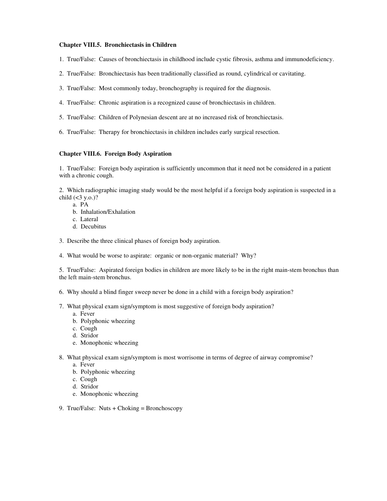#### **Chapter VIII.5. Bronchiectasis in Children**

- 1. True/False: Causes of bronchiectasis in childhood include cystic fibrosis, asthma and immunodeficiency.
- 2. True/False: Bronchiectasis has been traditionally classified as round, cylindrical or cavitating.
- 3. True/False: Most commonly today, bronchography is required for the diagnosis.
- 4. True/False: Chronic aspiration is a recognized cause of bronchiectasis in children.
- 5. True/False: Children of Polynesian descent are at no increased risk of bronchiectasis.
- 6. True/False: Therapy for bronchiectasis in children includes early surgical resection.

## **Chapter VIII.6. Foreign Body Aspiration**

1. True/False: Foreign body aspiration is sufficiently uncommon that it need not be considered in a patient with a chronic cough.

2. Which radiographic imaging study would be the most helpful if a foreign body aspiration is suspected in a child  $(<3 y.o.$ )?

- a. PA
	- b. Inhalation/Exhalation
	- c. Lateral
	- d. Decubitus
- 3. Describe the three clinical phases of foreign body aspiration.
- 4. What would be worse to aspirate: organic or non-organic material? Why?

5. True/False: Aspirated foreign bodies in children are more likely to be in the right main-stem bronchus than the left main-stem bronchus.

- 6. Why should a blind finger sweep never be done in a child with a foreign body aspiration?
- 7. What physical exam sign/symptom is most suggestive of foreign body aspiration?
	- a. Fever
	- b. Polyphonic wheezing
	- c. Cough
	- d. Stridor
	- e. Monophonic wheezing
- 8. What physical exam sign/symptom is most worrisome in terms of degree of airway compromise?
	- a. Fever
	- b. Polyphonic wheezing
	- c. Cough
	- d. Stridor
	- e. Monophonic wheezing
- 9. True/False: Nuts + Choking = Bronchoscopy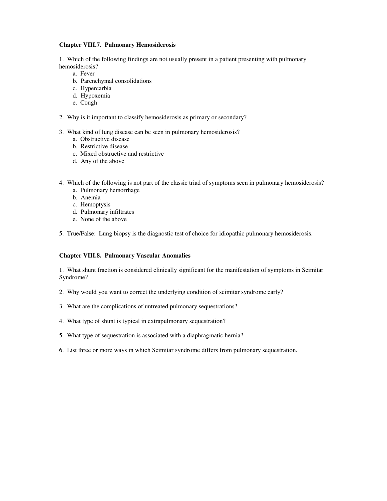### **Chapter VIII.7. Pulmonary Hemosiderosis**

1. Which of the following findings are not usually present in a patient presenting with pulmonary hemosiderosis?

- a. Fever
- b. Parenchymal consolidations
- c. Hypercarbia
- d. Hypoxemia
- e. Cough
- 2. Why is it important to classify hemosiderosis as primary or secondary?
- 3. What kind of lung disease can be seen in pulmonary hemosiderosis?
	- a. Obstructive disease
	- b. Restrictive disease
	- c. Mixed obstructive and restrictive
	- d. Any of the above
- 4. Which of the following is not part of the classic triad of symptoms seen in pulmonary hemosiderosis?
	- a. Pulmonary hemorrhage
	- b. Anemia
	- c. Hemoptysis
	- d. Pulmonary infiltrates
	- e. None of the above

5. True/False: Lung biopsy is the diagnostic test of choice for idiopathic pulmonary hemosiderosis.

#### **Chapter VIII.8. Pulmonary Vascular Anomalies**

1. What shunt fraction is considered clinically significant for the manifestation of symptoms in Scimitar Syndrome?

- 2. Why would you want to correct the underlying condition of scimitar syndrome early?
- 3. What are the complications of untreated pulmonary sequestrations?
- 4. What type of shunt is typical in extrapulmonary sequestration?
- 5. What type of sequestration is associated with a diaphragmatic hernia?
- 6. List three or more ways in which Scimitar syndrome differs from pulmonary sequestration.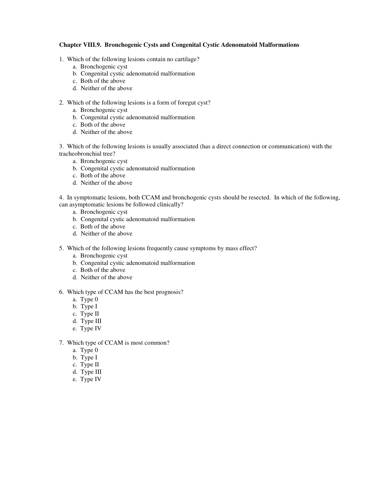### **Chapter VIII.9. Bronchogenic Cysts and Congenital Cystic Adenomatoid Malformations**

- 1. Which of the following lesions contain no cartilage?
	- a. Bronchogenic cyst
	- b. Congenital cystic adenomatoid malformation
	- c. Both of the above
	- d. Neither of the above
- 2. Which of the following lesions is a form of foregut cyst?
	- a. Bronchogenic cyst
	- b. Congenital cystic adenomatoid malformation
	- c. Both of the above
	- d. Neither of the above

3. Which of the following lesions is usually associated (has a direct connection or communication) with the tracheobronchial tree?

- a. Bronchogenic cyst
- b. Congenital cystic adenomatoid malformation
- c. Both of the above
- d. Neither of the above

4. In symptomatic lesions, both CCAM and bronchogenic cysts should be resected. In which of the following, can asymptomatic lesions be followed clinically?

- a. Bronchogenic cyst
- b. Congenital cystic adenomatoid malformation
- c. Both of the above
- d. Neither of the above
- 5. Which of the following lesions frequently cause symptoms by mass effect?
	- a. Bronchogenic cyst
	- b. Congenital cystic adenomatoid malformation
	- c. Both of the above
	- d. Neither of the above

### 6. Which type of CCAM has the best prognosis?

- a. Type 0
- b. Type I
- c. Type II
- d. Type III
- e. Type IV
- 7. Which type of CCAM is most common?
	- a. Type 0
	- b. Type I
	- c. Type II
	- d. Type III
	- e. Type IV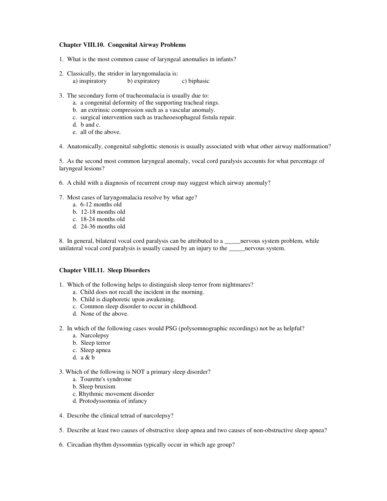### **Chapter VIII.10. Congenital Airway Problems**

- 1. What is the most common cause of laryngeal anomalies in infants?
- 2. Classically, the stridor in laryngomalacia is: a) inspiratory b) expiratory c) biphasic
- 3. The secondary form of tracheomalacia is usually due to:
	- a. a congenital deformity of the supporting tracheal rings.
	- b. an extrinsic compression such as a vascular anomaly.
	- c. surgical intervention such as tracheoesophageal fistula repair.
	- d. b and c.
	- e. all of the above.
- 4. Anatomically, congenital subglottic stenosis is usually associated with what other airway malformation?

5. As the second most common laryngeal anomaly, vocal cord paralysis accounts for what percentage of laryngeal lesions?

- 6. A child with a diagnosis of recurrent croup may suggest which airway anomaly?
- 7. Most cases of laryngomalacia resolve by what age?
	- a. 6-12 months old
	- b. 12-18 months old
	- c. 18-24 months old
	- d. 24-36 months old

8. In general, bilateral vocal cord paralysis can be attributed to a \_\_\_\_\_nervous system problem, while unilateral vocal cord paralysis is usually caused by an injury to the \_\_\_\_\_nervous system.

#### **Chapter VIII.11. Sleep Disorders**

- 1. Which of the following helps to distinguish sleep terror from nightmares?
	- a. Child does not recall the incident in the morning.
	- b. Child is diaphoretic upon awakening.
	- c. Common sleep disorder to occur in childhood.
	- d. None of the above.
- 2. In which of the following cases would PSG (polysomnographic recordings) not be as helpful?
	- a. Narcolepsy
	- b. Sleep terror
	- c. Sleep apnea
	- d. a & b
- 3. Which of the following is NOT a primary sleep disorder?
	- a. Tourette's syndrome
	- b. Sleep bruxism
	- c. Rhythmic movement disorder
	- d. Protodyssomnia of infancy
- 4. Describe the clinical tetrad of narcolepsy?
- 5. Describe at least two causes of obstructive sleep apnea and two causes of non-obstructive sleep apnea?
- 6. Circadian rhythm dyssomnias typically occur in which age group?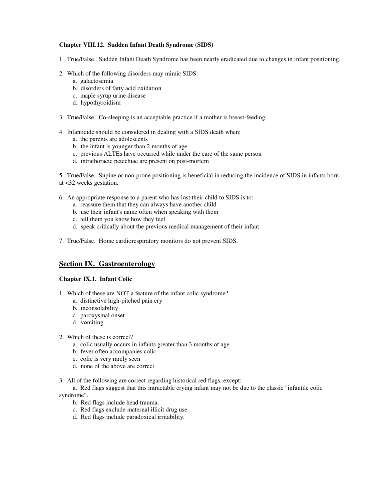## **Chapter VIII.12. Sudden Infant Death Syndrome (SIDS)**

- 1. True/False. Sudden Infant Death Syndrome has been nearly eradicated due to changes in infant positioning.
- 2. Which of the following disorders may mimic SIDS:
	- a. galactosemia
	- b. disorders of fatty acid oxidation
	- c. maple syrup urine disease
	- d. hypothyroidism
- 3. True/False. Co-sleeping is an acceptable practice if a mother is breast-feeding.
- 4. Infanticide should be considered in dealing with a SIDS death when:
	- a. the parents are adolescents
	- b. the infant is younger than 2 months of age
	- c. previous ALTEs have occurred while under the care of the same person
	- d. intrathoracic petechiae are present on post-mortem

5. True/False. Supine or non-prone positioning is beneficial in reducing the incidence of SIDS in infants born at <32 weeks gestation.

- 6. An appropriate response to a parent who has lost their child to SIDS is to:
	- a. reassure them that they can always have another child
	- b. use their infant's name often when speaking with them
	- c. tell them you know how they feel
	- d. speak critically about the previous medical management of their infant
- 7. True/False. Home cardiorespiratory monitors do not prevent SIDS.

# **Section IX. Gastroenterology**

#### **Chapter IX.1. Infant Colic**

- 1. Which of these are NOT a feature of the infant colic syndrome?
	- a. distinctive high-pitched pain cry
	- b. inconsolability
	- c. paroxysmal onset
	- d. vomiting
- 2. Which of these is correct?
	- a. colic usually occurs in infants greater than 3 months of age
	- b. fever often accompanies colic
	- c. colic is very rarely seen
	- d. none of the above are correct
- 3. All of the following are correct regarding historical red flags, except:

a. Red flags suggest that this intractable crying infant may not be due to the classic "infantile colic syndrome".

- b. Red flags include head trauma.
- c. Red flags exclude maternal illicit drug use.
- d. Red flags include paradoxical irritability.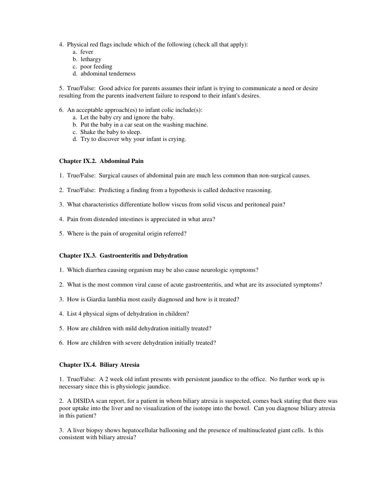- 4. Physical red flags include which of the following (check all that apply):
	- a. fever
	- b. lethargy
	- c. poor feeding
	- d. abdominal tenderness

5. True/False: Good advice for parents assumes their infant is trying to communicate a need or desire resulting from the parents inadvertent failure to respond to their infant's desires.

- 6. An acceptable approach(es) to infant colic include(s):
	- a. Let the baby cry and ignore the baby.
	- b. Put the baby in a car seat on the washing machine.
	- c. Shake the baby to sleep.
	- d. Try to discover why your infant is crying.

#### **Chapter IX.2. Abdominal Pain**

- 1. True/False: Surgical causes of abdominal pain are much less common than non-surgical causes.
- 2. True/False: Predicting a finding from a hypothesis is called deductive reasoning.
- 3. What characteristics differentiate hollow viscus from solid viscus and peritoneal pain?
- 4. Pain from distended intestines is appreciated in what area?
- 5. Where is the pain of urogenital origin referred?

#### **Chapter IX.3. Gastroenteritis and Dehydration**

- 1. Which diarrhea causing organism may be also cause neurologic symptoms?
- 2. What is the most common viral cause of acute gastroenteritis, and what are its associated symptoms?
- 3. How is Giardia lamblia most easily diagnosed and how is it treated?
- 4. List 4 physical signs of dehydration in children?
- 5. How are children with mild dehydration initially treated?
- 6. How are children with severe dehydration initially treated?

#### **Chapter IX.4. Biliary Atresia**

1. True/False: A 2 week old infant presents with persistent jaundice to the office. No further work up is necessary since this is physiologic jaundice.

2. A DISIDA scan report, for a patient in whom biliary atresia is suspected, comes back stating that there was poor uptake into the liver and no visualization of the isotope into the bowel. Can you diagnose biliary atresia in this patient?

3. A liver biopsy shows hepatocellular ballooning and the presence of multinucleated giant cells. Is this consistent with biliary atresia?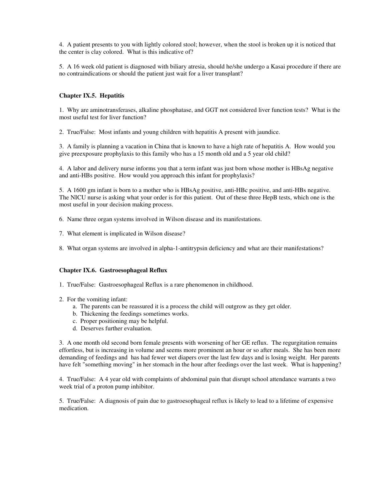4. A patient presents to you with lightly colored stool; however, when the stool is broken up it is noticed that the center is clay colored. What is this indicative of?

5. A 16 week old patient is diagnosed with biliary atresia, should he/she undergo a Kasai procedure if there are no contraindications or should the patient just wait for a liver transplant?

### **Chapter IX.5. Hepatitis**

1. Why are aminotransferases, alkaline phosphatase, and GGT not considered liver function tests? What is the most useful test for liver function?

2. True/False: Most infants and young children with hepatitis A present with jaundice.

3. A family is planning a vacation in China that is known to have a high rate of hepatitis A. How would you give preexposure prophylaxis to this family who has a 15 month old and a 5 year old child?

4. A labor and delivery nurse informs you that a term infant was just born whose mother is HBsAg negative and anti-HBs positive. How would you approach this infant for prophylaxis?

5. A 1600 gm infant is born to a mother who is HBsAg positive, anti-HBc positive, and anti-HBs negative. The NICU nurse is asking what your order is for this patient. Out of these three HepB tests, which one is the most useful in your decision making process.

- 6. Name three organ systems involved in Wilson disease and its manifestations.
- 7. What element is implicated in Wilson disease?

8. What organ systems are involved in alpha-1-antitrypsin deficiency and what are their manifestations?

#### **Chapter IX.6. Gastroesophageal Reflux**

1. True/False: Gastroesophageal Reflux is a rare phenomenon in childhood.

- 2. For the vomiting infant:
	- a. The parents can be reassured it is a process the child will outgrow as they get older.
	- b. Thickening the feedings sometimes works.
	- c. Proper positioning may be helpful.
	- d. Deserves further evaluation.

3. A one month old second born female presents with worsening of her GE reflux. The regurgitation remains effortless, but is increasing in volume and seems more prominent an hour or so after meals. She has been more demanding of feedings and has had fewer wet diapers over the last few days and is losing weight. Her parents have felt "something moving" in her stomach in the hour after feedings over the last week. What is happening?

4. True/False: A 4 year old with complaints of abdominal pain that disrupt school attendance warrants a two week trial of a proton pump inhibitor.

5. True/False: A diagnosis of pain due to gastroesophageal reflux is likely to lead to a lifetime of expensive medication.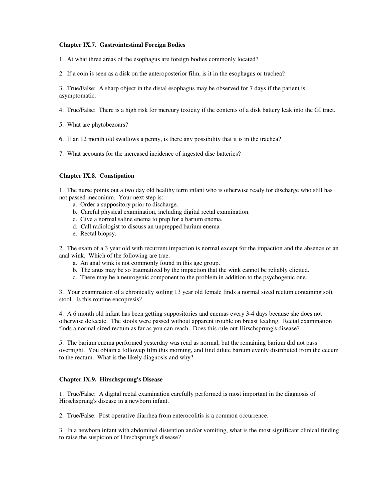### **Chapter IX.7. Gastrointestinal Foreign Bodies**

1. At what three areas of the esophagus are foreign bodies commonly located?

2. If a coin is seen as a disk on the anteroposterior film, is it in the esophagus or trachea?

3. True/False: A sharp object in the distal esophagus may be observed for 7 days if the patient is asymptomatic.

4. True/False: There is a high risk for mercury toxicity if the contents of a disk battery leak into the GI tract.

- 5. What are phytobezoars?
- 6. If an 12 month old swallows a penny, is there any possibility that it is in the trachea?
- 7. What accounts for the increased incidence of ingested disc batteries?

### **Chapter IX.8. Constipation**

1. The nurse points out a two day old healthy term infant who is otherwise ready for discharge who still has not passed meconium. Your next step is:

- a. Order a suppository prior to discharge.
- b. Careful physical examination, including digital rectal examination.
- c. Give a normal saline enema to prep for a barium enema.
- d. Call radiologist to discuss an unprepped barium enema
- e. Rectal biopsy.

2. The exam of a 3 year old with recurrent impaction is normal except for the impaction and the absence of an anal wink. Which of the following are true.

- a. An anal wink is not commonly found in this age group.
- b. The anus may be so traumatized by the impaction that the wink cannot be reliably elicited.
- c. There may be a neurogenic component to the problem in addition to the psychogenic one.

3. Your examination of a chronically soiling 13 year old female finds a normal sized rectum containing soft stool. Is this routine encopresis?

4. A 6 month old infant has been getting suppositories and enemas every 3-4 days because she does not otherwise defecate. The stools were passed without apparent trouble on breast feeding. Rectal examination finds a normal sized rectum as far as you can reach. Does this rule out Hirschsprung's disease?

5. The barium enema performed yesterday was read as normal, but the remaining barium did not pass overnight. You obtain a followup film this morning, and find dilute barium evenly distributed from the cecum to the rectum. What is the likely diagnosis and why?

#### **Chapter IX.9. Hirschsprung's Disease**

1. True/False: A digital rectal examination carefully performed is most important in the diagnosis of Hirschsprung's disease in a newborn infant.

2. True/False: Post operative diarrhea from enterocolitis is a common occurrence.

3. In a newborn infant with abdominal distention and/or vomiting, what is the most significant clinical finding to raise the suspicion of Hirschsprung's disease?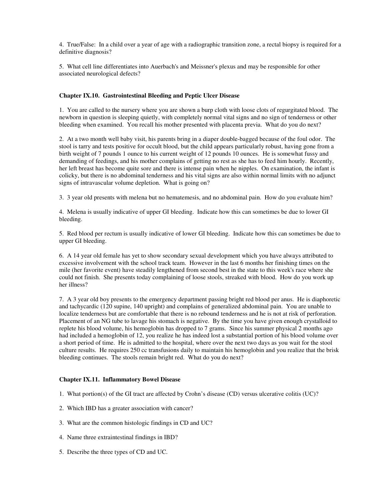4. True/False: In a child over a year of age with a radiographic transition zone, a rectal biopsy is required for a definitive diagnosis?

5. What cell line differentiates into Auerbach's and Meissner's plexus and may be responsible for other associated neurological defects?

### **Chapter IX.10. Gastrointestinal Bleeding and Peptic Ulcer Disease**

1. You are called to the nursery where you are shown a burp cloth with loose clots of regurgitated blood. The newborn in question is sleeping quietly, with completely normal vital signs and no sign of tenderness or other bleeding when examined. You recall his mother presented with placenta previa. What do you do next?

2. At a two month well baby visit, his parents bring in a diaper double-bagged because of the foul odor. The stool is tarry and tests positive for occult blood, but the child appears particularly robust, having gone from a birth weight of 7 pounds 1 ounce to his current weight of 12 pounds 10 ounces. He is somewhat fussy and demanding of feedings, and his mother complains of getting no rest as she has to feed him hourly. Recently, her left breast has become quite sore and there is intense pain when he nipples. On examination, the infant is colicky, but there is no abdominal tenderness and his vital signs are also within normal limits with no adjunct signs of intravascular volume depletion. What is going on?

3. 3 year old presents with melena but no hematemesis, and no abdominal pain. How do you evaluate him?

4. Melena is usually indicative of upper GI bleeding. Indicate how this can sometimes be due to lower GI bleeding.

5. Red blood per rectum is usually indicative of lower GI bleeding. Indicate how this can sometimes be due to upper GI bleeding.

6. A 14 year old female has yet to show secondary sexual development which you have always attributed to excessive involvement with the school track team. However in the last 6 months her finishing times on the mile (her favorite event) have steadily lengthened from second best in the state to this week's race where she could not finish. She presents today complaining of loose stools, streaked with blood. How do you work up her illness?

7. A 3 year old boy presents to the emergency department passing bright red blood per anus. He is diaphoretic and tachycardic (120 supine, 140 upright) and complains of generalized abdominal pain. You are unable to localize tenderness but are comfortable that there is no rebound tenderness and he is not at risk of perforation. Placement of an NG tube to lavage his stomach is negative. By the time you have given enough crystalloid to replete his blood volume, his hemoglobin has dropped to 7 grams. Since his summer physical 2 months ago had included a hemoglobin of 12, you realize he has indeed lost a substantial portion of his blood volume over a short period of time. He is admitted to the hospital, where over the next two days as you wait for the stool culture results. He requires 250 cc transfusions daily to maintain his hemoglobin and you realize that the brisk bleeding continues. The stools remain bright red. What do you do next?

### **Chapter IX.11. Inflammatory Bowel Disease**

- 1. What portion(s) of the GI tract are affected by Crohn's disease (CD) versus ulcerative colitis (UC)?
- 2. Which IBD has a greater association with cancer?
- 3. What are the common histologic findings in CD and UC?
- 4. Name three extraintestinal findings in IBD?
- 5. Describe the three types of CD and UC.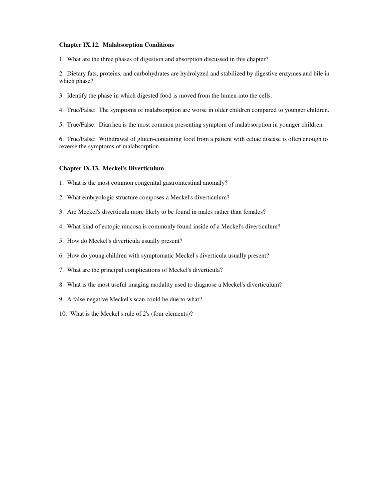#### **Chapter IX.12. Malabsorption Conditions**

1. What are the three phases of digestion and absorption discussed in this chapter?

2. Dietary fats, proteins, and carbohydrates are hydrolyzed and stabilized by digestive enzymes and bile in which phase?

- 3. Identify the phase in which digested food is moved from the lumen into the cells.
- 4. True/False: The symptoms of malabsorption are worse in older children compared to younger children.
- 5. True/False: Diarrhea is the most common presenting symptom of malabsorption in younger children.

6. True/False: Withdrawal of gluten-containing food from a patient with celiac disease is often enough to reverse the symptoms of malabsorption.

#### **Chapter IX.13. Meckel's Diverticulum**

- 1. What is the most common congenital gastrointestinal anomaly?
- 2. What embryologic structure composes a Meckel's diverticulum?
- 3. Are Meckel's diverticula more likely to be found in males rather than females?
- 4. What kind of ectopic mucosa is commonly found inside of a Meckel's diverticulum?
- 5. How do Meckel's diverticula usually present?
- 6. How do young children with symptomatic Meckel's diverticula usually present?
- 7. What are the principal complications of Meckel's diverticula?
- 8. What is the most useful imaging modality used to diagnose a Meckel's diverticulum?
- 9. A false negative Meckel's scan could be due to what?
- 10. What is the Meckel's rule of 2's (four elements)?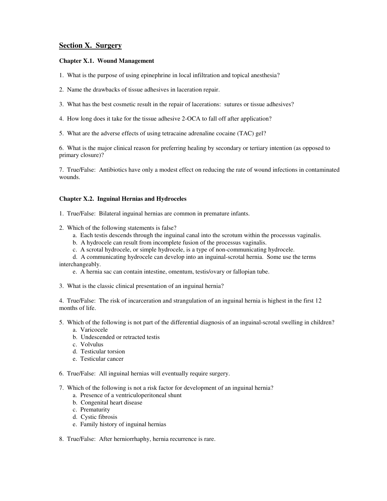# **Section X. Surgery**

### **Chapter X.1. Wound Management**

- 1. What is the purpose of using epinephrine in local infiltration and topical anesthesia?
- 2. Name the drawbacks of tissue adhesives in laceration repair.
- 3. What has the best cosmetic result in the repair of lacerations: sutures or tissue adhesives?
- 4. How long does it take for the tissue adhesive 2-OCA to fall off after application?
- 5. What are the adverse effects of using tetracaine adrenaline cocaine (TAC) gel?

6. What is the major clinical reason for preferring healing by secondary or tertiary intention (as opposed to primary closure)?

7. True/False: Antibiotics have only a modest effect on reducing the rate of wound infections in contaminated wounds.

#### **Chapter X.2. Inguinal Hernias and Hydroceles**

- 1. True/False: Bilateral inguinal hernias are common in premature infants.
- 2. Which of the following statements is false?
	- a. Each testis descends through the inguinal canal into the scrotum within the processus vaginalis.
	- b. A hydrocele can result from incomplete fusion of the processus vaginalis.
	- c. A scrotal hydrocele, or simple hydrocele, is a type of non-communicating hydrocele.
- d. A communicating hydrocele can develop into an inguinal-scrotal hernia. Some use the terms interchangeably.
	- e. A hernia sac can contain intestine, omentum, testis/ovary or fallopian tube.
- 3. What is the classic clinical presentation of an inguinal hernia?

4. True/False: The risk of incarceration and strangulation of an inguinal hernia is highest in the first 12 months of life.

- 5. Which of the following is not part of the differential diagnosis of an inguinal-scrotal swelling in children? a. Varicocele
	- b. Undescended or retracted testis
	- c. Volvulus
	- d. Testicular torsion
	- e. Testicular cancer
- 6. True/False: All inguinal hernias will eventually require surgery.
- 7. Which of the following is not a risk factor for development of an inguinal hernia?
	- a. Presence of a ventriculoperitoneal shunt
	- b. Congenital heart disease
	- c. Prematurity
	- d. Cystic fibrosis
	- e. Family history of inguinal hernias
- 8. True/False: After herniorrhaphy, hernia recurrence is rare.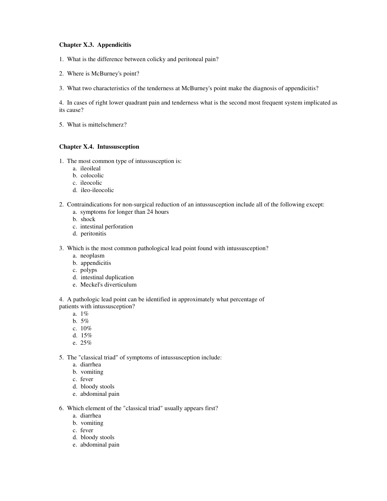## **Chapter X.3. Appendicitis**

- 1. What is the difference between colicky and peritoneal pain?
- 2. Where is McBurney's point?
- 3. What two characteristics of the tenderness at McBurney's point make the diagnosis of appendicitis?

4. In cases of right lower quadrant pain and tenderness what is the second most frequent system implicated as its cause?

5. What is mittelschmerz?

## **Chapter X.4. Intussusception**

- 1. The most common type of intussusception is:
	- a. ileoileal
	- b. colocolic
	- c. ileocolic
	- d. ileo-ileocolic
- 2. Contraindications for non-surgical reduction of an intussusception include all of the following except:
	- a. symptoms for longer than 24 hours
	- b. shock
	- c. intestinal perforation
	- d. peritonitis
- 3. Which is the most common pathological lead point found with intussusception?
	- a. neoplasm
	- b. appendicitis
	- c. polyps
	- d. intestinal duplication
	- e. Meckel's diverticulum

4. A pathologic lead point can be identified in approximately what percentage of patients with intussusception?

- a. 1%
- b. 5%
- c. 10%
- d. 15%
- e. 25%

5. The "classical triad" of symptoms of intussusception include:

- a. diarrhea
- b. vomiting
- c. fever
- d. bloody stools
- e. abdominal pain

6. Which element of the "classical triad" usually appears first?

- a. diarrhea
- b. vomiting
- c. fever
- d. bloody stools
- e. abdominal pain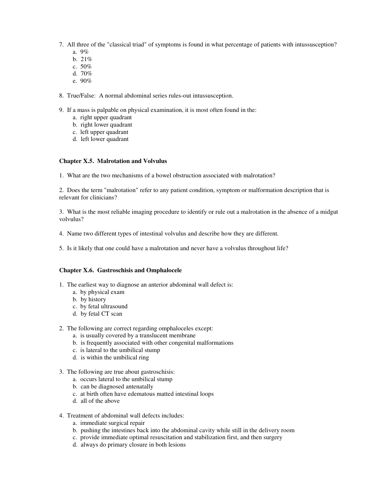- 7. All three of the "classical triad" of symptoms is found in what percentage of patients with intussusception?
	- a. 9%
	- b. 21%
	- c. 50%
	- d. 70%
	- e. 90%
- 8. True/False: A normal abdominal series rules-out intussusception.
- 9. If a mass is palpable on physical examination, it is most often found in the:
	- a. right upper quadrant
	- b. right lower quadrant
	- c. left upper quadrant
	- d. left lower quadrant

### **Chapter X.5. Malrotation and Volvulus**

1. What are the two mechanisms of a bowel obstruction associated with malrotation?

2. Does the term "malrotation" refer to any patient condition, symptom or malformation description that is relevant for clinicians?

3. What is the most reliable imaging procedure to identify or rule out a malrotation in the absence of a midgut volvulus?

- 4. Name two different types of intestinal volvulus and describe how they are different.
- 5. Is it likely that one could have a malrotation and never have a volvulus throughout life?

#### **Chapter X.6. Gastroschisis and Omphalocele**

- 1. The earliest way to diagnose an anterior abdominal wall defect is:
	- a. by physical exam
	- b. by history
	- c. by fetal ultrasound
	- d. by fetal CT scan
- 2. The following are correct regarding omphaloceles except:
	- a. is usually covered by a translucent membrane
	- b. is frequently associated with other congenital malformations
	- c. is lateral to the umbilical stump
	- d. is within the umbilical ring
- 3. The following are true about gastroschisis:
	- a. occurs lateral to the umbilical stump
	- b. can be diagnosed antenatally
	- c. at birth often have edematous matted intestinal loops
	- d. all of the above
- 4. Treatment of abdominal wall defects includes:
	- a. immediate surgical repair
	- b. pushing the intestines back into the abdominal cavity while still in the delivery room
	- c. provide immediate optimal resuscitation and stabilization first, and then surgery
	- d. always do primary closure in both lesions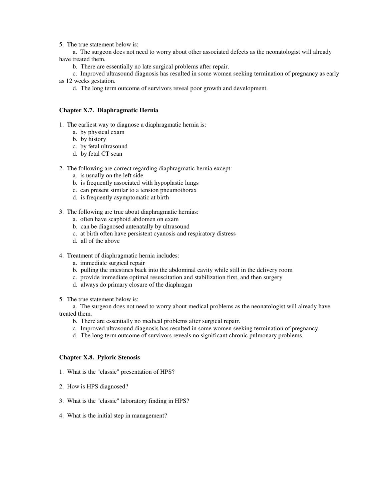5. The true statement below is:

a. The surgeon does not need to worry about other associated defects as the neonatologist will already have treated them.

b. There are essentially no late surgical problems after repair.

c. Improved ultrasound diagnosis has resulted in some women seeking termination of pregnancy as early as 12 weeks gestation.

d. The long term outcome of survivors reveal poor growth and development.

#### **Chapter X.7. Diaphragmatic Hernia**

- 1. The earliest way to diagnose a diaphragmatic hernia is:
	- a. by physical exam
	- b. by history
	- c. by fetal ultrasound
	- d. by fetal CT scan
- 2. The following are correct regarding diaphragmatic hernia except:
	- a. is usually on the left side
	- b. is frequently associated with hypoplastic lungs
	- c. can present similar to a tension pneumothorax
	- d. is frequently asymptomatic at birth
- 3. The following are true about diaphragmatic hernias:
	- a. often have scaphoid abdomen on exam
	- b. can be diagnosed antenatally by ultrasound
	- c. at birth often have persistent cyanosis and respiratory distress
	- d. all of the above
- 4. Treatment of diaphragmatic hernia includes:
	- a. immediate surgical repair
	- b. pulling the intestines back into the abdominal cavity while still in the delivery room
	- c. provide immediate optimal resuscitation and stabilization first, and then surgery
	- d. always do primary closure of the diaphragm
- 5. The true statement below is:

a. The surgeon does not need to worry about medical problems as the neonatologist will already have treated them.

- b. There are essentially no medical problems after surgical repair.
- c. Improved ultrasound diagnosis has resulted in some women seeking termination of pregnancy.
- d. The long term outcome of survivors reveals no significant chronic pulmonary problems.

#### **Chapter X.8. Pyloric Stenosis**

- 1. What is the "classic" presentation of HPS?
- 2. How is HPS diagnosed?
- 3. What is the "classic" laboratory finding in HPS?
- 4. What is the initial step in management?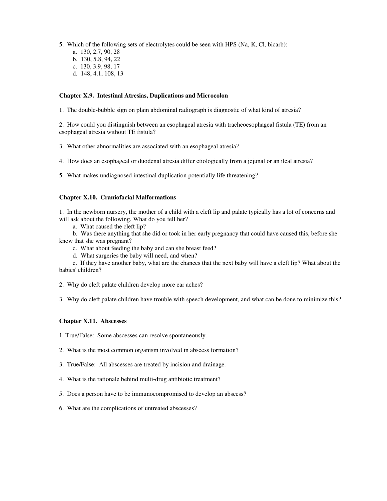- 5. Which of the following sets of electrolytes could be seen with HPS (Na, K, Cl, bicarb):
	- a. 130, 2.7, 90, 28
	- b. 130, 5.8, 94, 22
	- c. 130, 3.9, 98, 17
	- d. 148, 4.1, 108, 13

### **Chapter X.9. Intestinal Atresias, Duplications and Microcolon**

1. The double-bubble sign on plain abdominal radiograph is diagnostic of what kind of atresia?

2. How could you distinguish between an esophageal atresia with tracheoesophageal fistula (TE) from an esophageal atresia without TE fistula?

3. What other abnormalities are associated with an esophageal atresia?

4. How does an esophageal or duodenal atresia differ etiologically from a jejunal or an ileal atresia?

5. What makes undiagnosed intestinal duplication potentially life threatening?

### **Chapter X.10. Craniofacial Malformations**

1. In the newborn nursery, the mother of a child with a cleft lip and palate typically has a lot of concerns and will ask about the following. What do you tell her?

a. What caused the cleft lip?

b. Was there anything that she did or took in her early pregnancy that could have caused this, before she knew that she was pregnant?

c. What about feeding the baby and can she breast feed?

d. What surgeries the baby will need, and when?

e. If they have another baby, what are the chances that the next baby will have a cleft lip? What about the babies' children?

2. Why do cleft palate children develop more ear aches?

3. Why do cleft palate children have trouble with speech development, and what can be done to minimize this?

### **Chapter X.11. Abscesses**

1. True/False: Some abscesses can resolve spontaneously.

2. What is the most common organism involved in abscess formation?

- 3. True/False: All abscesses are treated by incision and drainage.
- 4. What is the rationale behind multi-drug antibiotic treatment?
- 5. Does a person have to be immunocompromised to develop an abscess?
- 6. What are the complications of untreated abscesses?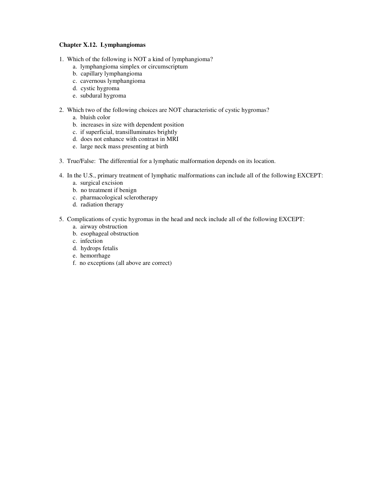# **Chapter X.12. Lymphangiomas**

- 1. Which of the following is NOT a kind of lymphangioma?
	- a. lymphangioma simplex or circumscriptum
	- b. capillary lymphangioma
	- c. cavernous lymphangioma
	- d. cystic hygroma
	- e. subdural hygroma
- 2. Which two of the following choices are NOT characteristic of cystic hygromas?
	- a. bluish color
	- b. increases in size with dependent position
	- c. if superficial, transilluminates brightly
	- d. does not enhance with contrast in MRI
	- e. large neck mass presenting at birth
- 3. True/False: The differential for a lymphatic malformation depends on its location.
- 4. In the U.S., primary treatment of lymphatic malformations can include all of the following EXCEPT:
	- a. surgical excision
	- b. no treatment if benign
	- c. pharmacological sclerotherapy
	- d. radiation therapy
- 5. Complications of cystic hygromas in the head and neck include all of the following EXCEPT:
	- a. airway obstruction
	- b. esophageal obstruction
	- c. infection
	- d. hydrops fetalis
	- e. hemorrhage
	- f. no exceptions (all above are correct)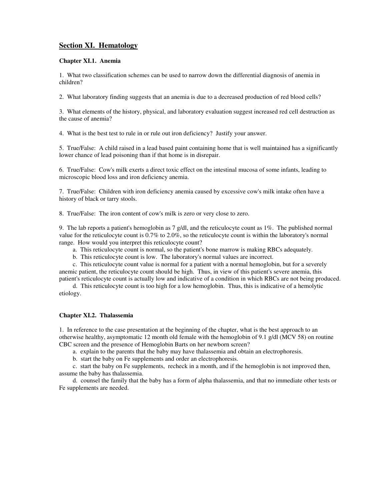# **Section XI. Hematology**

### **Chapter XI.1. Anemia**

1. What two classification schemes can be used to narrow down the differential diagnosis of anemia in children?

2. What laboratory finding suggests that an anemia is due to a decreased production of red blood cells?

3. What elements of the history, physical, and laboratory evaluation suggest increased red cell destruction as the cause of anemia?

4. What is the best test to rule in or rule out iron deficiency? Justify your answer.

5. True/False: A child raised in a lead based paint containing home that is well maintained has a significantly lower chance of lead poisoning than if that home is in disrepair.

6. True/False: Cow's milk exerts a direct toxic effect on the intestinal mucosa of some infants, leading to microscopic blood loss and iron deficiency anemia.

7. True/False: Children with iron deficiency anemia caused by excessive cow's milk intake often have a history of black or tarry stools.

8. True/False: The iron content of cow's milk is zero or very close to zero.

9. The lab reports a patient's hemoglobin as 7 g/dl, and the reticulocyte count as 1%. The published normal value for the reticulocyte count is 0.7% to 2.0%, so the reticulocyte count is within the laboratory's normal range. How would you interpret this reticulocyte count?

- a. This reticulocyte count is normal, so the patient's bone marrow is making RBCs adequately.
- b. This reticulocyte count is low. The laboratory's normal values are incorrect.

c. This reticulocyte count value is normal for a patient with a normal hemoglobin, but for a severely anemic patient, the reticulocyte count should be high. Thus, in view of this patient's severe anemia, this patient's reticulocyte count is actually low and indicative of a condition in which RBCs are not being produced.

d. This reticulocyte count is too high for a low hemoglobin. Thus, this is indicative of a hemolytic etiology.

### **Chapter XI.2. Thalassemia**

1. In reference to the case presentation at the beginning of the chapter, what is the best approach to an otherwise healthy, asymptomatic 12 month old female with the hemoglobin of 9.1 g/dl (MCV 58) on routine CBC screen and the presence of Hemoglobin Barts on her newborn screen?

a. explain to the parents that the baby may have thalassemia and obtain an electrophoresis.

b. start the baby on Fe supplements and order an electrophoresis.

c. start the baby on Fe supplements, recheck in a month, and if the hemoglobin is not improved then, assume the baby has thalassemia.

d. counsel the family that the baby has a form of alpha thalassemia, and that no immediate other tests or Fe supplements are needed.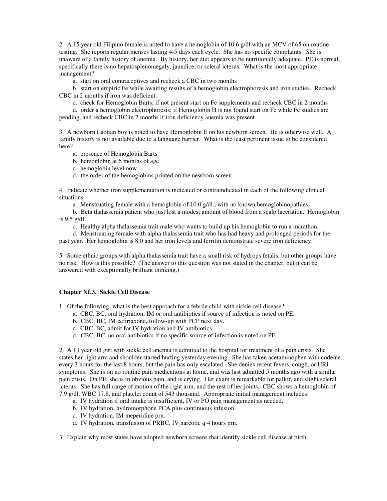2. A 15 year old Filipino female is noted to have a hemoglobin of 10.6 g/dl with an MCV of 65 on routine testing. She reports regular menses lasting 4-5 days each cycle. She has no specific complaints. She is unaware of a family history of anemia. By history, her diet appears to be nutritionally adequate. PE is normal; specifically there is no hepatosplenomegaly, jaundice, or scleral icterus. What is the most appropriate management?

a. start on oral contraceptives and recheck a CBC in two months

b. start on empiric Fe while awaiting results of a hemoglobin electrophoresis and iron studies. Recheck CBC in 2 months if iron was deficient.

c. check for Hemoglobin Barts; if not present start on Fe supplements and recheck CBC in 2 months

d. order a hemoglobin electrophoresis; if Hemoglobin H is not found start on Fe while Fe studies are pending, and recheck CBC in 2 months if iron deficiency anemia was present

3. A newborn Laotian boy is noted to have Hemoglobin E on his newborn screen. He is otherwise well. A family history is not available due to a language barrier. What is the least pertinent issue to be considered here?

- a. presence of Hemoglobin Barts
- b. hemoglobin at 6 months of age
- c. hemoglobin level now
- d. the order of the hemoglobins printed on the newborn screen

4. Indicate whether iron supplementation is indicated or contraindicated in each of the following clinical situations.

a. Menstruating female with a hemoglobin of 10.0 g/dl., with no known hemoglobinopathies.

b. Beta thalassemia patient who just lost a modest amount of blood from a scalp laceration. Hemoglobin is 9.5 g/dl.

c. Healthy alpha thalassemia trait male who wants to build up his hemoglobin to run a marathon.

d. Menstruating female with alpha thalassemia trait who has had heavy and prolonged periods for the past year. Her hemoglobin is 8.0 and her iron levels and ferritin demonstrate severe iron deficiency.

5. Some ethnic groups with alpha thalassemia trait have a small risk of hydrops fetalis, but other groups have no risk. How is this possible? (The answer to this question was not stated in the chapter, but it can be answered with exceptionally brilliant thinking.)

### **Chapter XI.3. Sickle Cell Disease**

1. Of the following, what is the best approach for a febrile child with sickle cell disease?

- a. CBC, BC, oral hydration, IM or oral antibiotics if source of infection is noted on PE.
- b. CBC, BC, IM ceftriaxone, follow-up with PCP next day.
- c. CBC, BC, admit for IV hydration and IV antibiotics.
- d. CBC, BC, no oral antibiotics if no specific source of infection is noted on PE.

2. A 13 year old girl with sickle cell anemia is admitted to the hospital for treatment of a pain crisis. She states her right arm and shoulder started hurting yesterday evening. She has taken acetaminophen with codeine every 3 hours for the last 8 hours, but the pain has only escalated. She denies recent fevers, cough, or URI symptoms. She is on no routine pain medications at home, and was last admitted 5 months ago with a similar pain crisis. On PE, she is in obvious pain, and is crying. Her exam is remarkable for pallor, and slight scleral icterus. She has full range of motion of the right arm, and the rest of her joints. CBC shows a hemoglobin of 7.9 g/dl, WBC 17.8, and platelet count of 543 thousand. Appropriate initial management includes:

- a. IV hydration if oral intake is insufficient, IV or PO pain management as needed.
- b. IV hydration, hydromorphone PCA plus continuous infusion.
- c. IV hydration, IM meperidine prn.
- d. IV hydration, transfusion of PRBC, IV narcotic q 4 hours prn.

3. Explain why most states have adopted newborn screens that identify sickle cell disease at birth.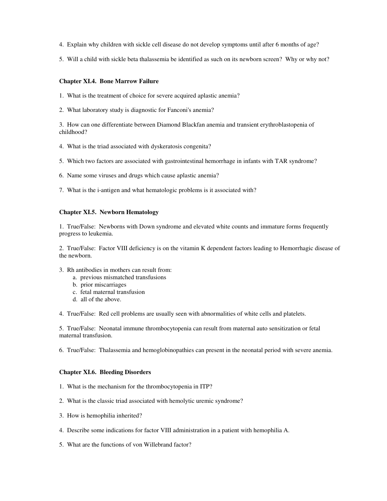- 4. Explain why children with sickle cell disease do not develop symptoms until after 6 months of age?
- 5. Will a child with sickle beta thalassemia be identified as such on its newborn screen? Why or why not?

### **Chapter XI.4. Bone Marrow Failure**

- 1. What is the treatment of choice for severe acquired aplastic anemia?
- 2. What laboratory study is diagnostic for Fanconi's anemia?

3. How can one differentiate between Diamond Blackfan anemia and transient erythroblastopenia of childhood?

- 4. What is the triad associated with dyskeratosis congenita?
- 5. Which two factors are associated with gastrointestinal hemorrhage in infants with TAR syndrome?
- 6. Name some viruses and drugs which cause aplastic anemia?
- 7. What is the i-antigen and what hematologic problems is it associated with?

#### **Chapter XI.5. Newborn Hematology**

1. True/False: Newborns with Down syndrome and elevated white counts and immature forms frequently progress to leukemia.

2. True/False: Factor VIII deficiency is on the vitamin K dependent factors leading to Hemorrhagic disease of the newborn.

- 3. Rh antibodies in mothers can result from:
	- a. previous mismatched transfusions
	- b. prior miscarriages
	- c. fetal maternal transfusion
	- d. all of the above.

4. True/False: Red cell problems are usually seen with abnormalities of white cells and platelets.

5. True/False: Neonatal immune thrombocytopenia can result from maternal auto sensitization or fetal maternal transfusion.

6. True/False: Thalassemia and hemoglobinopathies can present in the neonatal period with severe anemia.

#### **Chapter XI.6. Bleeding Disorders**

- 1. What is the mechanism for the thrombocytopenia in ITP?
- 2. What is the classic triad associated with hemolytic uremic syndrome?
- 3. How is hemophilia inherited?
- 4. Describe some indications for factor VIII administration in a patient with hemophilia A.
- 5. What are the functions of von Willebrand factor?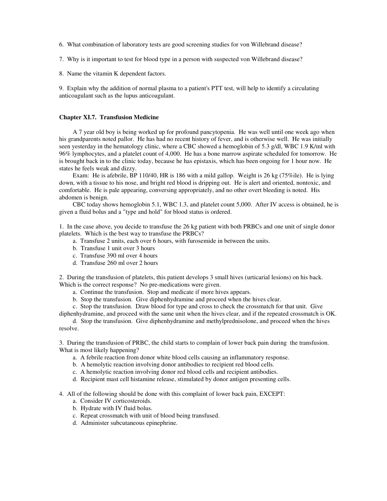- 6. What combination of laboratory tests are good screening studies for von Willebrand disease?
- 7. Why is it important to test for blood type in a person with suspected von Willebrand disease?
- 8. Name the vitamin K dependent factors.

9. Explain why the addition of normal plasma to a patient's PTT test, will help to identify a circulating anticoagulant such as the lupus anticoagulant.

#### **Chapter XI.7. Transfusion Medicine**

A 7 year old boy is being worked up for profound pancytopenia. He was well until one week ago when his grandparents noted pallor. He has had no recent history of fever, and is otherwise well. He was initially seen yesterday in the hematology clinic, where a CBC showed a hemoglobin of 5.3 g/dl, WBC 1.9 K/ml with 96% lymphocytes, and a platelet count of 4,000. He has a bone marrow aspirate scheduled for tomorrow. He is brought back in to the clinic today, because he has epistaxis, which has been ongoing for 1 hour now. He states he feels weak and dizzy.

Exam: He is afebrile, BP 110/40, HR is 186 with a mild gallop. Weight is 26 kg (75%ile). He is lying down, with a tissue to his nose, and bright red blood is dripping out. He is alert and oriented, nontoxic, and comfortable. He is pale appearing, conversing appropriately, and no other overt bleeding is noted. His abdomen is benign.

CBC today shows hemoglobin 5.1, WBC 1.3, and platelet count 5,000. After IV access is obtained, he is given a fluid bolus and a "type and hold" for blood status is ordered.

1. In the case above, you decide to transfuse the 26 kg patient with both PRBCs and one unit of single donor platelets. Which is the best way to transfuse the PRBCs?

- a. Transfuse 2 units, each over 6 hours, with furosemide in between the units.
- b. Transfuse 1 unit over 3 hours
- c. Transfuse 390 ml over 4 hours
- d. Transfuse 260 ml over 2 hours

2. During the transfusion of platelets, this patient develops 3 small hives (urticarial lesions) on his back. Which is the correct response? No pre-medications were given.

- a. Continue the transfusion. Stop and medicate if more hives appears.
- b. Stop the transfusion. Give diphenhydramine and proceed when the hives clear.
- c. Stop the transfusion. Draw blood for type and cross to check the crossmatch for that unit. Give

diphenhydramine, and proceed with the same unit when the hives clear, and if the repeated crossmatch is OK. d. Stop the transfusion. Give diphenhydramine and methylprednisolone, and proceed when the hives

3. During the transfusion of PRBC, the child starts to complain of lower back pain during the transfusion. What is most likely happening?

- a. A febrile reaction from donor white blood cells causing an inflammatory response.
- b. A hemolytic reaction involving donor antibodies to recipient red blood cells.
- c. A hemolytic reaction involving donor red blood cells and recipient antibodies.
- d. Recipient mast cell histamine release, stimulated by donor antigen presenting cells.

4. All of the following should be done with this complaint of lower back pain, EXCEPT:

a. Consider IV corticosteroids.

resolve.

- b. Hydrate with IV fluid bolus.
- c. Repeat crossmatch with unit of blood being transfused.
- d. Administer subcutaneous epinephrine.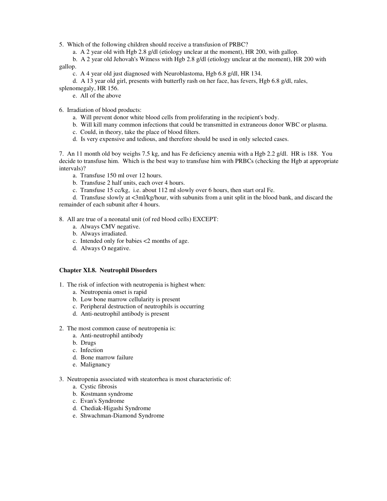5. Which of the following children should receive a transfusion of PRBC?

a. A 2 year old with Hgb 2.8 g/dl (etiology unclear at the moment), HR 200, with gallop.

b. A 2 year old Jehovah's Witness with Hgb 2.8 g/dl (etiology unclear at the moment), HR 200 with gallop.

c. A 4 year old just diagnosed with Neuroblastoma, Hgb 6.8 g/dl, HR 134.

d. A 13 year old girl, presents with butterfly rash on her face, has fevers, Hgb 6.8 g/dl, rales,

splenomegaly, HR 156.

e. All of the above

6. Irradiation of blood products:

- a. Will prevent donor white blood cells from proliferating in the recipient's body.
- b. Will kill many common infections that could be transmitted in extraneous donor WBC or plasma.
- c. Could, in theory, take the place of blood filters.
- d. Is very expensive and tedious, and therefore should be used in only selected cases.

7. An 11 month old boy weighs 7.5 kg, and has Fe deficiency anemia with a Hgb 2.2 g/dl. HR is 188. You decide to transfuse him. Which is the best way to transfuse him with PRBCs (checking the Hgb at appropriate intervals)?

- a. Transfuse 150 ml over 12 hours.
- b. Transfuse 2 half units, each over 4 hours.
- c. Transfuse 15 cc/kg, i.e. about 112 ml slowly over 6 hours, then start oral Fe.

d. Transfuse slowly at <3ml/kg/hour, with subunits from a unit split in the blood bank, and discard the remainder of each subunit after 4 hours.

8. All are true of a neonatal unit (of red blood cells) EXCEPT:

- a. Always CMV negative.
- b. Always irradiated.
- c. Intended only for babies <2 months of age.
- d. Always O negative.

# **Chapter XI.8. Neutrophil Disorders**

1. The risk of infection with neutropenia is highest when:

- a. Neutropenia onset is rapid
- b. Low bone marrow cellularity is present
- c. Peripheral destruction of neutrophils is occurring
- d. Anti-neutrophil antibody is present
- 2. The most common cause of neutropenia is:
	- a. Anti-neutrophil antibody
	- b. Drugs
	- c. Infection
	- d. Bone marrow failure
	- e. Malignancy
- 3. Neutropenia associated with steatorrhea is most characteristic of:
	- a. Cystic fibrosis
	- b. Kostmann syndrome
	- c. Evan's Syndrome
	- d. Chediak-Higashi Syndrome
	- e. Shwachman-Diamond Syndrome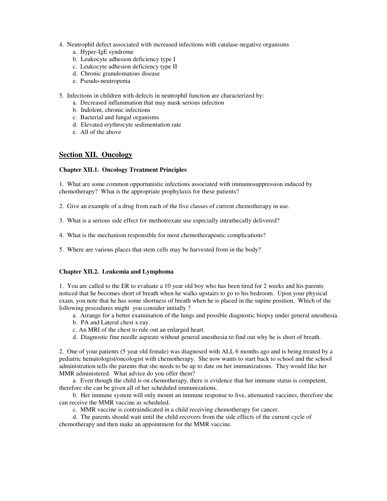- 4. Neutrophil defect associated with increased infections with catalase-negative organisms
	- a. Hyper-IgE syndrome
	- b. Leukocyte adhesion deficiency type I
	- c. Leukocyte adhesion deficiency type II
	- d. Chronic granulomatous disease
	- e. Pseudo-neutropenia
- 5. Infections in children with defects in neutrophil function are characterized by:
	- a. Decreased inflammation that may mask serious infection
	- b. Indolent, chronic infections
	- c. Bacterial and fungal organisms
	- d. Elevated erythrocyte sedimentation rate
	- e. All of the above

# **Section XII. Oncology**

# **Chapter XII.1. Oncology Treatment Principles**

1. What are some common opportunistic infections associated with immunosuppression induced by chemotherapy? What is the appropriate prophylaxis for these patients?

- 2. Give an example of a drug from each of the five classes of current chemotherapy in use.
- 3. What is a serious side effect for methotrexate use especially intrathecally delivered?
- 4. What is the mechanism responsible for most chemotherapeutic complications?
- 5. Where are various places that stem cells may be harvested from in the body?

# **Chapter XII.2. Leukemia and Lymphoma**

1. You are called to the ER to evaluate a 10 year old boy who has been tired for 2 weeks and his parents noticed that he becomes short of breath when he walks upstairs to go to his bedroom. Upon your physical exam, you note that he has some shortness of breath when he is placed in the supine position. Which of the following procedures might you consider initially ?

- a. Arrange for a better examination of the lungs and possible diagnostic biopsy under general anesthesia.
- b. PA and Lateral chest x-ray.
- c. An MRI of the chest to rule out an enlarged heart.
- d. Diagnostic fine needle aspirate without general anesthesia to find out why he is short of breath.

2. One of your patients (5 year old female) was diagnosed with ALL 6 months ago and is being treated by a pediatric hematologist/oncologist with chemotherapy. She now wants to start back to school and the school administration tells the parents that she needs to be up to date on her immunizations. They would like her MMR administered. What advice do you offer them?

a. Even though the child is on chemotherapy, there is evidence that her immune status is competent, therefore she can be given all of her scheduled immunizations.

b. Her immune system will only mount an immune response to live, attenuated vaccines, therefore she can receive the MMR vaccine as scheduled.

- c. MMR vaccine is contraindicated in a child receiving chemotherapy for cancer.
- d. The parents should wait until the child recovers from the side effects of the current cycle of chemotherapy and then make an appointment for the MMR vaccine.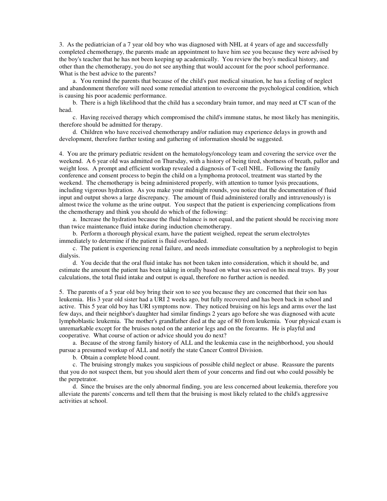3. As the pediatrician of a 7 year old boy who was diagnosed with NHL at 4 years of age and successfully completed chemotherapy, the parents made an appointment to have him see you because they were advised by the boy's teacher that he has not been keeping up academically. You review the boy's medical history, and other than the chemotherapy, you do not see anything that would account for the poor school performance. What is the best advice to the parents?

a. You remind the parents that because of the child's past medical situation, he has a feeling of neglect and abandonment therefore will need some remedial attention to overcome the psychological condition, which is causing his poor academic performance.

b. There is a high likelihood that the child has a secondary brain tumor, and may need at CT scan of the head.

c. Having received therapy which compromised the child's immune status, he most likely has meningitis, therefore should be admitted for therapy.

d. Children who have received chemotherapy and/or radiation may experience delays in growth and development, therefore further testing and gathering of information should be suggested.

4. You are the primary pediatric resident on the hematology/oncology team and covering the service over the weekend. A 6 year old was admitted on Thursday, with a history of being tired, shortness of breath, pallor and weight loss. A prompt and efficient workup revealed a diagnosis of T-cell NHL. Following the family conference and consent process to begin the child on a lymphoma protocol, treatment was started by the weekend. The chemotherapy is being administered properly, with attention to tumor lysis precautions, including vigorous hydration. As you make your midnight rounds, you notice that the documentation of fluid input and output shows a large discrepancy. The amount of fluid administered (orally and intravenously) is almost twice the volume as the urine output. You suspect that the patient is experiencing complications from the chemotherapy and think you should do which of the following:

a. Increase the hydration because the fluid balance is not equal, and the patient should be receiving more than twice maintenance fluid intake during induction chemotherapy.

b. Perform a thorough physical exam, have the patient weighed, repeat the serum electrolytes immediately to determine if the patient is fluid overloaded.

c. The patient is experiencing renal failure, and needs immediate consultation by a nephrologist to begin dialysis.

d. You decide that the oral fluid intake has not been taken into consideration, which it should be, and estimate the amount the patient has been taking in orally based on what was served on his meal trays. By your calculations, the total fluid intake and output is equal, therefore no further action is needed.

5. The parents of a 5 year old boy bring their son to see you because they are concerned that their son has leukemia. His 3 year old sister had a URI 2 weeks ago, but fully recovered and has been back in school and active. This 5 year old boy has URI symptoms now. They noticed bruising on his legs and arms over the last few days, and their neighbor's daughter had similar findings 2 years ago before she was diagnosed with acute lymphoblastic leukemia. The mother's grandfather died at the age of 80 from leukemia. Your physical exam is unremarkable except for the bruises noted on the anterior legs and on the forearms. He is playful and cooperative. What course of action or advice should you do next?

a. Because of the strong family history of ALL and the leukemia case in the neighborhood, you should pursue a presumed workup of ALL and notify the state Cancer Control Division.

b. Obtain a complete blood count.

c. The bruising strongly makes you suspicious of possible child neglect or abuse. Reassure the parents that you do not suspect them, but you should alert them of your concerns and find out who could possibly be the perpetrator.

d. Since the bruises are the only abnormal finding, you are less concerned about leukemia, therefore you alleviate the parents' concerns and tell them that the bruising is most likely related to the child's aggressive activities at school.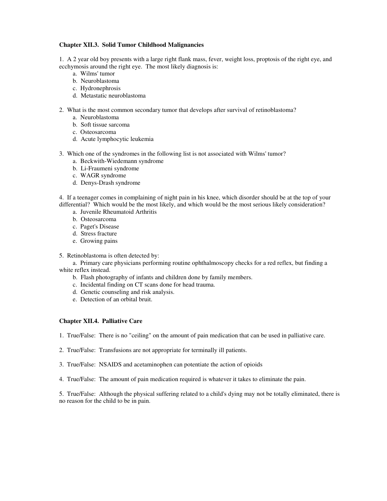# **Chapter XII.3. Solid Tumor Childhood Malignancies**

1. A 2 year old boy presents with a large right flank mass, fever, weight loss, proptosis of the right eye, and ecchymosis around the right eye. The most likely diagnosis is:

- a. Wilms' tumor
- b. Neuroblastoma
- c. Hydronephrosis
- d. Metastatic neuroblastoma
- 2. What is the most common secondary tumor that develops after survival of retinoblastoma?
	- a. Neuroblastoma
	- b. Soft tissue sarcoma
	- c. Osteosarcoma
	- d. Acute lymphocytic leukemia
- 3. Which one of the syndromes in the following list is not associated with Wilms' tumor?
	- a. Beckwith-Wiedemann syndrome
	- b. Li-Fraumeni syndrome
	- c. WAGR syndrome
	- d. Denys-Drash syndrome

4. If a teenager comes in complaining of night pain in his knee, which disorder should be at the top of your differential? Which would be the most likely, and which would be the most serious likely consideration?

- a. Juvenile Rheumatoid Arthritis
- b. Osteosarcoma
- c. Paget's Disease
- d. Stress fracture
- e. Growing pains
- 5. Retinoblastoma is often detected by:

a. Primary care physicians performing routine ophthalmoscopy checks for a red reflex, but finding a white reflex instead.

- b. Flash photography of infants and children done by family members.
- c. Incidental finding on CT scans done for head trauma.
- d. Genetic counseling and risk analysis.
- e. Detection of an orbital bruit.

### **Chapter XII.4. Palliative Care**

1. True/False: There is no "ceiling" on the amount of pain medication that can be used in palliative care.

- 2. True/False: Transfusions are not appropriate for terminally ill patients.
- 3. True/False: NSAIDS and acetaminophen can potentiate the action of opioids
- 4. True/False: The amount of pain medication required is whatever it takes to eliminate the pain.

5. True/False: Although the physical suffering related to a child's dying may not be totally eliminated, there is no reason for the child to be in pain.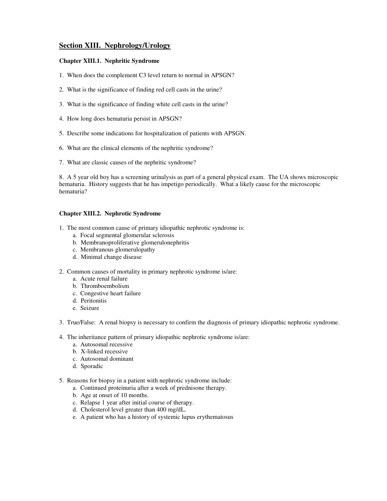# **Section XIII. Nephrology/Urology**

# **Chapter XIII.1. Nephritic Syndrome**

- 1. When does the complement C3 level return to normal in APSGN?
- 2. What is the significance of finding red cell casts in the urine?
- 3. What is the significance of finding white cell casts in the urine?
- 4. How long does hematuria persist in APSGN?
- 5. Describe some indications for hospitalization of patients with APSGN.
- 6. What are the clinical elements of the nephritic syndrome?
- 7. What are classic causes of the nephritic syndrome?

8. A 5 year old boy has a screening urinalysis as part of a general physical exam. The UA shows microscopic hematuria. History suggests that he has impetigo periodically. What a likely cause for the microscopic hematuria?

# **Chapter XIII.2. Nephrotic Syndrome**

- 1. The most common cause of primary idiopathic nephrotic syndrome is:
	- a. Focal segmental glomerular sclerosis
	- b. Membranoproliferative glomerulonephritis
	- c. Membranous glomerulopathy
	- d. Minimal change disease
- 2. Common causes of mortality in primary nephrotic syndrome is/are:
	- a. Acute renal failure
	- b. Thromboembolism
	- c. Congestive heart failure
	- d. Peritonitis
	- e. Seizure
- 3. True/False: A renal biopsy is necessary to confirm the diagnosis of primary idiopathic nephrotic syndrome.
- 4. The inheritance pattern of primary idiopathic nephrotic syndrome is/are:
	- a. Autosomal recessive
	- b. X-linked recessive
	- c. Autosomal dominant
	- d. Sporadic
- 5. Reasons for biopsy in a patient with nephrotic syndrome include:
	- a. Continued proteinuria after a week of prednisone therapy.
	- b. Age at onset of 10 months.
	- c. Relapse 1 year after initial course of therapy.
	- d. Cholesterol level greater than 400 mg/dL.
	- e. A patient who has a history of systemic lupus erythematosus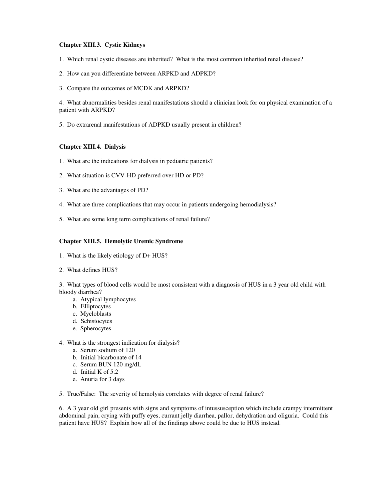### **Chapter XIII.3. Cystic Kidneys**

- 1. Which renal cystic diseases are inherited? What is the most common inherited renal disease?
- 2. How can you differentiate between ARPKD and ADPKD?
- 3. Compare the outcomes of MCDK and ARPKD?

4. What abnormalities besides renal manifestations should a clinician look for on physical examination of a patient with ARPKD?

5. Do extrarenal manifestations of ADPKD usually present in children?

# **Chapter XIII.4. Dialysis**

- 1. What are the indications for dialysis in pediatric patients?
- 2. What situation is CVV-HD preferred over HD or PD?
- 3. What are the advantages of PD?
- 4. What are three complications that may occur in patients undergoing hemodialysis?
- 5. What are some long term complications of renal failure?

# **Chapter XIII.5. Hemolytic Uremic Syndrome**

- 1. What is the likely etiology of D+ HUS?
- 2. What defines HUS?

3. What types of blood cells would be most consistent with a diagnosis of HUS in a 3 year old child with bloody diarrhea?

- a. Atypical lymphocytes
- b. Elliptocytes
- c. Myeloblasts
- d. Schistocytes
- e. Spherocytes
- 4. What is the strongest indication for dialysis?
	- a. Serum sodium of 120
	- b. Initial bicarbonate of 14
	- c. Serum BUN 120 mg/dL
	- d. Initial K of 5.2
	- e. Anuria for 3 days

5. True/False: The severity of hemolysis correlates with degree of renal failure?

6. A 3 year old girl presents with signs and symptoms of intussusception which include crampy intermittent abdominal pain, crying with puffy eyes, currant jelly diarrhea, pallor, dehydration and oliguria. Could this patient have HUS? Explain how all of the findings above could be due to HUS instead.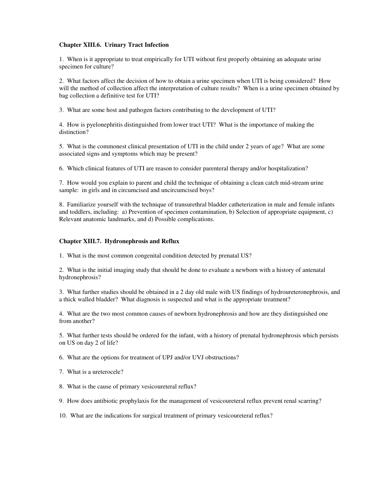### **Chapter XIII.6. Urinary Tract Infection**

1. When is it appropriate to treat empirically for UTI without first properly obtaining an adequate urine specimen for culture?

2. What factors affect the decision of how to obtain a urine specimen when UTI is being considered? How will the method of collection affect the interpretation of culture results? When is a urine specimen obtained by bag collection a definitive test for UTI?

3. What are some host and pathogen factors contributing to the development of UTI?

4. How is pyelonephritis distinguished from lower tract UTI? What is the importance of making the distinction?

5. What is the commonest clinical presentation of UTI in the child under 2 years of age? What are some associated signs and symptoms which may be present?

6. Which clinical features of UTI are reason to consider parenteral therapy and/or hospitalization?

7. How would you explain to parent and child the technique of obtaining a clean catch mid-stream urine sample: in girls and in circumcised and uncircumcised boys?

8. Familiarize yourself with the technique of transurethral bladder catheterization in male and female infants and toddlers, including: a) Prevention of specimen contamination, b) Selection of appropriate equipment, c) Relevant anatomic landmarks, and d) Possible complications.

### **Chapter XIII.7. Hydronephrosis and Reflux**

1. What is the most common congenital condition detected by prenatal US?

2. What is the initial imaging study that should be done to evaluate a newborn with a history of antenatal hydronephrosis?

3. What further studies should be obtained in a 2 day old male with US findings of hydroureteronephrosis, and a thick walled bladder? What diagnosis is suspected and what is the appropriate treatment?

4. What are the two most common causes of newborn hydronephrosis and how are they distinguished one from another?

5. What further tests should be ordered for the infant, with a history of prenatal hydronephrosis which persists on US on day 2 of life?

6. What are the options for treatment of UPJ and/or UVJ obstructions?

7. What is a ureterocele?

8. What is the cause of primary vesicoureteral reflux?

9. How does antibiotic prophylaxis for the management of vesicoureteral reflux prevent renal scarring?

10. What are the indications for surgical treatment of primary vesicoureteral reflux?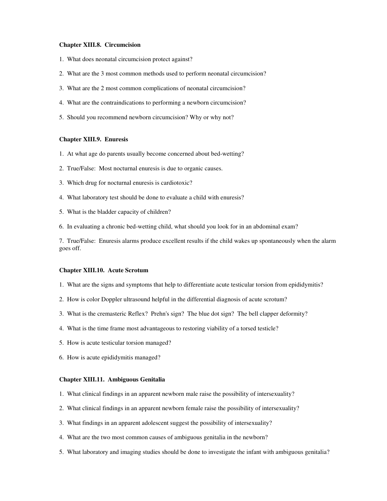#### **Chapter XIII.8. Circumcision**

- 1. What does neonatal circumcision protect against?
- 2. What are the 3 most common methods used to perform neonatal circumcision?
- 3. What are the 2 most common complications of neonatal circumcision?
- 4. What are the contraindications to performing a newborn circumcision?
- 5. Should you recommend newborn circumcision? Why or why not?

### **Chapter XIII.9. Enuresis**

- 1. At what age do parents usually become concerned about bed-wetting?
- 2. True/False: Most nocturnal enuresis is due to organic causes.
- 3. Which drug for nocturnal enuresis is cardiotoxic?
- 4. What laboratory test should be done to evaluate a child with enuresis?
- 5. What is the bladder capacity of children?
- 6. In evaluating a chronic bed-wetting child, what should you look for in an abdominal exam?

7. True/False: Enuresis alarms produce excellent results if the child wakes up spontaneously when the alarm goes off.

#### **Chapter XIII.10. Acute Scrotum**

- 1. What are the signs and symptoms that help to differentiate acute testicular torsion from epididymitis?
- 2. How is color Doppler ultrasound helpful in the differential diagnosis of acute scrotum?
- 3. What is the cremasteric Reflex? Prehn's sign? The blue dot sign? The bell clapper deformity?
- 4. What is the time frame most advantageous to restoring viability of a torsed testicle?
- 5. How is acute testicular torsion managed?
- 6. How is acute epididymitis managed?

# **Chapter XIII.11. Ambiguous Genitalia**

- 1. What clinical findings in an apparent newborn male raise the possibility of intersexuality?
- 2. What clinical findings in an apparent newborn female raise the possibility of intersexuality?
- 3. What findings in an apparent adolescent suggest the possibility of intersexuality?
- 4. What are the two most common causes of ambiguous genitalia in the newborn?
- 5. What laboratory and imaging studies should be done to investigate the infant with ambiguous genitalia?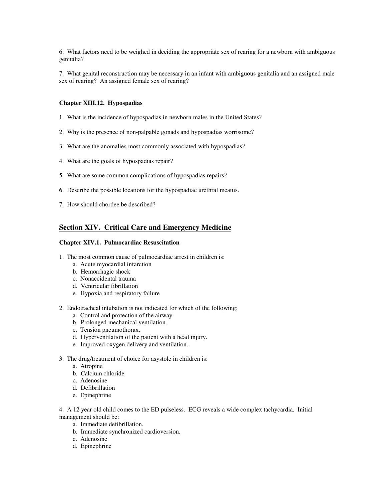6. What factors need to be weighed in deciding the appropriate sex of rearing for a newborn with ambiguous genitalia?

7. What genital reconstruction may be necessary in an infant with ambiguous genitalia and an assigned male sex of rearing? An assigned female sex of rearing?

#### **Chapter XIII.12. Hypospadias**

- 1. What is the incidence of hypospadias in newborn males in the United States?
- 2. Why is the presence of non-palpable gonads and hypospadias worrisome?
- 3. What are the anomalies most commonly associated with hypospadias?
- 4. What are the goals of hypospadias repair?
- 5. What are some common complications of hypospadias repairs?
- 6. Describe the possible locations for the hypospadiac urethral meatus.
- 7. How should chordee be described?

# **Section XIV. Critical Care and Emergency Medicine**

#### **Chapter XIV.1. Pulmocardiac Resuscitation**

- 1. The most common cause of pulmocardiac arrest in children is:
	- a. Acute myocardial infarction
	- b. Hemorrhagic shock
	- c. Nonaccidental trauma
	- d. Ventricular fibrillation
	- e. Hypoxia and respiratory failure
- 2. Endotracheal intubation is not indicated for which of the following:
	- a. Control and protection of the airway.
	- b. Prolonged mechanical ventilation.
	- c. Tension pneumothorax.
	- d. Hyperventilation of the patient with a head injury.
	- e. Improved oxygen delivery and ventilation.
- 3. The drug/treatment of choice for asystole in children is:
	- a. Atropine
	- b. Calcium chloride
	- c. Adenosine
	- d. Defibrillation
	- e. Epinephrine

4. A 12 year old child comes to the ED pulseless. ECG reveals a wide complex tachycardia. Initial management should be:

- a. Immediate defibrillation.
- b. Immediate synchronized cardioversion.
- c. Adenosine
- d. Epinephrine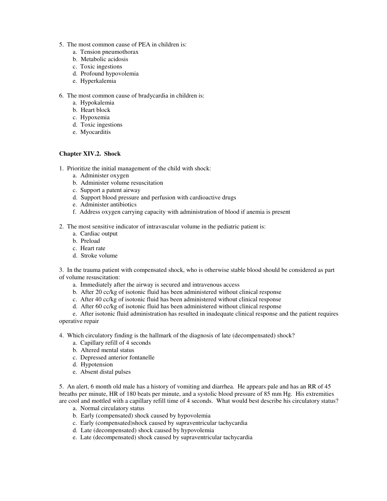- 5. The most common cause of PEA in children is:
	- a. Tension pneumothorax
	- b. Metabolic acidosis
	- c. Toxic ingestions
	- d. Profound hypovolemia
	- e. Hyperkalemia
- 6. The most common cause of bradycardia in children is:
	- a. Hypokalemia
	- b. Heart block
	- c. Hypoxemia
	- d. Toxic ingestions
	- e. Myocarditis

# **Chapter XIV.2. Shock**

- 1. Prioritize the initial management of the child with shock:
	- a. Administer oxygen
	- b. Administer volume resuscitation
	- c. Support a patent airway
	- d. Support blood pressure and perfusion with cardioactive drugs
	- e. Administer antibiotics
	- f. Address oxygen carrying capacity with administration of blood if anemia is present
- 2. The most sensitive indicator of intravascular volume in the pediatric patient is:
	- a. Cardiac output
	- b. Preload
	- c. Heart rate
	- d. Stroke volume

3. In the trauma patient with compensated shock, who is otherwise stable blood should be considered as part of volume resuscitation:

- a. Immediately after the airway is secured and intravenous access
- b. After 20 cc/kg of isotonic fluid has been administered without clinical response
- c. After 40 cc/kg of isotonic fluid has been administered without clinical response
- d. After 60 cc/kg of isotonic fluid has been administered without clinical response

e. After isotonic fluid administration has resulted in inadequate clinical response and the patient requires operative repair

- 4. Which circulatory finding is the hallmark of the diagnosis of late (decompensated) shock?
	- a. Capillary refill of 4 seconds
	- b. Altered mental status
	- c. Depressed anterior fontanelle
	- d. Hypotension
	- e. Absent distal pulses

5. An alert, 6 month old male has a history of vomiting and diarrhea. He appears pale and has an RR of 45 breaths per minute, HR of 180 beats per minute, and a systolic blood pressure of 85 mm Hg. His extremities are cool and mottled with a capillary refill time of 4 seconds. What would best describe his circulatory status?

- a. Normal circulatory status
- b. Early (compensated) shock caused by hypovolemia
- c. Early (compensated)shock caused by supraventricular tachycardia
- d. Late (decompensated) shock caused by hypovolemia
- e. Late (decompensated) shock caused by supraventricular tachycardia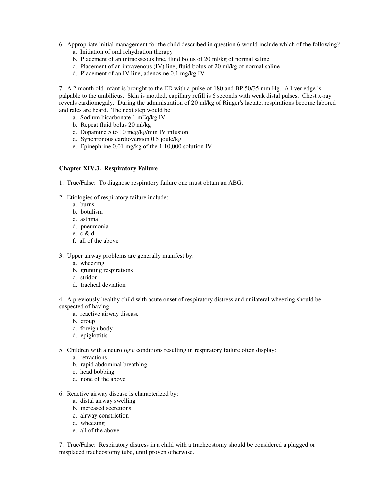- 6. Appropriate initial management for the child described in question 6 would include which of the following?
	- a. Initiation of oral rehydration therapy
	- b. Placement of an intraosseous line, fluid bolus of 20 ml/kg of normal saline
	- c. Placement of an intravenous (IV) line, fluid bolus of 20 ml/kg of normal saline
	- d. Placement of an IV line, adenosine 0.1 mg/kg IV

7. A 2 month old infant is brought to the ED with a pulse of 180 and BP 50/35 mm Hg. A liver edge is palpable to the umbilicus. Skin is mottled, capillary refill is 6 seconds with weak distal pulses. Chest x-ray reveals cardiomegaly. During the administration of 20 ml/kg of Ringer's lactate, respirations become labored and rales are heard. The next step would be:

- a. Sodium bicarbonate 1 mEq/kg IV
- b. Repeat fluid bolus 20 ml/kg
- c. Dopamine 5 to 10 mcg/kg/min IV infusion
- d. Synchronous cardioversion 0.5 joule/kg
- e. Epinephrine 0.01 mg/kg of the 1:10,000 solution IV

# **Chapter XIV.3. Respiratory Failure**

- 1. True/False: To diagnose respiratory failure one must obtain an ABG.
- 2. Etiologies of respiratory failure include:
	- a. burns
	- b. botulism
	- c. asthma
	- d. pneumonia
	- e. c & d
	- f. all of the above
- 3. Upper airway problems are generally manifest by:
	- a. wheezing
	- b. grunting respirations
	- c. stridor
	- d. tracheal deviation

4. A previously healthy child with acute onset of respiratory distress and unilateral wheezing should be suspected of having:

- a. reactive airway disease
- b. croup
- c. foreign body
- d. epiglottitis
- 5. Children with a neurologic conditions resulting in respiratory failure often display:
	- a. retractions
	- b. rapid abdominal breathing
	- c. head bobbing
	- d. none of the above
- 6. Reactive airway disease is characterized by:
	- a. distal airway swelling
	- b. increased secretions
	- c. airway constriction
	- d. wheezing
	- e. all of the above

7. True/False: Respiratory distress in a child with a tracheostomy should be considered a plugged or misplaced tracheostomy tube, until proven otherwise.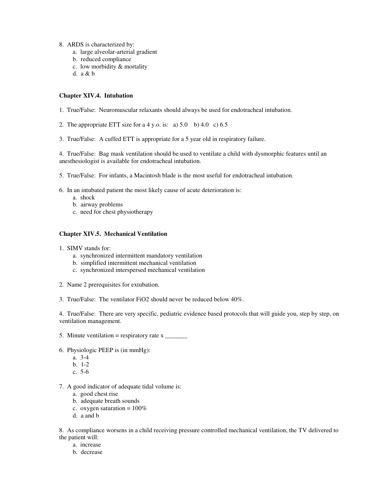- 8. ARDS is characterized by:
	- a. large alveolar-arterial gradient
	- b. reduced compliance
	- c. low morbidity & mortality
	- d. a & b

# **Chapter XIV.4. Intubation**

- 1. True/False: Neuromuscular relaxants should always be used for endotracheal intubation.
- 2. The appropriate ETT size for a 4 y.o. is: a)  $5.0$  b)  $4.0$  c)  $6.5$
- 3. True/False: A cuffed ETT is appropriate for a 5 year old in respiratory failure.

4. True/False: Bag mask ventilation should be used to ventilate a child with dysmorphic features until an anesthesiologist is available for endotracheal intubation.

- 5. True/False: For infants, a Macintosh blade is the most useful for endotracheal intubation.
- 6. In an intubated patient the most likely cause of acute deterioration is:
	- a. shock
	- b. airway problems
	- c. need for chest physiotherapy

# **Chapter XIV.5. Mechanical Ventilation**

- 1. SIMV stands for:
	- a. synchronized intermittent mandatory ventilation
	- b. simplified intermittent mechanical ventilation
	- c. synchronized interspersed mechanical ventilation
- 2. Name 2 prerequisites for extubation.
- 3. True/False: The ventilator FiO2 should never be reduced below 40%.

4. True/False: There are very specific, pediatric evidence based protocols that will guide you, step by step, on ventilation management.

- 5. Minute ventilation = respiratory rate x \_\_\_\_\_\_\_
- 6. Physiologic PEEP is (in mmHg):
	- a. 3-4
	- b. 1-2
	- c. 5-6
- 7. A good indicator of adequate tidal volume is:
	- a. good chest rise
	- b. adequate breath sounds
	- c. oxygen saturation =  $100\%$
	- d. a and b

8. As compliance worsens in a child receiving pressure controlled mechanical ventilation, the TV delivered to the patient will:

- a. increase
- b. decrease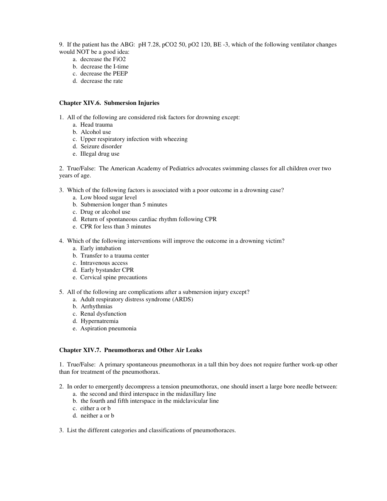9. If the patient has the ABG: pH 7.28, pCO2 50, pO2 120, BE -3, which of the following ventilator changes would NOT be a good idea:

- a. decrease the FiO2
- b. decrease the I-time
- c. decrease the PEEP
- d. decrease the rate

# **Chapter XIV.6. Submersion Injuries**

1. All of the following are considered risk factors for drowning except:

- a. Head trauma
- b. Alcohol use
- c. Upper respiratory infection with wheezing
- d. Seizure disorder
- e. Illegal drug use

2. True/False: The American Academy of Pediatrics advocates swimming classes for all children over two years of age.

- 3. Which of the following factors is associated with a poor outcome in a drowning case?
	- a. Low blood sugar level
	- b. Submersion longer than 5 minutes
	- c. Drug or alcohol use
	- d. Return of spontaneous cardiac rhythm following CPR
	- e. CPR for less than 3 minutes
- 4. Which of the following interventions will improve the outcome in a drowning victim?
	- a. Early intubation
	- b. Transfer to a trauma center
	- c. Intravenous access
	- d. Early bystander CPR
	- e. Cervical spine precautions
- 5. All of the following are complications after a submersion injury except?
	- a. Adult respiratory distress syndrome (ARDS)
	- b. Arrhythmias
	- c. Renal dysfunction
	- d. Hypernatremia
	- e. Aspiration pneumonia

### **Chapter XIV.7. Pneumothorax and Other Air Leaks**

1. True/False: A primary spontaneous pneumothorax in a tall thin boy does not require further work-up other than for treatment of the pneumothorax.

- 2. In order to emergently decompress a tension pneumothorax, one should insert a large bore needle between:
	- a. the second and third interspace in the midaxillary line
	- b. the fourth and fifth interspace in the midclavicular line
	- c. either a or b
	- d. neither a or b
- 3. List the different categories and classifications of pneumothoraces.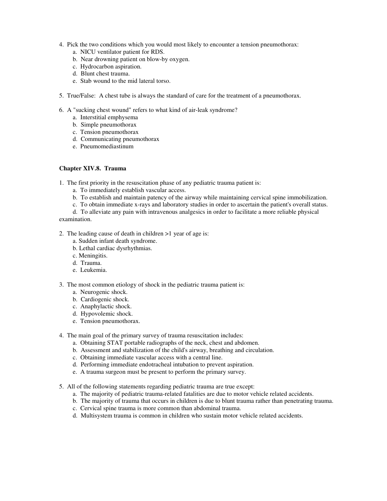- 4. Pick the two conditions which you would most likely to encounter a tension pneumothorax:
	- a. NICU ventilator patient for RDS.
	- b. Near drowning patient on blow-by oxygen.
	- c. Hydrocarbon aspiration.
	- d. Blunt chest trauma.
	- e. Stab wound to the mid lateral torso.
- 5. True/False: A chest tube is always the standard of care for the treatment of a pneumothorax.
- 6. A "sucking chest wound" refers to what kind of air-leak syndrome?
	- a. Interstitial emphysema
	- b. Simple pneumothorax
	- c. Tension pneumothorax
	- d. Communicating pneumothorax
	- e. Pneumomediastinum

# **Chapter XIV.8. Trauma**

1. The first priority in the resuscitation phase of any pediatric trauma patient is:

- a. To immediately establish vascular access.
- b. To establish and maintain patency of the airway while maintaining cervical spine immobilization.
- c. To obtain immediate x-rays and laboratory studies in order to ascertain the patient's overall status.

d. To alleviate any pain with intravenous analgesics in order to facilitate a more reliable physical examination.

- 2. The leading cause of death in children >1 year of age is:
	- a. Sudden infant death syndrome.
	- b. Lethal cardiac dysrhythmias.
	- c. Meningitis.
	- d. Trauma.
	- e. Leukemia.
- 3. The most common etiology of shock in the pediatric trauma patient is:
	- a. Neurogenic shock.
	- b. Cardiogenic shock.
	- c. Anaphylactic shock.
	- d. Hypovolemic shock.
	- e. Tension pneumothorax.
- 4. The main goal of the primary survey of trauma resuscitation includes:
	- a. Obtaining STAT portable radiographs of the neck, chest and abdomen.
	- b. Assessment and stabilization of the child's airway, breathing and circulation.
	- c. Obtaining immediate vascular access with a central line.
	- d. Performing immediate endotracheal intubation to prevent aspiration.
	- e. A trauma surgeon must be present to perform the primary survey.
- 5. All of the following statements regarding pediatric trauma are true except:
	- a. The majority of pediatric trauma-related fatalities are due to motor vehicle related accidents.
	- b. The majority of trauma that occurs in children is due to blunt trauma rather than penetrating trauma.
	- c. Cervical spine trauma is more common than abdominal trauma.
	- d. Multisystem trauma is common in children who sustain motor vehicle related accidents.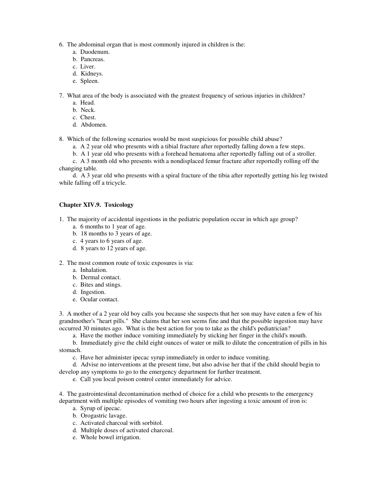6. The abdominal organ that is most commonly injured in children is the:

- a. Duodenum.
- b. Pancreas.
- c. Liver.
- d. Kidneys.
- e. Spleen.

7. What area of the body is associated with the greatest frequency of serious injuries in children?

- a. Head.
- b. Neck.
- c. Chest.
- d. Abdomen.

8. Which of the following scenarios would be most suspicious for possible child abuse?

- a. A 2 year old who presents with a tibial fracture after reportedly falling down a few steps.
- b. A 1 year old who presents with a forehead hematoma after reportedly falling out of a stroller.

c. A 3 month old who presents with a nondisplaced femur fracture after reportedly rolling off the changing table.

d. A 3 year old who presents with a spiral fracture of the tibia after reportedly getting his leg twisted while falling off a tricycle.

# **Chapter XIV.9. Toxicology**

1. The majority of accidental ingestions in the pediatric population occur in which age group?

- a. 6 months to 1 year of age.
- b. 18 months to 3 years of age.
- c. 4 years to 6 years of age.
- d. 8 years to 12 years of age.
- 2. The most common route of toxic exposures is via:
	- a. Inhalation.
	- b. Dermal contact.
	- c. Bites and stings.
	- d. Ingestion.
	- e. Ocular contact.

3. A mother of a 2 year old boy calls you because she suspects that her son may have eaten a few of his grandmother's "heart pills." She claims that her son seems fine and that the possible ingestion may have occurred 30 minutes ago. What is the best action for you to take as the child's pediatrician?

a. Have the mother induce vomiting immediately by sticking her finger in the child's mouth.

b. Immediately give the child eight ounces of water or milk to dilute the concentration of pills in his stomach.

c. Have her administer ipecac syrup immediately in order to induce vomiting.

d. Advise no interventions at the present time, but also advise her that if the child should begin to develop any symptoms to go to the emergency department for further treatment.

e. Call you local poison control center immediately for advice.

4. The gastrointestinal decontamination method of choice for a child who presents to the emergency department with multiple episodes of vomiting two hours after ingesting a toxic amount of iron is:

- a. Syrup of ipecac.
- b. Orogastric lavage.
- c. Activated charcoal with sorbitol.
- d. Multiple doses of activated charcoal.
- e. Whole bowel irrigation.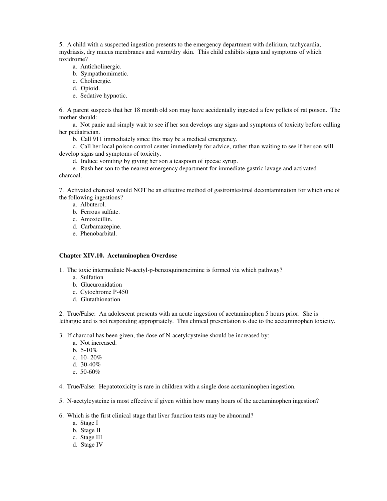5. A child with a suspected ingestion presents to the emergency department with delirium, tachycardia, mydriasis, dry mucus membranes and warm/dry skin. This child exhibits signs and symptoms of which toxidrome?

- a. Anticholinergic.
- b. Sympathomimetic.
- c. Cholinergic.
- d. Opioid.
- e. Sedative hypnotic.

6. A parent suspects that her 18 month old son may have accidentally ingested a few pellets of rat poison. The mother should:

a. Not panic and simply wait to see if her son develops any signs and symptoms of toxicity before calling her pediatrician.

b. Call 911 immediately since this may be a medical emergency.

c. Call her local poison control center immediately for advice, rather than waiting to see if her son will develop signs and symptoms of toxicity.

d. Induce vomiting by giving her son a teaspoon of ipecac syrup.

e. Rush her son to the nearest emergency department for immediate gastric lavage and activated charcoal.

7. Activated charcoal would NOT be an effective method of gastrointestinal decontamination for which one of the following ingestions?

- a. Albuterol.
- b. Ferrous sulfate.
- c. Amoxicillin.
- d. Carbamazepine.
- e. Phenobarbital.

### **Chapter XIV.10. Acetaminophen Overdose**

1. The toxic intermediate N-acetyl-p-benzoquinoneimine is formed via which pathway?

- a. Sulfation
- b. Glucuronidation
- c. Cytochrome P-450
- d. Glutathionation

2. True/False: An adolescent presents with an acute ingestion of acetaminophen 5 hours prior. She is lethargic and is not responding appropriately. This clinical presentation is due to the acetaminophen toxicity.

- 3. If charcoal has been given, the dose of N-acetylcysteine should be increased by:
	- a. Not increased.
	- b. 5-10%
	- c. 10- 20%
	- d. 30-40%
	- e. 50-60%
- 4. True/False: Hepatotoxicity is rare in children with a single dose acetaminophen ingestion.
- 5. N-acetylcysteine is most effective if given within how many hours of the acetaminophen ingestion?
- 6. Which is the first clinical stage that liver function tests may be abnormal?
	- a. Stage I
	- b. Stage II
	- c. Stage III
	- d. Stage IV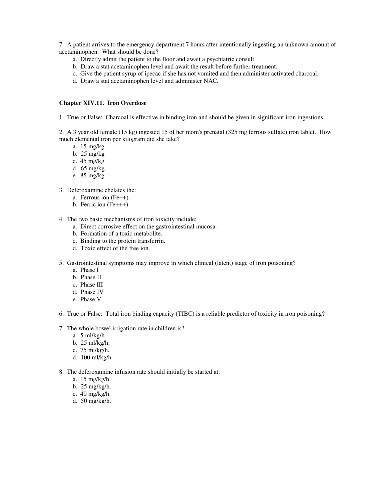7. A patient arrives to the emergency department 7 hours after intentionally ingesting an unknown amount of acetaminophen. What should be done?

- a. Directly admit the patient to the floor and await a psychiatric consult.
- b. Draw a stat acetaminophen level and await the result before further treatment.
- c. Give the patient syrup of ipecac if she has not vomited and then administer activated charcoal.
- d. Draw a stat acetaminophen level and administer NAC.

#### **Chapter XIV.11. Iron Overdose**

1. True or False: Charcoal is effective in binding iron and should be given in significant iron ingestions.

2. A 3 year old female (15 kg) ingested 15 of her mom's prenatal (325 mg ferrous sulfate) iron tablet. How much elemental iron per kilogram did she take?

- a. 15 mg/kg
- b. 25 mg/kg
- c. 45 mg/kg
- d. 65 mg/kg
- e. 85 mg/kg
- 3. Deferoxamine chelates the:
	- a. Ferrous ion (Fe++).
	- b. Ferric ion (Fe+++).
- 4. The two basic mechanisms of iron toxicity include:
	- a. Direct corrosive effect on the gastrointestinal mucosa.
		- b. Formation of a toxic metabolite.
		- c. Binding to the protein transferrin.
		- d. Toxic effect of the free ion.
- 5. Gastrointestinal symptoms may improve in which clinical (latent) stage of iron poisoning?
	- a. Phase I
	- b. Phase II
	- c. Phase III
	- d. Phase IV
	- e. Phase V
- 6. True or False: Total iron binding capacity (TIBC) is a reliable predictor of toxicity in iron poisoning?
- 7. The whole bowel irrigation rate in children is?
	- a. 5 ml/kg/h.
	- b. 25 ml/kg/h.
	- c. 75 ml/kg/h.
	- d. 100 ml/kg/h.
- 8. The deferoxamine infusion rate should initially be started at:
	- a. 15 mg/kg/h.
	- b. 25 mg/kg/h.
	- c. 40 mg/kg/h.
	- d. 50 mg/kg/h.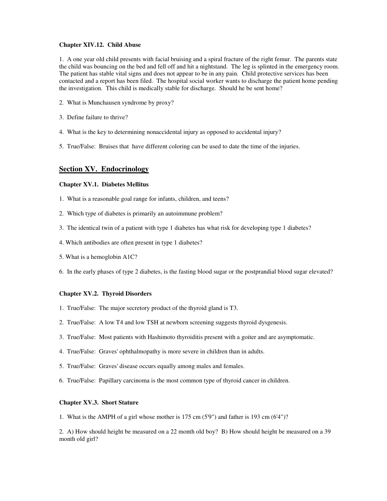### **Chapter XIV.12. Child Abuse**

1. A one year old child presents with facial bruising and a spiral fracture of the right femur. The parents state the child was bouncing on the bed and fell off and hit a nightstand. The leg is splinted in the emergency room. The patient has stable vital signs and does not appear to be in any pain. Child protective services has been contacted and a report has been filed. The hospital social worker wants to discharge the patient home pending the investigation. This child is medically stable for discharge. Should he be sent home?

- 2. What is Munchausen syndrome by proxy?
- 3. Define failure to thrive?
- 4. What is the key to determining nonaccidental injury as opposed to accidental injury?
- 5. True/False: Bruises that have different coloring can be used to date the time of the injuries.

# **Section XV. Endocrinology**

#### **Chapter XV.1. Diabetes Mellitus**

- 1. What is a reasonable goal range for infants, children, and teens?
- 2. Which type of diabetes is primarily an autoimmune problem?
- 3. The identical twin of a patient with type 1 diabetes has what risk for developing type 1 diabetes?
- 4. Which antibodies are often present in type 1 diabetes?
- 5. What is a hemoglobin A1C?
- 6. In the early phases of type 2 diabetes, is the fasting blood sugar or the postprandial blood sugar elevated?

#### **Chapter XV.2. Thyroid Disorders**

- 1. True/False: The major secretory product of the thyroid gland is T3.
- 2. True/False: A low T4 and low TSH at newborn screening suggests thyroid dysgenesis.
- 3. True/False: Most patients with Hashimoto thyroiditis present with a goiter and are asymptomatic.
- 4. True/False: Graves' ophthalmopathy is more severe in children than in adults.
- 5. True/False: Graves' disease occurs equally among males and females.
- 6. True/False: Papillary carcinoma is the most common type of thyroid cancer in children.

#### **Chapter XV.3. Short Stature**

1. What is the AMPH of a girl whose mother is 175 cm (5'9") and father is 193 cm (6'4")?

2. A) How should height be measured on a 22 month old boy? B) How should height be measured on a 39 month old girl?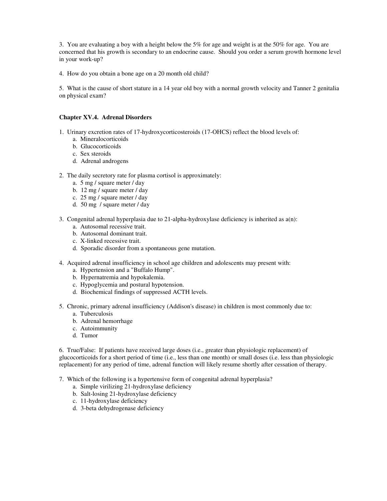3. You are evaluating a boy with a height below the 5% for age and weight is at the 50% for age. You are concerned that his growth is secondary to an endocrine cause. Should you order a serum growth hormone level in your work-up?

4. How do you obtain a bone age on a 20 month old child?

5. What is the cause of short stature in a 14 year old boy with a normal growth velocity and Tanner 2 genitalia on physical exam?

# **Chapter XV.4. Adrenal Disorders**

- 1. Urinary excretion rates of 17-hydroxycorticosteroids (17-OHCS) reflect the blood levels of:
	- a. Mineralocorticoids
	- b. Glucocorticoids
	- c. Sex steroids
	- d. Adrenal androgens
- 2. The daily secretory rate for plasma cortisol is approximately:
	- a. 5 mg / square meter / day
	- b. 12 mg / square meter / day
	- c. 25 mg / square meter / day
	- d. 50 mg / square meter / day
- 3. Congenital adrenal hyperplasia due to 21-alpha-hydroxylase deficiency is inherited as a(n):
	- a. Autosomal recessive trait.
	- b. Autosomal dominant trait.
	- c. X-linked recessive trait.
	- d. Sporadic disorder from a spontaneous gene mutation.
- 4. Acquired adrenal insufficiency in school age children and adolescents may present with:
	- a. Hypertension and a "Buffalo Hump".
	- b. Hypernatremia and hypokalemia.
	- c. Hypoglycemia and postural hypotension.
	- d. Biochemical findings of suppressed ACTH levels.
- 5. Chronic, primary adrenal insufficiency (Addison's disease) in children is most commonly due to:
	- a. Tuberculosis
	- b. Adrenal hemorrhage
	- c. Autoimmunity
	- d. Tumor

6. True/False: If patients have received large doses (i.e., greater than physiologic replacement) of glucocorticoids for a short period of time (i.e., less than one month) or small doses (i.e. less than physiologic replacement) for any period of time, adrenal function will likely resume shortly after cessation of therapy.

- 7. Which of the following is a hypertensive form of congenital adrenal hyperplasia?
	- a. Simple virilizing 21-hydroxylase deficiency
	- b. Salt-losing 21-hydroxylase deficiency
	- c. 11-hydroxylase deficiency
	- d. 3-beta dehydrogenase deficiency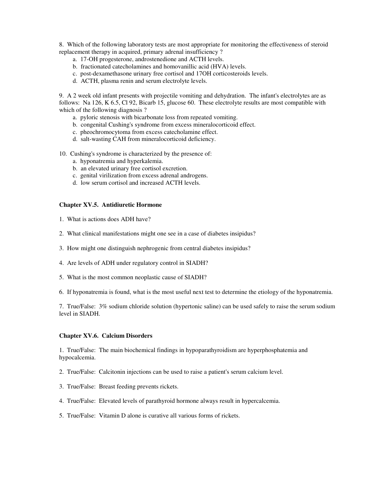8. Which of the following laboratory tests are most appropriate for monitoring the effectiveness of steroid replacement therapy in acquired, primary adrenal insufficiency ?

- a. 17-OH progesterone, androstenedione and ACTH levels.
- b. fractionated catecholamines and homovanillic acid (HVA) levels.
- c. post-dexamethasone urinary free cortisol and 17OH corticosteroids levels.
- d. ACTH, plasma renin and serum electrolyte levels.

9. A 2 week old infant presents with projectile vomiting and dehydration. The infant's electrolytes are as follows: Na 126, K 6.5, Cl 92, Bicarb 15, glucose 60. These electrolyte results are most compatible with which of the following diagnosis ?

- a. pyloric stenosis with bicarbonate loss from repeated vomiting.
- b. congenital Cushing's syndrome from excess mineralocorticoid effect.
- c. pheochromocytoma from excess catecholamine effect.
- d. salt-wasting CAH from mineralocorticoid deficiency.

10. Cushing's syndrome is characterized by the presence of:

- a. hyponatremia and hyperkalemia.
- b. an elevated urinary free cortisol excretion.
- c. genital virilization from excess adrenal androgens.
- d. low serum cortisol and increased ACTH levels.

### **Chapter XV.5. Antidiuretic Hormone**

- 1. What is actions does ADH have?
- 2. What clinical manifestations might one see in a case of diabetes insipidus?
- 3. How might one distinguish nephrogenic from central diabetes insipidus?
- 4. Are levels of ADH under regulatory control in SIADH?
- 5. What is the most common neoplastic cause of SIADH?
- 6. If hyponatremia is found, what is the most useful next test to determine the etiology of the hyponatremia.

7. True/False: 3% sodium chloride solution (hypertonic saline) can be used safely to raise the serum sodium level in SIADH.

#### **Chapter XV.6. Calcium Disorders**

1. True/False: The main biochemical findings in hypoparathyroidism are hyperphosphatemia and hypocalcemia.

- 2. True/False: Calcitonin injections can be used to raise a patient's serum calcium level.
- 3. True/False: Breast feeding prevents rickets.
- 4. True/False: Elevated levels of parathyroid hormone always result in hypercalcemia.
- 5. True/False: Vitamin D alone is curative all various forms of rickets.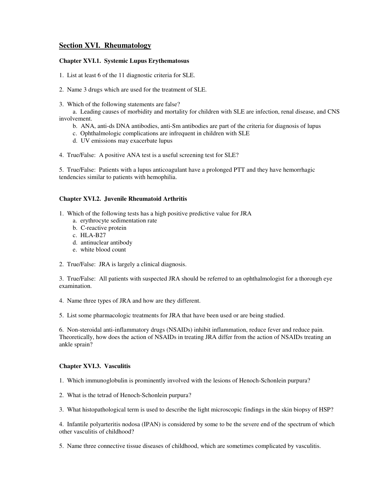# **Section XVI. Rheumatology**

# **Chapter XVI.1. Systemic Lupus Erythematosus**

1. List at least 6 of the 11 diagnostic criteria for SLE.

2. Name 3 drugs which are used for the treatment of SLE.

3. Which of the following statements are false?

a. Leading causes of morbidity and mortality for children with SLE are infection, renal disease, and CNS involvement.

- b. ANA, anti-ds DNA antibodies, anti-Sm antibodies are part of the criteria for diagnosis of lupus
- c. Ophthalmologic complications are infrequent in children with SLE
- d. UV emissions may exacerbate lupus
- 4. True/False: A positive ANA test is a useful screening test for SLE?

5. True/False: Patients with a lupus anticoagulant have a prolonged PTT and they have hemorrhagic tendencies similar to patients with hemophilia.

# **Chapter XVI.2. Juvenile Rheumatoid Arthritis**

- 1. Which of the following tests has a high positive predictive value for JRA
	- a. erythrocyte sedimentation rate
	- b. C-reactive protein
	- c. HLA-B27
	- d. antinuclear antibody
	- e. white blood count
- 2. True/False: JRA is largely a clinical diagnosis.

3. True/False: All patients with suspected JRA should be referred to an ophthalmologist for a thorough eye examination.

4. Name three types of JRA and how are they different.

5. List some pharmacologic treatments for JRA that have been used or are being studied.

6. Non-steroidal anti-inflammatory drugs (NSAIDs) inhibit inflammation, reduce fever and reduce pain. Theoretically, how does the action of NSAIDs in treating JRA differ from the action of NSAIDs treating an ankle sprain?

### **Chapter XVI.3. Vasculitis**

1. Which immunoglobulin is prominently involved with the lesions of Henoch-Schonlein purpura?

2. What is the tetrad of Henoch-Schonlein purpura?

3. What histopathological term is used to describe the light microscopic findings in the skin biopsy of HSP?

4. Infantile polyarteritis nodosa (IPAN) is considered by some to be the severe end of the spectrum of which other vasculitis of childhood?

5. Name three connective tissue diseases of childhood, which are sometimes complicated by vasculitis.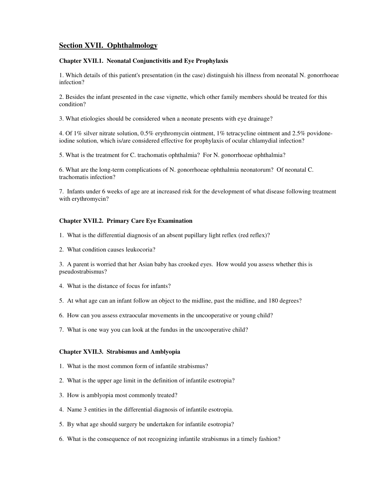# **Section XVII. Ophthalmology**

# **Chapter XVII.1. Neonatal Conjunctivitis and Eye Prophylaxis**

1. Which details of this patient's presentation (in the case) distinguish his illness from neonatal N. gonorrhoeae infection?

2. Besides the infant presented in the case vignette, which other family members should be treated for this condition?

3. What etiologies should be considered when a neonate presents with eye drainage?

4. Of 1% silver nitrate solution, 0.5% erythromycin ointment, 1% tetracycline ointment and 2.5% povidoneiodine solution, which is/are considered effective for prophylaxis of ocular chlamydial infection?

5. What is the treatment for C. trachomatis ophthalmia? For N. gonorrhoeae ophthalmia?

6. What are the long-term complications of N. gonorrhoeae ophthalmia neonatorum? Of neonatal C. trachomatis infection?

7. Infants under 6 weeks of age are at increased risk for the development of what disease following treatment with erythromycin?

### **Chapter XVII.2. Primary Care Eye Examination**

- 1. What is the differential diagnosis of an absent pupillary light reflex (red reflex)?
- 2. What condition causes leukocoria?

3. A parent is worried that her Asian baby has crooked eyes. How would you assess whether this is pseudostrabismus?

- 4. What is the distance of focus for infants?
- 5. At what age can an infant follow an object to the midline, past the midline, and 180 degrees?
- 6. How can you assess extraocular movements in the uncooperative or young child?
- 7. What is one way you can look at the fundus in the uncooperative child?

# **Chapter XVII.3. Strabismus and Amblyopia**

- 1. What is the most common form of infantile strabismus?
- 2. What is the upper age limit in the definition of infantile esotropia?
- 3. How is amblyopia most commonly treated?
- 4. Name 3 entities in the differential diagnosis of infantile esotropia.
- 5. By what age should surgery be undertaken for infantile esotropia?
- 6. What is the consequence of not recognizing infantile strabismus in a timely fashion?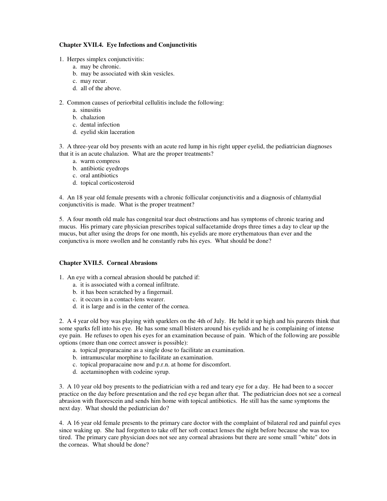# **Chapter XVII.4. Eye Infections and Conjunctivitis**

- 1. Herpes simplex conjunctivitis:
	- a. may be chronic.
	- b. may be associated with skin vesicles.
	- c. may recur.
	- d. all of the above.
- 2. Common causes of periorbital cellulitis include the following:
	- a. sinusitis
	- b. chalazion
	- c. dental infection
	- d. eyelid skin laceration

3. A three-year old boy presents with an acute red lump in his right upper eyelid, the pediatrician diagnoses that it is an acute chalazion. What are the proper treatments?

- a. warm compress
- b. antibiotic eyedrops
- c. oral antibiotics
- d. topical corticosteroid

4. An 18 year old female presents with a chronic follicular conjunctivitis and a diagnosis of chlamydial conjunctivitis is made. What is the proper treatment?

5. A four month old male has congenital tear duct obstructions and has symptoms of chronic tearing and mucus. His primary care physician prescribes topical sulfacetamide drops three times a day to clear up the mucus, but after using the drops for one month, his eyelids are more erythematous than ever and the conjunctiva is more swollen and he constantly rubs his eyes. What should be done?

# **Chapter XVII.5. Corneal Abrasions**

1. An eye with a corneal abrasion should be patched if:

- a. it is associated with a corneal infiltrate.
- b. it has been scratched by a fingernail.
- c. it occurs in a contact-lens wearer.
- d. it is large and is in the center of the cornea.

2. A 4 year old boy was playing with sparklers on the 4th of July. He held it up high and his parents think that some sparks fell into his eye. He has some small blisters around his eyelids and he is complaining of intense eye pain. He refuses to open his eyes for an examination because of pain. Which of the following are possible options (more than one correct answer is possible):

- a. topical proparacaine as a single dose to facilitate an examination.
- b. intramuscular morphine to facilitate an examination.
- c. topical proparacaine now and p.r.n. at home for discomfort.
- d. acetaminophen with codeine syrup.

3. A 10 year old boy presents to the pediatrician with a red and teary eye for a day. He had been to a soccer practice on the day before presentation and the red eye began after that. The pediatrician does not see a corneal abrasion with fluorescein and sends him home with topical antibiotics. He still has the same symptoms the next day. What should the pediatrician do?

4. A 16 year old female presents to the primary care doctor with the complaint of bilateral red and painful eyes since waking up. She had forgotten to take off her soft contact lenses the night before because she was too tired. The primary care physician does not see any corneal abrasions but there are some small "white" dots in the corneas. What should be done?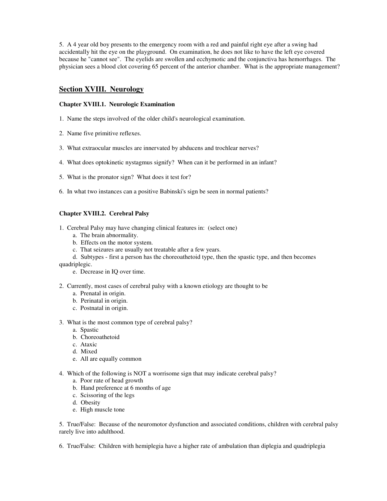5. A 4 year old boy presents to the emergency room with a red and painful right eye after a swing had accidentally hit the eye on the playground. On examination, he does not like to have the left eye covered because he "cannot see". The eyelids are swollen and ecchymotic and the conjunctiva has hemorrhages. The physician sees a blood clot covering 65 percent of the anterior chamber. What is the appropriate management?

# **Section XVIII. Neurology**

# **Chapter XVIII.1. Neurologic Examination**

- 1. Name the steps involved of the older child's neurological examination.
- 2. Name five primitive reflexes.
- 3. What extraocular muscles are innervated by abducens and trochlear nerves?
- 4. What does optokinetic nystagmus signify? When can it be performed in an infant?
- 5. What is the pronator sign? What does it test for?
- 6. In what two instances can a positive Babinski's sign be seen in normal patients?

# **Chapter XVIII.2. Cerebral Palsy**

- 1. Cerebral Palsy may have changing clinical features in: (select one)
	- a. The brain abnormality.
	- b. Effects on the motor system.
	- c. That seizures are usually not treatable after a few years.
	- d. Subtypes first a person has the choreoathetoid type, then the spastic type, and then becomes

quadriplegic.

- e. Decrease in IQ over time.
- 2. Currently, most cases of cerebral palsy with a known etiology are thought to be
	- a. Prenatal in origin.
	- b. Perinatal in origin.
	- c. Postnatal in origin.
- 3. What is the most common type of cerebral palsy?
	- a. Spastic
	- b. Choreoathetoid
	- c. Ataxic
	- d. Mixed
	- e. All are equally common
- 4. Which of the following is NOT a worrisome sign that may indicate cerebral palsy?
	- a. Poor rate of head growth
	- b. Hand preference at 6 months of age
	- c. Scissoring of the legs
	- d. Obesity
	- e. High muscle tone

5. True/False: Because of the neuromotor dysfunction and associated conditions, children with cerebral palsy rarely live into adulthood.

6. True/False: Children with hemiplegia have a higher rate of ambulation than diplegia and quadriplegia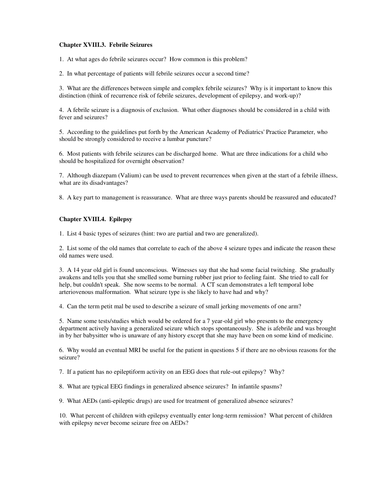# **Chapter XVIII.3. Febrile Seizures**

1. At what ages do febrile seizures occur? How common is this problem?

2. In what percentage of patients will febrile seizures occur a second time?

3. What are the differences between simple and complex febrile seizures? Why is it important to know this distinction (think of recurrence risk of febrile seizures, development of epilepsy, and work-up)?

4. A febrile seizure is a diagnosis of exclusion. What other diagnoses should be considered in a child with fever and seizures?

5. According to the guidelines put forth by the American Academy of Pediatrics' Practice Parameter, who should be strongly considered to receive a lumbar puncture?

6. Most patients with febrile seizures can be discharged home. What are three indications for a child who should be hospitalized for overnight observation?

7. Although diazepam (Valium) can be used to prevent recurrences when given at the start of a febrile illness, what are its disadvantages?

8. A key part to management is reassurance. What are three ways parents should be reassured and educated?

# **Chapter XVIII.4. Epilepsy**

1. List 4 basic types of seizures (hint: two are partial and two are generalized).

2. List some of the old names that correlate to each of the above 4 seizure types and indicate the reason these old names were used.

3. A 14 year old girl is found unconscious. Witnesses say that she had some facial twitching. She gradually awakens and tells you that she smelled some burning rubber just prior to feeling faint. She tried to call for help, but couldn't speak. She now seems to be normal. A CT scan demonstrates a left temporal lobe arteriovenous malformation. What seizure type is she likely to have had and why?

4. Can the term petit mal be used to describe a seizure of small jerking movements of one arm?

5. Name some tests/studies which would be ordered for a 7 year-old girl who presents to the emergency department actively having a generalized seizure which stops spontaneously. She is afebrile and was brought in by her babysitter who is unaware of any history except that she may have been on some kind of medicine.

6. Why would an eventual MRI be useful for the patient in questions 5 if there are no obvious reasons for the seizure?

7. If a patient has no epileptiform activity on an EEG does that rule-out epilepsy? Why?

8. What are typical EEG findings in generalized absence seizures? In infantile spasms?

9. What AEDs (anti-epileptic drugs) are used for treatment of generalized absence seizures?

10. What percent of children with epilepsy eventually enter long-term remission? What percent of children with epilepsy never become seizure free on AEDs?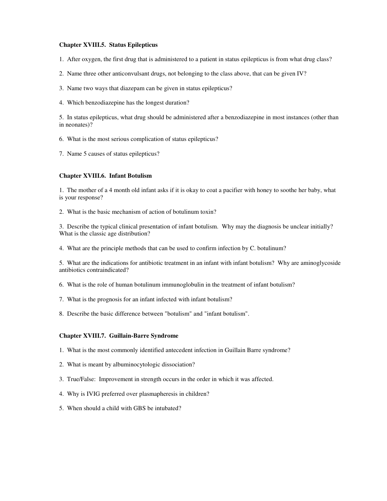### **Chapter XVIII.5. Status Epilepticus**

- 1. After oxygen, the first drug that is administered to a patient in status epilepticus is from what drug class?
- 2. Name three other anticonvulsant drugs, not belonging to the class above, that can be given IV?
- 3. Name two ways that diazepam can be given in status epilepticus?
- 4. Which benzodiazepine has the longest duration?

5. In status epilepticus, what drug should be administered after a benzodiazepine in most instances (other than in neonates)?

- 6. What is the most serious complication of status epilepticus?
- 7. Name 5 causes of status epilepticus?

# **Chapter XVIII.6. Infant Botulism**

1. The mother of a 4 month old infant asks if it is okay to coat a pacifier with honey to soothe her baby, what is your response?

2. What is the basic mechanism of action of botulinum toxin?

3. Describe the typical clinical presentation of infant botulism. Why may the diagnosis be unclear initially? What is the classic age distribution?

4. What are the principle methods that can be used to confirm infection by C. botulinum?

5. What are the indications for antibiotic treatment in an infant with infant botulism? Why are aminoglycoside antibiotics contraindicated?

- 6. What is the role of human botulinum immunoglobulin in the treatment of infant botulism?
- 7. What is the prognosis for an infant infected with infant botulism?
- 8. Describe the basic difference between "botulism" and "infant botulism".

### **Chapter XVIII.7. Guillain-Barre Syndrome**

- 1. What is the most commonly identified antecedent infection in Guillain Barre syndrome?
- 2. What is meant by albuminocytologic dissociation?
- 3. True/False: Improvement in strength occurs in the order in which it was affected.
- 4. Why is IVIG preferred over plasmapheresis in children?
- 5. When should a child with GBS be intubated?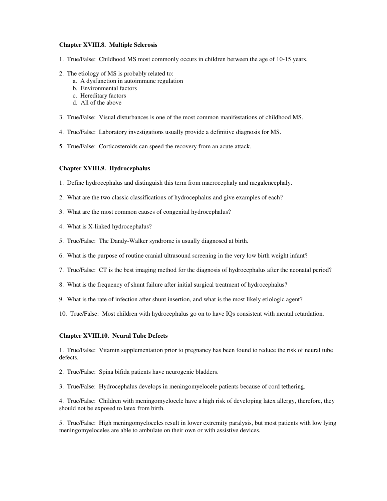### **Chapter XVIII.8. Multiple Sclerosis**

- 1. True/False: Childhood MS most commonly occurs in children between the age of 10-15 years.
- 2. The etiology of MS is probably related to:
	- a. A dysfunction in autoimmune regulation
	- b. Environmental factors
	- c. Hereditary factors
	- d. All of the above
- 3. True/False: Visual disturbances is one of the most common manifestations of childhood MS.
- 4. True/False: Laboratory investigations usually provide a definitive diagnosis for MS.
- 5. True/False: Corticosteroids can speed the recovery from an acute attack.

#### **Chapter XVIII.9. Hydrocephalus**

- 1. Define hydrocephalus and distinguish this term from macrocephaly and megalencephaly.
- 2. What are the two classic classifications of hydrocephalus and give examples of each?
- 3. What are the most common causes of congenital hydrocephalus?
- 4. What is X-linked hydrocephalus?
- 5. True/False: The Dandy-Walker syndrome is usually diagnosed at birth.
- 6. What is the purpose of routine cranial ultrasound screening in the very low birth weight infant?
- 7. True/False: CT is the best imaging method for the diagnosis of hydrocephalus after the neonatal period?
- 8. What is the frequency of shunt failure after initial surgical treatment of hydrocephalus?
- 9. What is the rate of infection after shunt insertion, and what is the most likely etiologic agent?
- 10. True/False: Most children with hydrocephalus go on to have IQs consistent with mental retardation.

#### **Chapter XVIII.10. Neural Tube Defects**

1. True/False: Vitamin supplementation prior to pregnancy has been found to reduce the risk of neural tube defects.

- 2. True/False: Spina bifida patients have neurogenic bladders.
- 3. True/False: Hydrocephalus develops in meningomyelocele patients because of cord tethering.

4. True/False: Children with meningomyelocele have a high risk of developing latex allergy, therefore, they should not be exposed to latex from birth.

5. True/False: High meningomyeloceles result in lower extremity paralysis, but most patients with low lying meningomyeloceles are able to ambulate on their own or with assistive devices.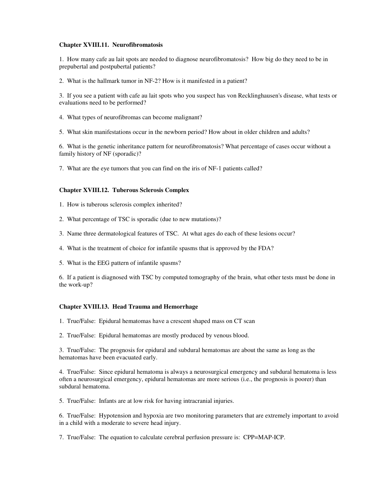### **Chapter XVIII.11. Neurofibromatosis**

1. How many cafe au lait spots are needed to diagnose neurofibromatosis? How big do they need to be in prepubertal and postpubertal patients?

2. What is the hallmark tumor in NF-2? How is it manifested in a patient?

3. If you see a patient with cafe au lait spots who you suspect has von Recklinghausen's disease, what tests or evaluations need to be performed?

- 4. What types of neurofibromas can become malignant?
- 5. What skin manifestations occur in the newborn period? How about in older children and adults?

6. What is the genetic inheritance pattern for neurofibromatosis? What percentage of cases occur without a family history of NF (sporadic)?

7. What are the eye tumors that you can find on the iris of NF-1 patients called?

### **Chapter XVIII.12. Tuberous Sclerosis Complex**

- 1. How is tuberous sclerosis complex inherited?
- 2. What percentage of TSC is sporadic (due to new mutations)?
- 3. Name three dermatological features of TSC. At what ages do each of these lesions occur?
- 4. What is the treatment of choice for infantile spasms that is approved by the FDA?
- 5. What is the EEG pattern of infantile spasms?

6. If a patient is diagnosed with TSC by computed tomography of the brain, what other tests must be done in the work-up?

#### **Chapter XVIII.13. Head Trauma and Hemorrhage**

- 1. True/False: Epidural hematomas have a crescent shaped mass on CT scan
- 2. True/False: Epidural hematomas are mostly produced by venous blood.

3. True/False: The prognosis for epidural and subdural hematomas are about the same as long as the hematomas have been evacuated early.

4. True/False: Since epidural hematoma is always a neurosurgical emergency and subdural hematoma is less often a neurosurgical emergency, epidural hematomas are more serious (i.e., the prognosis is poorer) than subdural hematoma.

5. True/False: Infants are at low risk for having intracranial injuries.

6. True/False: Hypotension and hypoxia are two monitoring parameters that are extremely important to avoid in a child with a moderate to severe head injury.

7. True/False: The equation to calculate cerebral perfusion pressure is: CPP=MAP-ICP.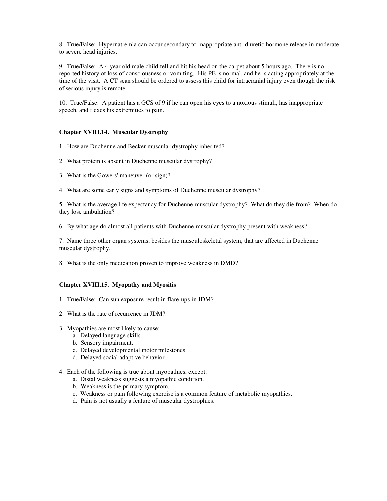8. True/False: Hypernatremia can occur secondary to inappropriate anti-diuretic hormone release in moderate to severe head injuries.

9. True/False: A 4 year old male child fell and hit his head on the carpet about 5 hours ago. There is no reported history of loss of consciousness or vomiting. His PE is normal, and he is acting appropriately at the time of the visit. A CT scan should be ordered to assess this child for intracranial injury even though the risk of serious injury is remote.

10. True/False: A patient has a GCS of 9 if he can open his eyes to a noxious stimuli, has inappropriate speech, and flexes his extremities to pain.

# **Chapter XVIII.14. Muscular Dystrophy**

- 1. How are Duchenne and Becker muscular dystrophy inherited?
- 2. What protein is absent in Duchenne muscular dystrophy?
- 3. What is the Gowers' maneuver (or sign)?
- 4. What are some early signs and symptoms of Duchenne muscular dystrophy?

5. What is the average life expectancy for Duchenne muscular dystrophy? What do they die from? When do they lose ambulation?

6. By what age do almost all patients with Duchenne muscular dystrophy present with weakness?

7. Name three other organ systems, besides the musculoskeletal system, that are affected in Duchenne muscular dystrophy.

8. What is the only medication proven to improve weakness in DMD?

### **Chapter XVIII.15. Myopathy and Myositis**

- 1. True/False: Can sun exposure result in flare-ups in JDM?
- 2. What is the rate of recurrence in JDM?
- 3. Myopathies are most likely to cause:
	- a. Delayed language skills.
	- b. Sensory impairment.
	- c. Delayed developmental motor milestones.
	- d. Delayed social adaptive behavior.
- 4. Each of the following is true about myopathies, except:
	- a. Distal weakness suggests a myopathic condition.
	- b. Weakness is the primary symptom.
	- c. Weakness or pain following exercise is a common feature of metabolic myopathies.
	- d. Pain is not usually a feature of muscular dystrophies.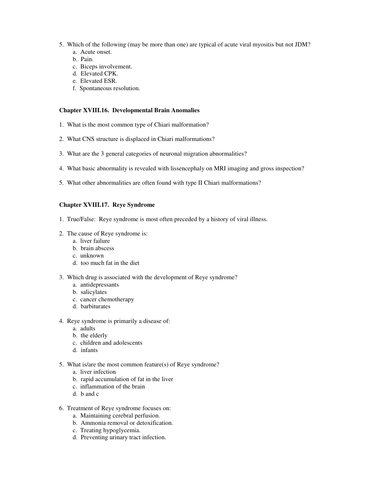- 5. Which of the following (may be more than one) are typical of acute viral myositis but not JDM?
	- a. Acute onset.
	- b. Pain.
	- c. Biceps involvement.
	- d. Elevated CPK.
	- e. Elevated ESR.
	- f. Spontaneous resolution.

# **Chapter XVIII.16. Developmental Brain Anomalies**

- 1. What is the most common type of Chiari malformation?
- 2. What CNS structure is displaced in Chiari malformations?
- 3. What are the 3 general categories of neuronal migration abnormalities?
- 4. What basic abnormality is revealed with lissencephaly on MRI imaging and gross inspection?
- 5. What other abnormalities are often found with type II Chiari malformations?

# **Chapter XVIII.17. Reye Syndrome**

- 1. True/False: Reye syndrome is most often preceded by a history of viral illness.
- 2. The cause of Reye syndrome is:
	- a. liver failure
	- b. brain abscess
	- c. unknown
	- d. too much fat in the diet
- 3. Which drug is associated with the development of Reye syndrome?
	- a. antidepressants
	- b. salicylates
	- c. cancer chemotherapy
	- d. barbiturates
- 4. Reye syndrome is primarily a disease of:
	- a. adults
	- b. the elderly
	- c. children and adolescents
	- d. infants
- 5. What is/are the most common feature(s) of Reye syndrome?
	- a. liver infection
	- b. rapid accumulation of fat in the liver
	- c. inflammation of the brain
	- d. b and c
- 6. Treatment of Reye syndrome focuses on:
	- a. Maintaining cerebral perfusion.
	- b. Ammonia removal or detoxification.
	- c. Treating hypoglycemia.
	- d. Preventing urinary tract infection.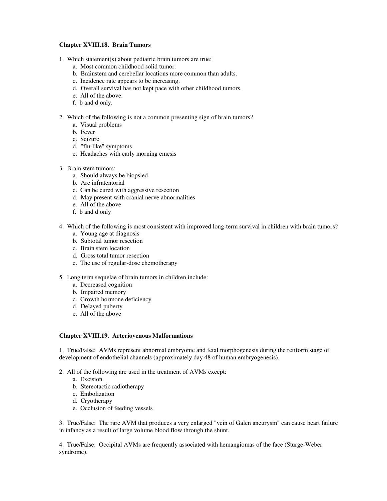## **Chapter XVIII.18. Brain Tumors**

- 1. Which statement(s) about pediatric brain tumors are true:
	- a. Most common childhood solid tumor.
	- b. Brainstem and cerebellar locations more common than adults.
	- c. Incidence rate appears to be increasing.
	- d. Overall survival has not kept pace with other childhood tumors.
	- e. All of the above.
	- f. b and d only.
- 2. Which of the following is not a common presenting sign of brain tumors?
	- a. Visual problems
	- b. Fever
	- c. Seizure
	- d. "flu-like" symptoms
	- e. Headaches with early morning emesis
- 3. Brain stem tumors:
	- a. Should always be biopsied
	- b. Are infratentorial
	- c. Can be cured with aggressive resection
	- d. May present with cranial nerve abnormalities
	- e. All of the above
	- f. b and d only
- 4. Which of the following is most consistent with improved long-term survival in children with brain tumors?
	- a. Young age at diagnosis
	- b. Subtotal tumor resection
	- c. Brain stem location
	- d. Gross total tumor resection
	- e. The use of regular-dose chemotherapy
- 5. Long term sequelae of brain tumors in children include:
	- a. Decreased cognition
	- b. Impaired memory
	- c. Growth hormone deficiency
	- d. Delayed puberty
	- e. All of the above

### **Chapter XVIII.19. Arteriovenous Malformations**

1. True/False: AVMs represent abnormal embryonic and fetal morphogenesis during the retiform stage of development of endothelial channels (approximately day 48 of human embryogenesis).

- 2. All of the following are used in the treatment of AVMs except:
	- a. Excision
	- b. Stereotactic radiotherapy
	- c. Embolization
	- d. Cryotherapy
	- e. Occlusion of feeding vessels

3. True/False: The rare AVM that produces a very enlarged "vein of Galen aneurysm" can cause heart failure in infancy as a result of large volume blood flow through the shunt.

4. True/False: Occipital AVMs are frequently associated with hemangiomas of the face (Sturge-Weber syndrome).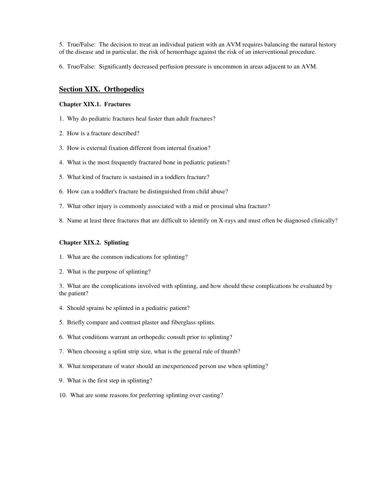5. True/False: The decision to treat an individual patient with an AVM requires balancing the natural history of the disease and in particular, the risk of hemorrhage against the risk of an interventional procedure.

6. True/False: Significantly decreased perfusion pressure is uncommon in areas adjacent to an AVM.

# **Section XIX. Orthopedics**

### **Chapter XIX.1. Fractures**

- 1. Why do pediatric fractures heal faster than adult fractures?
- 2. How is a fracture described?
- 3. How is external fixation different from internal fixation?
- 4. What is the most frequently fractured bone in pediatric patients?
- 5. What kind of fracture is sustained in a toddlers fracture?
- 6. How can a toddler's fracture be distinguished from child abuse?
- 7. What other injury is commonly associated with a mid or proximal ulna fracture?
- 8. Name at least three fractures that are difficult to identify on X-rays and must often be diagnosed clinically?

#### **Chapter XIX.2. Splinting**

- 1. What are the common indications for splinting?
- 2. What is the purpose of splinting?

3. What are the complications involved with splinting, and how should these complications be evaluated by the patient?

- 4. Should sprains be splinted in a pediatric patient?
- 5. Briefly compare and contrast plaster and fiberglass splints.
- 6. What conditions warrant an orthopedic consult prior to splinting?
- 7. When choosing a splint strip size, what is the general rule of thumb?
- 8. What temperature of water should an inexperienced person use when splinting?
- 9. What is the first step in splinting?
- 10. What are some reasons for preferring splinting over casting?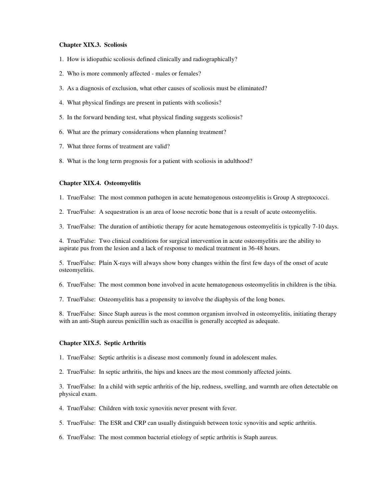## **Chapter XIX.3. Scoliosis**

- 1. How is idiopathic scoliosis defined clinically and radiographically?
- 2. Who is more commonly affected males or females?
- 3. As a diagnosis of exclusion, what other causes of scoliosis must be eliminated?
- 4. What physical findings are present in patients with scoliosis?
- 5. In the forward bending test, what physical finding suggests scoliosis?
- 6. What are the primary considerations when planning treatment?
- 7. What three forms of treatment are valid?
- 8. What is the long term prognosis for a patient with scoliosis in adulthood?

#### **Chapter XIX.4. Osteomyelitis**

- 1. True/False: The most common pathogen in acute hematogenous osteomyelitis is Group A streptococci.
- 2. True/False: A sequestration is an area of loose necrotic bone that is a result of acute osteomyelitis.
- 3. True/False: The duration of antibiotic therapy for acute hematogenous osteomyelitis is typically 7-10 days.

4. True/False: Two clinical conditions for surgical intervention in acute osteomyelitis are the ability to aspirate pus from the lesion and a lack of response to medical treatment in 36-48 hours.

5. True/False: Plain X-rays will always show bony changes within the first few days of the onset of acute osteomyelitis.

- 6. True/False: The most common bone involved in acute hematogenous osteomyelitis in children is the tibia.
- 7. True/False: Osteomyelitis has a propensity to involve the diaphysis of the long bones.

8. True/False: Since Staph aureus is the most common organism involved in osteomyelitis, initiating therapy with an anti-Staph aureus penicillin such as oxacillin is generally accepted as adequate.

#### **Chapter XIX.5. Septic Arthritis**

- 1. True/False: Septic arthritis is a disease most commonly found in adolescent males.
- 2. True/False: In septic arthritis, the hips and knees are the most commonly affected joints.

3. True/False: In a child with septic arthritis of the hip, redness, swelling, and warmth are often detectable on physical exam.

- 4. True/False: Children with toxic synovitis never present with fever.
- 5. True/False: The ESR and CRP can usually distinguish between toxic synovitis and septic arthritis.
- 6. True/False: The most common bacterial etiology of septic arthritis is Staph aureus.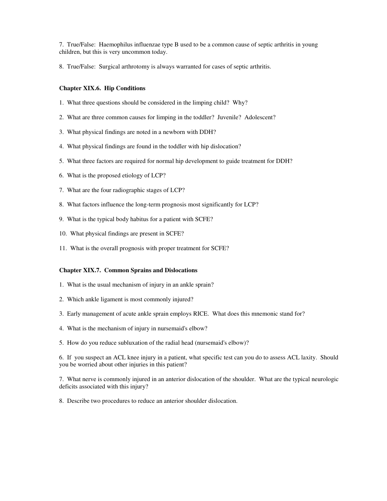7. True/False: Haemophilus influenzae type B used to be a common cause of septic arthritis in young children, but this is very uncommon today.

8. True/False: Surgical arthrotomy is always warranted for cases of septic arthritis.

#### **Chapter XIX.6. Hip Conditions**

- 1. What three questions should be considered in the limping child? Why?
- 2. What are three common causes for limping in the toddler? Juvenile? Adolescent?
- 3. What physical findings are noted in a newborn with DDH?
- 4. What physical findings are found in the toddler with hip dislocation?
- 5. What three factors are required for normal hip development to guide treatment for DDH?
- 6. What is the proposed etiology of LCP?
- 7. What are the four radiographic stages of LCP?
- 8. What factors influence the long-term prognosis most significantly for LCP?
- 9. What is the typical body habitus for a patient with SCFE?
- 10. What physical findings are present in SCFE?
- 11. What is the overall prognosis with proper treatment for SCFE?

#### **Chapter XIX.7. Common Sprains and Dislocations**

- 1. What is the usual mechanism of injury in an ankle sprain?
- 2. Which ankle ligament is most commonly injured?
- 3. Early management of acute ankle sprain employs RICE. What does this mnemonic stand for?
- 4. What is the mechanism of injury in nursemaid's elbow?
- 5. How do you reduce subluxation of the radial head (nursemaid's elbow)?

6. If you suspect an ACL knee injury in a patient, what specific test can you do to assess ACL laxity. Should you be worried about other injuries in this patient?

7. What nerve is commonly injured in an anterior dislocation of the shoulder. What are the typical neurologic deficits associated with this injury?

8. Describe two procedures to reduce an anterior shoulder dislocation.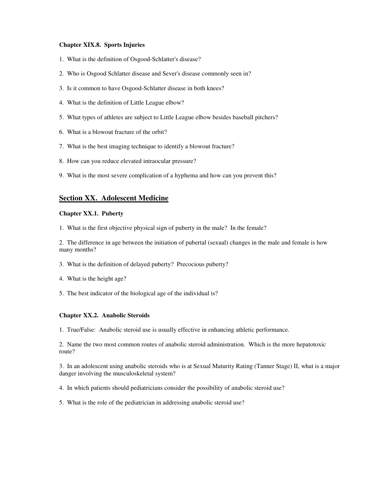### **Chapter XIX.8. Sports Injuries**

- 1. What is the definition of Osgood-Schlatter's disease?
- 2. Who is Osgood Schlatter disease and Sever's disease commonly seen in?
- 3. Is it common to have Osgood-Schlatter disease in both knees?
- 4. What is the definition of Little League elbow?
- 5. What types of athletes are subject to Little League elbow besides baseball pitchers?
- 6. What is a blowout fracture of the orbit?
- 7. What is the best imaging technique to identify a blowout fracture?
- 8. How can you reduce elevated intraocular pressure?
- 9. What is the most severe complication of a hyphema and how can you prevent this?

# **Section XX. Adolescent Medicine**

### **Chapter XX.1. Puberty**

1. What is the first objective physical sign of puberty in the male? In the female?

2. The difference in age between the initiation of pubertal (sexual) changes in the male and female is how many months?

- 3. What is the definition of delayed puberty? Precocious puberty?
- 4. What is the height age?
- 5. The best indicator of the biological age of the individual is?

# **Chapter XX.2. Anabolic Steroids**

1. True/False: Anabolic steroid use is usually effective in enhancing athletic performance.

2. Name the two most common routes of anabolic steroid administration. Which is the more hepatotoxic route?

3. In an adolescent using anabolic steroids who is at Sexual Maturity Rating (Tanner Stage) II, what is a major danger involving the musculoskeletal system?

- 4. In which patients should pediatricians consider the possibility of anabolic steroid use?
- 5. What is the role of the pediatrician in addressing anabolic steroid use?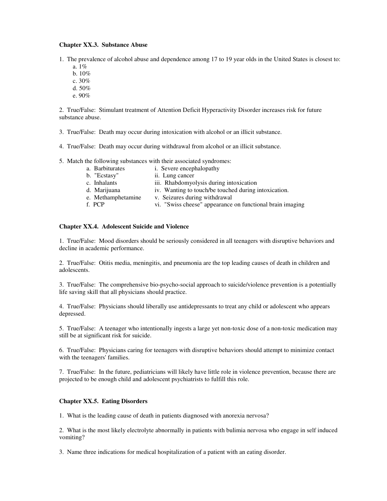### **Chapter XX.3. Substance Abuse**

1. The prevalence of alcohol abuse and dependence among 17 to 19 year olds in the United States is closest to:

- a. 1%
- b. 10%
- c. 30%
- d. 50%
- e. 90%

2. True/False: Stimulant treatment of Attention Deficit Hyperactivity Disorder increases risk for future substance abuse.

- 3. True/False: Death may occur during intoxication with alcohol or an illicit substance.
- 4. True/False: Death may occur during withdrawal from alcohol or an illicit substance.
- 5. Match the following substances with their associated syndromes:
	- a. Barbiturates i. Severe encephalopathy
	- b. "Ecstasy" ii. Lung cancer
	- c. Inhalants iii. Rhabdomyolysis during intoxication
	- d. Marijuana iv. Wanting to touch/be touched during intoxication.
	- e. Methamphetamine v. Seizures during withdrawal
	- f. PCP vi. "Swiss cheese" appearance on functional brain imaging

# **Chapter XX.4. Adolescent Suicide and Violence**

1. True/False: Mood disorders should be seriously considered in all teenagers with disruptive behaviors and decline in academic performance.

2. True/False: Otitis media, meningitis, and pneumonia are the top leading causes of death in children and adolescents.

3. True/False: The comprehensive bio-psycho-social approach to suicide/violence prevention is a potentially life saving skill that all physicians should practice.

4. True/False: Physicians should liberally use antidepressants to treat any child or adolescent who appears depressed.

5. True/False: A teenager who intentionally ingests a large yet non-toxic dose of a non-toxic medication may still be at significant risk for suicide.

6. True/False: Physicians caring for teenagers with disruptive behaviors should attempt to minimize contact with the teenagers' families.

7. True/False: In the future, pediatricians will likely have little role in violence prevention, because there are projected to be enough child and adolescent psychiatrists to fulfill this role.

### **Chapter XX.5. Eating Disorders**

1. What is the leading cause of death in patients diagnosed with anorexia nervosa?

2. What is the most likely electrolyte abnormally in patients with bulimia nervosa who engage in self induced vomiting?

3. Name three indications for medical hospitalization of a patient with an eating disorder.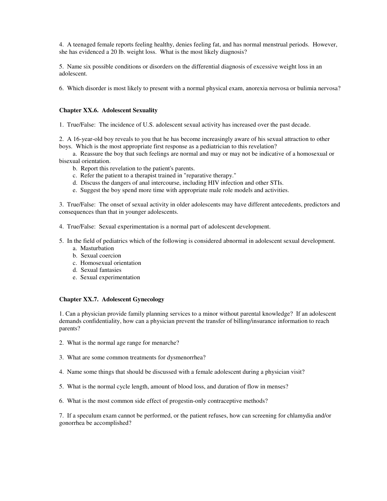4. A teenaged female reports feeling healthy, denies feeling fat, and has normal menstrual periods. However, she has evidenced a 20 lb. weight loss. What is the most likely diagnosis?

5. Name six possible conditions or disorders on the differential diagnosis of excessive weight loss in an adolescent.

6. Which disorder is most likely to present with a normal physical exam, anorexia nervosa or bulimia nervosa?

#### **Chapter XX.6. Adolescent Sexuality**

1. True/False: The incidence of U.S. adolescent sexual activity has increased over the past decade.

2. A 16-year-old boy reveals to you that he has become increasingly aware of his sexual attraction to other boys. Which is the most appropriate first response as a pediatrician to this revelation?

a. Reassure the boy that such feelings are normal and may or may not be indicative of a homosexual or bisexual orientation.

- b. Report this revelation to the patient's parents.
- c. Refer the patient to a therapist trained in "reparative therapy."
- d. Discuss the dangers of anal intercourse, including HIV infection and other STIs.
- e. Suggest the boy spend more time with appropriate male role models and activities.

3. True/False: The onset of sexual activity in older adolescents may have different antecedents, predictors and consequences than that in younger adolescents.

4. True/False: Sexual experimentation is a normal part of adolescent development.

- 5. In the field of pediatrics which of the following is considered abnormal in adolescent sexual development.
	- a. Masturbation
	- b. Sexual coercion
	- c. Homosexual orientation
	- d. Sexual fantasies
	- e. Sexual experimentation

## **Chapter XX.7. Adolescent Gynecology**

1. Can a physician provide family planning services to a minor without parental knowledge? If an adolescent demands confidentiality, how can a physician prevent the transfer of billing/insurance information to reach parents?

- 2. What is the normal age range for menarche?
- 3. What are some common treatments for dysmenorrhea?
- 4. Name some things that should be discussed with a female adolescent during a physician visit?
- 5. What is the normal cycle length, amount of blood loss, and duration of flow in menses?
- 6. What is the most common side effect of progestin-only contraceptive methods?

7. If a speculum exam cannot be performed, or the patient refuses, how can screening for chlamydia and/or gonorrhea be accomplished?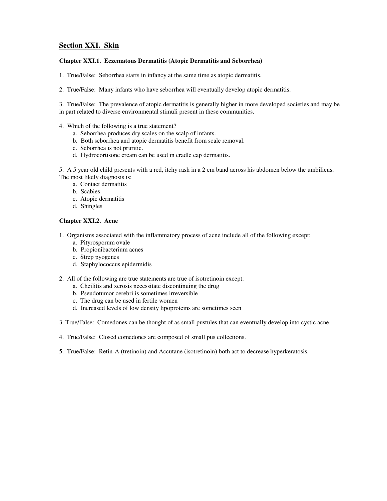# **Section XXI. Skin**

## **Chapter XXI.1. Eczematous Dermatitis (Atopic Dermatitis and Seborrhea)**

1. True/False: Seborrhea starts in infancy at the same time as atopic dermatitis.

2. True/False: Many infants who have seborrhea will eventually develop atopic dermatitis.

3. True/False: The prevalence of atopic dermatitis is generally higher in more developed societies and may be in part related to diverse environmental stimuli present in these communities.

- 4. Which of the following is a true statement?
	- a. Seborrhea produces dry scales on the scalp of infants.
	- b. Both seborrhea and atopic dermatitis benefit from scale removal.
	- c. Seborrhea is not pruritic.
	- d. Hydrocortisone cream can be used in cradle cap dermatitis.

5. A 5 year old child presents with a red, itchy rash in a 2 cm band across his abdomen below the umbilicus. The most likely diagnosis is:

- a. Contact dermatitis
- b. Scabies
- c. Atopic dermatitis
- d. Shingles

### **Chapter XXI.2. Acne**

- 1. Organisms associated with the inflammatory process of acne include all of the following except:
	- a. Pityrosporum ovale
	- b. Propionibacterium acnes
	- c. Strep pyogenes
	- d. Staphylococcus epidermidis
- 2. All of the following are true statements are true of isotretinoin except:
	- a. Cheilitis and xerosis necessitate discontinuing the drug
	- b. Pseudotumor cerebri is sometimes irreversible
	- c. The drug can be used in fertile women
	- d. Increased levels of low density lipoproteins are sometimes seen
- 3. True/False: Comedones can be thought of as small pustules that can eventually develop into cystic acne.
- 4. True/False: Closed comedones are composed of small pus collections.
- 5. True/False: Retin-A (tretinoin) and Accutane (isotretinoin) both act to decrease hyperkeratosis.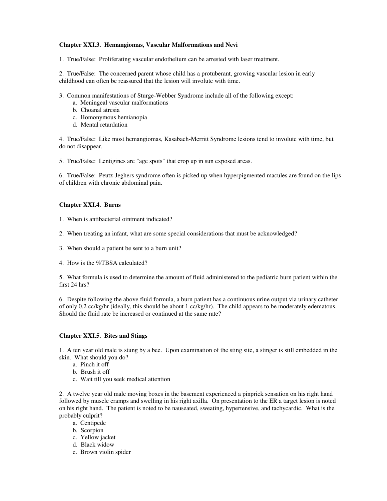## **Chapter XXI.3. Hemangiomas, Vascular Malformations and Nevi**

1. True/False: Proliferating vascular endothelium can be arrested with laser treatment.

2. True/False: The concerned parent whose child has a protuberant, growing vascular lesion in early childhood can often be reassured that the lesion will involute with time.

- 3. Common manifestations of Sturge-Webber Syndrome include all of the following except:
	- a. Meningeal vascular malformations
	- b. Choanal atresia
	- c. Homonymous hemianopia
	- d. Mental retardation

4. True/False: Like most hemangiomas, Kasabach-Merritt Syndrome lesions tend to involute with time, but do not disappear.

5. True/False: Lentigines are "age spots" that crop up in sun exposed areas.

6. True/False: Peutz-Jeghers syndrome often is picked up when hyperpigmented macules are found on the lips of children with chronic abdominal pain.

## **Chapter XXI.4. Burns**

- 1. When is antibacterial ointment indicated?
- 2. When treating an infant, what are some special considerations that must be acknowledged?
- 3. When should a patient be sent to a burn unit?
- 4. How is the %TBSA calculated?

5. What formula is used to determine the amount of fluid administered to the pediatric burn patient within the first 24 hrs?

6. Despite following the above fluid formula, a burn patient has a continuous urine output via urinary catheter of only 0.2 cc/kg/hr (ideally, this should be about 1 cc/kg/hr). The child appears to be moderately edematous. Should the fluid rate be increased or continued at the same rate?

### **Chapter XXI.5. Bites and Stings**

1. A ten year old male is stung by a bee. Upon examination of the sting site, a stinger is still embedded in the skin. What should you do?

- a. Pinch it off
- b. Brush it off
- c. Wait till you seek medical attention

2. A twelve year old male moving boxes in the basement experienced a pinprick sensation on his right hand followed by muscle cramps and swelling in his right axilla. On presentation to the ER a target lesion is noted on his right hand. The patient is noted to be nauseated, sweating, hypertensive, and tachycardic. What is the probably culprit?

- a. Centipede
- b. Scorpion
- c. Yellow jacket
- d. Black widow
- e. Brown violin spider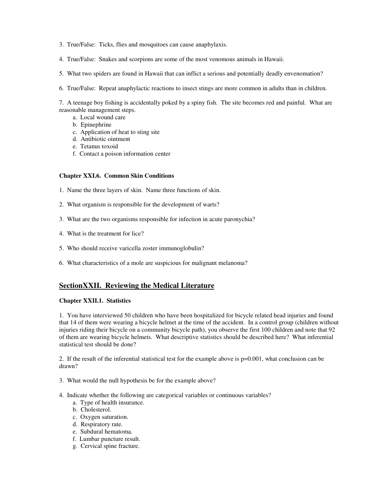- 3. True/False: Ticks, flies and mosquitoes can cause anaphylaxis.
- 4. True/False: Snakes and scorpions are some of the most venomous animals in Hawaii.
- 5. What two spiders are found in Hawaii that can inflict a serious and potentially deadly envenomation?
- 6. True/False: Repeat anaphylactic reactions to insect stings are more common in adults than in children.

7. A teenage boy fishing is accidentally poked by a spiny fish. The site becomes red and painful. What are reasonable management steps.

- a. Local wound care
- b. Epinephrine
- c. Application of heat to sting site
- d. Antibiotic ointment
- e. Tetanus toxoid
- f. Contact a poison information center

## **Chapter XXI.6. Common Skin Conditions**

- 1. Name the three layers of skin. Name three functions of skin.
- 2. What organism is responsible for the development of warts?
- 3. What are the two organisms responsible for infection in acute paronychia?
- 4. What is the treatment for lice?
- 5. Who should receive varicella zoster immunoglobulin?
- 6. What characteristics of a mole are suspicious for malignant melanoma?

# **SectionXXII. Reviewing the Medical Literature**

### **Chapter XXII.1. Statistics**

1. You have interviewed 50 children who have been hospitalized for bicycle related head injuries and found that 14 of them were wearing a bicycle helmet at the time of the accident. In a control group (children without injuries riding their bicycle on a community bicycle path), you observe the first 100 children and note that 92 of them are wearing bicycle helmets. What descriptive statistics should be described here? What inferential statistical test should be done?

2. If the result of the inferential statistical test for the example above is p=0.001, what conclusion can be drawn?

- 3. What would the null hypothesis be for the example above?
- 4. Indicate whether the following are categorical variables or continuous variables?
	- a. Type of health insurance.
	- b. Cholesterol.
	- c. Oxygen saturation.
	- d. Respiratory rate.
	- e. Subdural hematoma.
	- f. Lumbar puncture result.
	- g. Cervical spine fracture.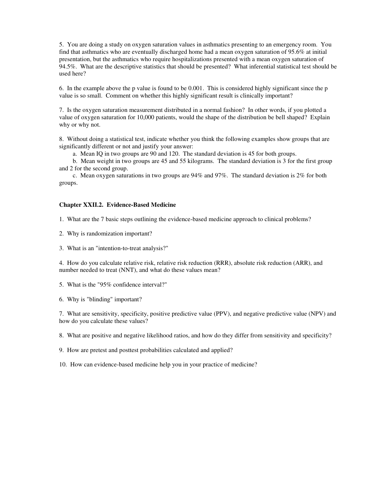5. You are doing a study on oxygen saturation values in asthmatics presenting to an emergency room. You find that asthmatics who are eventually discharged home had a mean oxygen saturation of 95.6% at initial presentation, but the asthmatics who require hospitalizations presented with a mean oxygen saturation of 94.5%. What are the descriptive statistics that should be presented? What inferential statistical test should be used here?

6. In the example above the p value is found to be 0.001. This is considered highly significant since the p value is so small. Comment on whether this highly significant result is clinically important?

7. Is the oxygen saturation measurement distributed in a normal fashion? In other words, if you plotted a value of oxygen saturation for 10,000 patients, would the shape of the distribution be bell shaped? Explain why or why not.

8. Without doing a statistical test, indicate whether you think the following examples show groups that are significantly different or not and justify your answer:

a. Mean IQ in two groups are 90 and 120. The standard deviation is 45 for both groups.

b. Mean weight in two groups are 45 and 55 kilograms. The standard deviation is 3 for the first group and 2 for the second group.

c. Mean oxygen saturations in two groups are 94% and 97%. The standard deviation is 2% for both groups.

#### **Chapter XXII.2. Evidence-Based Medicine**

1. What are the 7 basic steps outlining the evidence-based medicine approach to clinical problems?

- 2. Why is randomization important?
- 3. What is an "intention-to-treat analysis?"

4. How do you calculate relative risk, relative risk reduction (RRR), absolute risk reduction (ARR), and number needed to treat (NNT), and what do these values mean?

- 5. What is the "95% confidence interval?"
- 6. Why is "blinding" important?

7. What are sensitivity, specificity, positive predictive value (PPV), and negative predictive value (NPV) and how do you calculate these values?

8. What are positive and negative likelihood ratios, and how do they differ from sensitivity and specificity?

9. How are pretest and posttest probabilities calculated and applied?

10. How can evidence-based medicine help you in your practice of medicine?